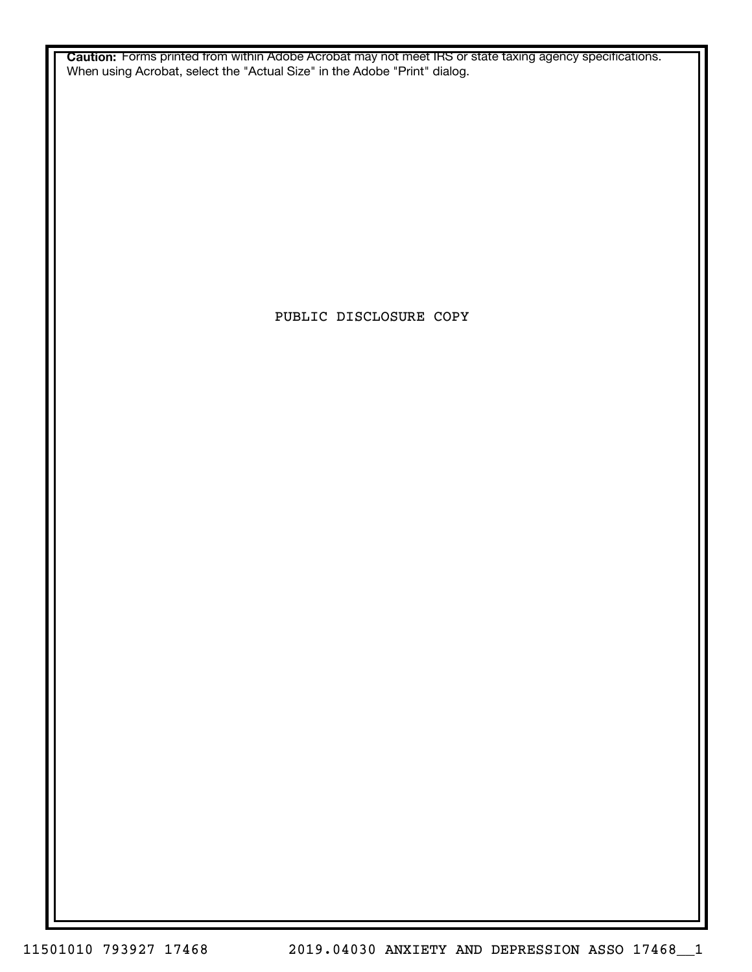**Caution:** Forms printed from within Adobe Acrobat may not meet IRS or state taxing agency specifications. When using Acrobat, select the "Actual Size" in the Adobe "Print" dialog.

PUBLIC DISCLOSURE COPY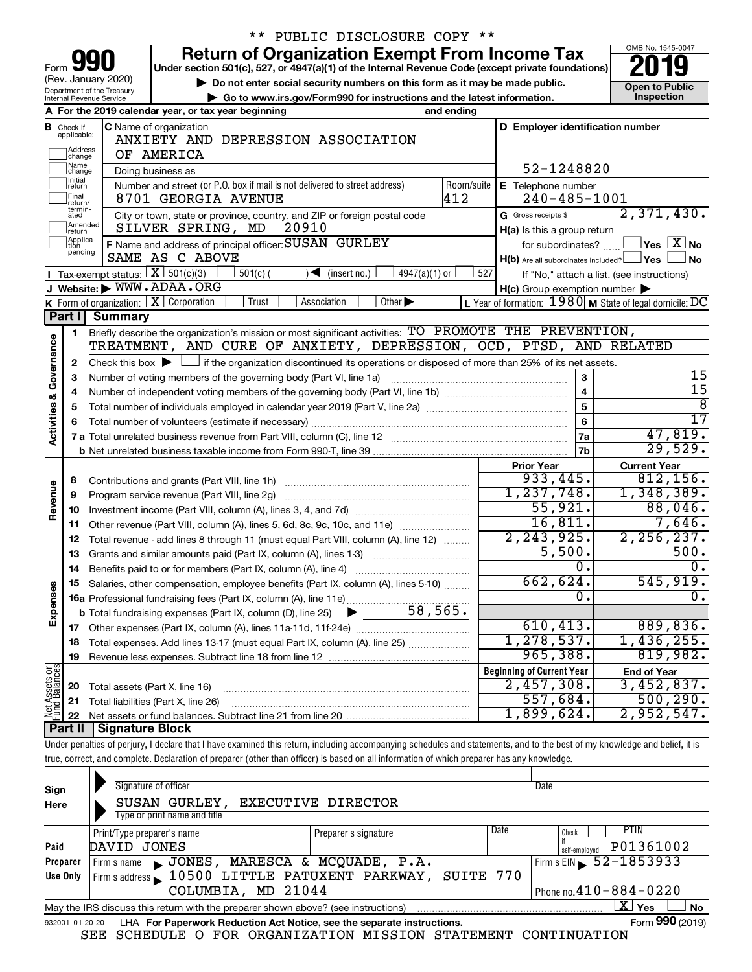|                         |                                                                                                                                                                         |                                       | <b>Return of Organization Exempt From Income Tax</b>                                                                                                                     |              |                                                                   | OMB No. 1545-0047                          |  |  |  |  |  |
|-------------------------|-------------------------------------------------------------------------------------------------------------------------------------------------------------------------|---------------------------------------|--------------------------------------------------------------------------------------------------------------------------------------------------------------------------|--------------|-------------------------------------------------------------------|--------------------------------------------|--|--|--|--|--|
|                         |                                                                                                                                                                         |                                       | Under section 501(c), 527, or 4947(a)(1) of the Internal Revenue Code (except private foundations)                                                                       |              |                                                                   |                                            |  |  |  |  |  |
|                         |                                                                                                                                                                         | (Rev. January 2020)                   | Do not enter social security numbers on this form as it may be made public.                                                                                              |              |                                                                   |                                            |  |  |  |  |  |
|                         |                                                                                                                                                                         | Department of the Treasury            |                                                                                                                                                                          |              |                                                                   | <b>Open to Public</b><br>Inspection        |  |  |  |  |  |
|                         | Go to www.irs.gov/Form990 for instructions and the latest information.<br>Internal Revenue Service<br>A For the 2019 calendar year, or tax year beginning<br>and ending |                                       |                                                                                                                                                                          |              |                                                                   |                                            |  |  |  |  |  |
|                         |                                                                                                                                                                         |                                       |                                                                                                                                                                          |              | D Employer identification number                                  |                                            |  |  |  |  |  |
|                         | <b>B</b> Check if applicable:                                                                                                                                           |                                       | C Name of organization<br>ANXIETY AND DEPRESSION ASSOCIATION                                                                                                             |              |                                                                   |                                            |  |  |  |  |  |
|                         | Address<br>change                                                                                                                                                       |                                       | OF AMERICA                                                                                                                                                               |              |                                                                   |                                            |  |  |  |  |  |
|                         | Name                                                                                                                                                                    |                                       |                                                                                                                                                                          |              | 52-1248820                                                        |                                            |  |  |  |  |  |
|                         | change<br>Initial                                                                                                                                                       |                                       | Doing business as                                                                                                                                                        |              |                                                                   |                                            |  |  |  |  |  |
|                         | return<br>Final                                                                                                                                                         |                                       | Number and street (or P.O. box if mail is not delivered to street address)                                                                                               | Room/suite   | E Telephone number                                                |                                            |  |  |  |  |  |
|                         | return/<br>termin-                                                                                                                                                      |                                       | 8701 GEORGIA AVENUE                                                                                                                                                      | 412          | $240 - 485 - 1001$                                                |                                            |  |  |  |  |  |
|                         | ated<br>Amended                                                                                                                                                         |                                       | City or town, state or province, country, and ZIP or foreign postal code                                                                                                 |              | G Gross receipts \$                                               | 2,371,430.                                 |  |  |  |  |  |
|                         | return                                                                                                                                                                  |                                       | SILVER SPRING, MD<br>20910                                                                                                                                               |              | H(a) Is this a group return                                       |                                            |  |  |  |  |  |
|                         | Applica-<br>Ition<br>pending                                                                                                                                            |                                       | F Name and address of principal officer: SUSAN GURLEY                                                                                                                    |              | for subordinates?                                                 | $\,$ Yes $\,$ $\rm X$ No $\,$              |  |  |  |  |  |
|                         |                                                                                                                                                                         |                                       | SAME AS C ABOVE                                                                                                                                                          |              | $H(b)$ Are all subordinates included? $\Box$ Yes                  | ∣No                                        |  |  |  |  |  |
|                         |                                                                                                                                                                         | Tax-exempt status: $X \mid 501(c)(3)$ | $501(c)$ (<br>$\sqrt{\frac{1}{1}}$ (insert no.)<br>$4947(a)(1)$ or                                                                                                       | 527          |                                                                   | If "No," attach a list. (see instructions) |  |  |  |  |  |
|                         |                                                                                                                                                                         |                                       | Website: WWW.ADAA.ORG                                                                                                                                                    |              | H(c) Group exemption number                                       |                                            |  |  |  |  |  |
|                         |                                                                                                                                                                         | K Form of organization: X Corporation | Other $\blacktriangleright$<br>Trust<br>Association                                                                                                                      |              | L Year of formation: $1980 \text{ M}$ State of legal domicile: DC |                                            |  |  |  |  |  |
|                         | Part I                                                                                                                                                                  | <b>Summary</b>                        |                                                                                                                                                                          |              |                                                                   |                                            |  |  |  |  |  |
|                         | 1                                                                                                                                                                       |                                       | Briefly describe the organization's mission or most significant activities: TO PROMOTE THE PREVENTION,                                                                   |              |                                                                   |                                            |  |  |  |  |  |
|                         |                                                                                                                                                                         |                                       | TREATMENT, AND CURE OF ANXIETY, DEPRESSION, OCD, PTSD, AND RELATED                                                                                                       |              |                                                                   |                                            |  |  |  |  |  |
| Governance              | $\mathbf{2}$                                                                                                                                                            |                                       | Check this box $\blacktriangleright$ $\Box$ if the organization discontinued its operations or disposed of more than 25% of its net assets.                              |              |                                                                   |                                            |  |  |  |  |  |
|                         | 3                                                                                                                                                                       |                                       | Number of voting members of the governing body (Part VI, line 1a)                                                                                                        |              | 3                                                                 | 15                                         |  |  |  |  |  |
|                         | 4                                                                                                                                                                       |                                       |                                                                                                                                                                          |              | $\overline{\mathbf{4}}$                                           | $\overline{15}$                            |  |  |  |  |  |
| <b>Activities &amp;</b> | 5                                                                                                                                                                       |                                       |                                                                                                                                                                          |              | 5                                                                 | $\overline{8}$                             |  |  |  |  |  |
|                         | 6                                                                                                                                                                       |                                       |                                                                                                                                                                          |              | 6                                                                 | $\overline{17}$                            |  |  |  |  |  |
|                         |                                                                                                                                                                         |                                       |                                                                                                                                                                          |              | 7a                                                                | 47,819.                                    |  |  |  |  |  |
|                         |                                                                                                                                                                         |                                       |                                                                                                                                                                          |              | 7 <sub>b</sub>                                                    | 29,529.                                    |  |  |  |  |  |
|                         |                                                                                                                                                                         |                                       |                                                                                                                                                                          |              | <b>Prior Year</b>                                                 | <b>Current Year</b>                        |  |  |  |  |  |
|                         | 8                                                                                                                                                                       |                                       |                                                                                                                                                                          |              | 933,445.                                                          | 812, 156.                                  |  |  |  |  |  |
| Revenue                 | 9                                                                                                                                                                       |                                       | Program service revenue (Part VIII, line 2g)                                                                                                                             |              | 1, 237, 748.                                                      | 1,348,389.                                 |  |  |  |  |  |
|                         | 10                                                                                                                                                                      |                                       |                                                                                                                                                                          |              | 55,921.                                                           | 88,046.                                    |  |  |  |  |  |
|                         | 11                                                                                                                                                                      |                                       | Other revenue (Part VIII, column (A), lines 5, 6d, 8c, 9c, 10c, and 11e)                                                                                                 |              | 16,811.                                                           | 7,646.                                     |  |  |  |  |  |
|                         | 12                                                                                                                                                                      |                                       | Total revenue - add lines 8 through 11 (must equal Part VIII, column (A), line 12)                                                                                       |              | 2, 243, 925.                                                      | 2, 256, 237.                               |  |  |  |  |  |
|                         | 13                                                                                                                                                                      |                                       | Grants and similar amounts paid (Part IX, column (A), lines 1-3)                                                                                                         |              | 5,500.                                                            | 500.                                       |  |  |  |  |  |
|                         | 14                                                                                                                                                                      |                                       | Benefits paid to or for members (Part IX, column (A), line 4)                                                                                                            |              | 0.                                                                | 0.                                         |  |  |  |  |  |
|                         |                                                                                                                                                                         |                                       | Salaries, other compensation, employee benefits (Part IX, column (A), lines 5-10)                                                                                        |              | 662,624.                                                          | 545,919.                                   |  |  |  |  |  |
| Ses                     | 15                                                                                                                                                                      |                                       |                                                                                                                                                                          |              | $\overline{0}$                                                    | 0.                                         |  |  |  |  |  |
| Expen:                  |                                                                                                                                                                         |                                       |                                                                                                                                                                          |              |                                                                   |                                            |  |  |  |  |  |
|                         |                                                                                                                                                                         |                                       |                                                                                                                                                                          |              | 610, 413.                                                         | 889, 836.                                  |  |  |  |  |  |
|                         | 17                                                                                                                                                                      |                                       |                                                                                                                                                                          | 1, 278, 537. | 1,436,255.                                                        |                                            |  |  |  |  |  |
|                         | 18                                                                                                                                                                      |                                       | Total expenses. Add lines 13-17 (must equal Part IX, column (A), line 25)                                                                                                |              |                                                                   |                                            |  |  |  |  |  |
|                         | 19                                                                                                                                                                      |                                       |                                                                                                                                                                          |              | 965,388.                                                          | 819,982.                                   |  |  |  |  |  |
| Net Assets or           |                                                                                                                                                                         |                                       |                                                                                                                                                                          |              | <b>Beginning of Current Year</b>                                  | <b>End of Year</b>                         |  |  |  |  |  |
|                         | 20                                                                                                                                                                      | Total assets (Part X, line 16)        |                                                                                                                                                                          |              | 2,457,308.                                                        | 3,452,837 <b>.</b>                         |  |  |  |  |  |
|                         | 21                                                                                                                                                                      |                                       | Total liabilities (Part X, line 26)                                                                                                                                      |              | 557,684.                                                          | 500, 290.                                  |  |  |  |  |  |
|                         | 22                                                                                                                                                                      |                                       |                                                                                                                                                                          |              | 1,899,624.                                                        | 2,952,547.                                 |  |  |  |  |  |
|                         | Part II                                                                                                                                                                 | <b>Signature Block</b>                |                                                                                                                                                                          |              |                                                                   |                                            |  |  |  |  |  |
|                         |                                                                                                                                                                         |                                       | l nder penalties of periury I declare that I baye evaning this return, including accompanying schedules and reatments, and to the best of my knowledge and peligit it is |              |                                                                   |                                            |  |  |  |  |  |

\*\* PUBLIC DISCLOSURE COPY \*\*

Under penalties of perjury, I declare that I have examined this return, including accompanying schedules and statements, and to the best of my knowledge and belief, it is true, correct, and complete. Declaration of preparer (other than officer) is based on all information of which preparer has any knowledge.

| Sign<br>Here | Signature of officer<br>SUSAN GURLEY,<br>Type or print name and title                                        | EXECUTIVE DIRECTOR   | Date                                |  |  |  |  |  |  |
|--------------|--------------------------------------------------------------------------------------------------------------|----------------------|-------------------------------------|--|--|--|--|--|--|
|              | Print/Type preparer's name                                                                                   | Preparer's signature | Date<br>PTIN<br>Check               |  |  |  |  |  |  |
| Paid         | DAVID JONES                                                                                                  |                      | P01361002<br>self-emploved          |  |  |  |  |  |  |
| Preparer     | JONES, MARESCA & MCQUADE, P.A.<br>Firm's name                                                                |                      | Firm's EIN $\frac{52 - 1853933}{ }$ |  |  |  |  |  |  |
| Use Only     | Firm's address 10500 LITTLE PATUXENT PARKWAY, SUITE 770                                                      |                      |                                     |  |  |  |  |  |  |
|              | COLUMBIA, MD 21044                                                                                           |                      | Phone no. $410 - 884 - 0220$        |  |  |  |  |  |  |
|              | May the IRS discuss this return with the preparer shown above? (see instructions)                            |                      | $\mathbf{X}$ Yes<br><b>No</b>       |  |  |  |  |  |  |
|              | Form 990 (2019)<br>LHA For Paperwork Reduction Act Notice, see the separate instructions.<br>932001 01-20-20 |                      |                                     |  |  |  |  |  |  |

SEE SCHEDULE O FOR ORGANIZATION MISSION STATEMENT CONTINUATION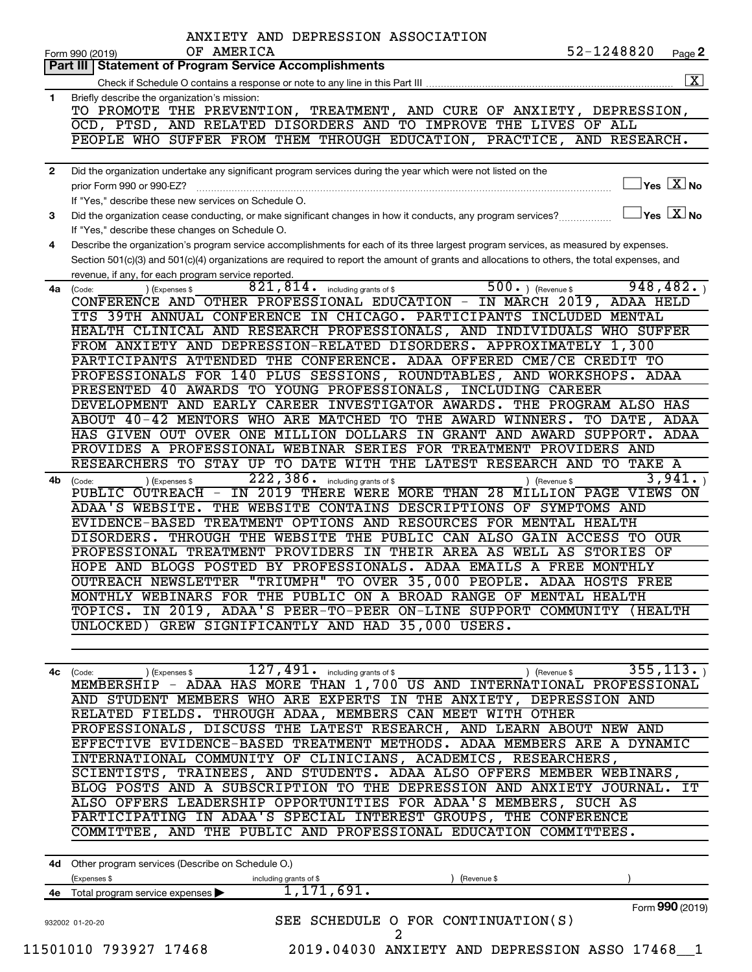| Part III   Statement of Program Service Accomplishments<br>Briefly describe the organization's mission:<br>1.<br>TO PROMOTE THE PREVENTION, TREATMENT, AND CURE OF ANXIETY, DEPRESSION,<br>OCD, PTSD, AND RELATED DISORDERS AND TO IMPROVE THE LIVES OF ALL<br>PEOPLE WHO SUFFER FROM THEM THROUGH EDUCATION, PRACTICE, AND RESEARCH.<br>$\mathbf{2}$<br>prior Form 990 or 990-EZ?<br>If "Yes," describe these new services on Schedule O.<br>Did the organization cease conducting, or make significant changes in how it conducts, any program services?<br>3<br>If "Yes," describe these changes on Schedule O.<br>Describe the organization's program service accomplishments for each of its three largest program services, as measured by expenses.<br>4<br>Section 501(c)(3) and 501(c)(4) organizations are required to report the amount of grants and allocations to others, the total expenses, and<br>revenue, if any, for each program service reported.<br>4a<br>(Code:<br>(Expenses \$<br>CONFERENCE AND OTHER PROFESSIONAL EDUCATION - IN MARCH 2019,<br>ITS 39TH ANNUAL CONFERENCE IN CHICAGO. PARTICIPANTS INCLUDED MENTAL<br>HEALTH CLINICAL AND RESEARCH PROFESSIONALS, AND INDIVIDUALS WHO SUFFER<br>FROM ANXIETY AND DEPRESSION-RELATED DISORDERS. APPROXIMATELY 1,300<br>PARTICIPANTS ATTENDED THE CONFERENCE. ADAA OFFERED CME/CE CREDIT TO<br>PROFESSIONALS FOR 140 PLUS SESSIONS, ROUNDTABLES, AND WORKSHOPS. ADAA<br>PRESENTED 40 AWARDS TO YOUNG PROFESSIONALS, INCLUDING CAREER<br>DEVELOPMENT AND EARLY CAREER INVESTIGATOR AWARDS. THE PROGRAM ALSO HAS<br>ABOUT 40-42 MENTORS WHO ARE MATCHED TO THE AWARD WINNERS.<br>222, 386.<br>4b<br>(Expenses \$<br>(Code:<br>PUBLIC OUTREACH -<br>ADAA'S WEBSITE.<br>4с<br>(Code:<br>(Expenses \$<br>MEMBERSHIP - ADAA HAS MORE THAN 1,700 US AND INTERNATIONAL PROFESSIONAL<br>4d Other program services (Describe on Schedule O.)<br>(Expenses \$ | Check if Schedule O contains a response or note to any line in this Part III                                 |                                                  |
|-----------------------------------------------------------------------------------------------------------------------------------------------------------------------------------------------------------------------------------------------------------------------------------------------------------------------------------------------------------------------------------------------------------------------------------------------------------------------------------------------------------------------------------------------------------------------------------------------------------------------------------------------------------------------------------------------------------------------------------------------------------------------------------------------------------------------------------------------------------------------------------------------------------------------------------------------------------------------------------------------------------------------------------------------------------------------------------------------------------------------------------------------------------------------------------------------------------------------------------------------------------------------------------------------------------------------------------------------------------------------------------------------------------------------------------------------------------------------------------------------------------------------------------------------------------------------------------------------------------------------------------------------------------------------------------------------------------------------------------------------------------------------------------------------------------------------------------------------------------------------------------------------------------------------------|--------------------------------------------------------------------------------------------------------------|--------------------------------------------------|
|                                                                                                                                                                                                                                                                                                                                                                                                                                                                                                                                                                                                                                                                                                                                                                                                                                                                                                                                                                                                                                                                                                                                                                                                                                                                                                                                                                                                                                                                                                                                                                                                                                                                                                                                                                                                                                                                                                                             |                                                                                                              |                                                  |
|                                                                                                                                                                                                                                                                                                                                                                                                                                                                                                                                                                                                                                                                                                                                                                                                                                                                                                                                                                                                                                                                                                                                                                                                                                                                                                                                                                                                                                                                                                                                                                                                                                                                                                                                                                                                                                                                                                                             |                                                                                                              |                                                  |
|                                                                                                                                                                                                                                                                                                                                                                                                                                                                                                                                                                                                                                                                                                                                                                                                                                                                                                                                                                                                                                                                                                                                                                                                                                                                                                                                                                                                                                                                                                                                                                                                                                                                                                                                                                                                                                                                                                                             |                                                                                                              |                                                  |
|                                                                                                                                                                                                                                                                                                                                                                                                                                                                                                                                                                                                                                                                                                                                                                                                                                                                                                                                                                                                                                                                                                                                                                                                                                                                                                                                                                                                                                                                                                                                                                                                                                                                                                                                                                                                                                                                                                                             |                                                                                                              |                                                  |
|                                                                                                                                                                                                                                                                                                                                                                                                                                                                                                                                                                                                                                                                                                                                                                                                                                                                                                                                                                                                                                                                                                                                                                                                                                                                                                                                                                                                                                                                                                                                                                                                                                                                                                                                                                                                                                                                                                                             |                                                                                                              |                                                  |
|                                                                                                                                                                                                                                                                                                                                                                                                                                                                                                                                                                                                                                                                                                                                                                                                                                                                                                                                                                                                                                                                                                                                                                                                                                                                                                                                                                                                                                                                                                                                                                                                                                                                                                                                                                                                                                                                                                                             |                                                                                                              |                                                  |
|                                                                                                                                                                                                                                                                                                                                                                                                                                                                                                                                                                                                                                                                                                                                                                                                                                                                                                                                                                                                                                                                                                                                                                                                                                                                                                                                                                                                                                                                                                                                                                                                                                                                                                                                                                                                                                                                                                                             | Did the organization undertake any significant program services during the year which were not listed on the |                                                  |
|                                                                                                                                                                                                                                                                                                                                                                                                                                                                                                                                                                                                                                                                                                                                                                                                                                                                                                                                                                                                                                                                                                                                                                                                                                                                                                                                                                                                                                                                                                                                                                                                                                                                                                                                                                                                                                                                                                                             |                                                                                                              | $Yes \quad \boxed{X}$ No                         |
|                                                                                                                                                                                                                                                                                                                                                                                                                                                                                                                                                                                                                                                                                                                                                                                                                                                                                                                                                                                                                                                                                                                                                                                                                                                                                                                                                                                                                                                                                                                                                                                                                                                                                                                                                                                                                                                                                                                             |                                                                                                              |                                                  |
|                                                                                                                                                                                                                                                                                                                                                                                                                                                                                                                                                                                                                                                                                                                                                                                                                                                                                                                                                                                                                                                                                                                                                                                                                                                                                                                                                                                                                                                                                                                                                                                                                                                                                                                                                                                                                                                                                                                             |                                                                                                              | $\mathsf{Yes}\ \overline{\mathbf{X}}\mathsf{No}$ |
|                                                                                                                                                                                                                                                                                                                                                                                                                                                                                                                                                                                                                                                                                                                                                                                                                                                                                                                                                                                                                                                                                                                                                                                                                                                                                                                                                                                                                                                                                                                                                                                                                                                                                                                                                                                                                                                                                                                             |                                                                                                              |                                                  |
|                                                                                                                                                                                                                                                                                                                                                                                                                                                                                                                                                                                                                                                                                                                                                                                                                                                                                                                                                                                                                                                                                                                                                                                                                                                                                                                                                                                                                                                                                                                                                                                                                                                                                                                                                                                                                                                                                                                             |                                                                                                              |                                                  |
|                                                                                                                                                                                                                                                                                                                                                                                                                                                                                                                                                                                                                                                                                                                                                                                                                                                                                                                                                                                                                                                                                                                                                                                                                                                                                                                                                                                                                                                                                                                                                                                                                                                                                                                                                                                                                                                                                                                             |                                                                                                              |                                                  |
|                                                                                                                                                                                                                                                                                                                                                                                                                                                                                                                                                                                                                                                                                                                                                                                                                                                                                                                                                                                                                                                                                                                                                                                                                                                                                                                                                                                                                                                                                                                                                                                                                                                                                                                                                                                                                                                                                                                             |                                                                                                              |                                                  |
|                                                                                                                                                                                                                                                                                                                                                                                                                                                                                                                                                                                                                                                                                                                                                                                                                                                                                                                                                                                                                                                                                                                                                                                                                                                                                                                                                                                                                                                                                                                                                                                                                                                                                                                                                                                                                                                                                                                             | $500.$ (Revenue \$<br>$821, 814$ . including grants of \$                                                    | 948, 482.                                        |
|                                                                                                                                                                                                                                                                                                                                                                                                                                                                                                                                                                                                                                                                                                                                                                                                                                                                                                                                                                                                                                                                                                                                                                                                                                                                                                                                                                                                                                                                                                                                                                                                                                                                                                                                                                                                                                                                                                                             |                                                                                                              | ADAA HELD                                        |
|                                                                                                                                                                                                                                                                                                                                                                                                                                                                                                                                                                                                                                                                                                                                                                                                                                                                                                                                                                                                                                                                                                                                                                                                                                                                                                                                                                                                                                                                                                                                                                                                                                                                                                                                                                                                                                                                                                                             |                                                                                                              |                                                  |
|                                                                                                                                                                                                                                                                                                                                                                                                                                                                                                                                                                                                                                                                                                                                                                                                                                                                                                                                                                                                                                                                                                                                                                                                                                                                                                                                                                                                                                                                                                                                                                                                                                                                                                                                                                                                                                                                                                                             |                                                                                                              |                                                  |
|                                                                                                                                                                                                                                                                                                                                                                                                                                                                                                                                                                                                                                                                                                                                                                                                                                                                                                                                                                                                                                                                                                                                                                                                                                                                                                                                                                                                                                                                                                                                                                                                                                                                                                                                                                                                                                                                                                                             |                                                                                                              |                                                  |
|                                                                                                                                                                                                                                                                                                                                                                                                                                                                                                                                                                                                                                                                                                                                                                                                                                                                                                                                                                                                                                                                                                                                                                                                                                                                                                                                                                                                                                                                                                                                                                                                                                                                                                                                                                                                                                                                                                                             |                                                                                                              |                                                  |
|                                                                                                                                                                                                                                                                                                                                                                                                                                                                                                                                                                                                                                                                                                                                                                                                                                                                                                                                                                                                                                                                                                                                                                                                                                                                                                                                                                                                                                                                                                                                                                                                                                                                                                                                                                                                                                                                                                                             |                                                                                                              |                                                  |
|                                                                                                                                                                                                                                                                                                                                                                                                                                                                                                                                                                                                                                                                                                                                                                                                                                                                                                                                                                                                                                                                                                                                                                                                                                                                                                                                                                                                                                                                                                                                                                                                                                                                                                                                                                                                                                                                                                                             |                                                                                                              |                                                  |
|                                                                                                                                                                                                                                                                                                                                                                                                                                                                                                                                                                                                                                                                                                                                                                                                                                                                                                                                                                                                                                                                                                                                                                                                                                                                                                                                                                                                                                                                                                                                                                                                                                                                                                                                                                                                                                                                                                                             |                                                                                                              |                                                  |
|                                                                                                                                                                                                                                                                                                                                                                                                                                                                                                                                                                                                                                                                                                                                                                                                                                                                                                                                                                                                                                                                                                                                                                                                                                                                                                                                                                                                                                                                                                                                                                                                                                                                                                                                                                                                                                                                                                                             |                                                                                                              |                                                  |
|                                                                                                                                                                                                                                                                                                                                                                                                                                                                                                                                                                                                                                                                                                                                                                                                                                                                                                                                                                                                                                                                                                                                                                                                                                                                                                                                                                                                                                                                                                                                                                                                                                                                                                                                                                                                                                                                                                                             |                                                                                                              | TO DATE,<br>ADAA                                 |
|                                                                                                                                                                                                                                                                                                                                                                                                                                                                                                                                                                                                                                                                                                                                                                                                                                                                                                                                                                                                                                                                                                                                                                                                                                                                                                                                                                                                                                                                                                                                                                                                                                                                                                                                                                                                                                                                                                                             | HAS GIVEN OUT OVER ONE MILLION DOLLARS IN GRANT AND AWARD SUPPORT.                                           | ADAA                                             |
|                                                                                                                                                                                                                                                                                                                                                                                                                                                                                                                                                                                                                                                                                                                                                                                                                                                                                                                                                                                                                                                                                                                                                                                                                                                                                                                                                                                                                                                                                                                                                                                                                                                                                                                                                                                                                                                                                                                             | PROVIDES A PROFESSIONAL WEBINAR SERIES FOR TREATMENT PROVIDERS AND                                           |                                                  |
|                                                                                                                                                                                                                                                                                                                                                                                                                                                                                                                                                                                                                                                                                                                                                                                                                                                                                                                                                                                                                                                                                                                                                                                                                                                                                                                                                                                                                                                                                                                                                                                                                                                                                                                                                                                                                                                                                                                             | RESEARCHERS TO STAY UP TO DATE WITH THE LATEST RESEARCH AND TO                                               | TAKE A                                           |
|                                                                                                                                                                                                                                                                                                                                                                                                                                                                                                                                                                                                                                                                                                                                                                                                                                                                                                                                                                                                                                                                                                                                                                                                                                                                                                                                                                                                                                                                                                                                                                                                                                                                                                                                                                                                                                                                                                                             | including grants of \$<br>) (Revenue \$                                                                      | 3,941.                                           |
|                                                                                                                                                                                                                                                                                                                                                                                                                                                                                                                                                                                                                                                                                                                                                                                                                                                                                                                                                                                                                                                                                                                                                                                                                                                                                                                                                                                                                                                                                                                                                                                                                                                                                                                                                                                                                                                                                                                             | IN 2019 THERE WERE MORE THAN 28 MILLION PAGE VIEWS ON                                                        |                                                  |
|                                                                                                                                                                                                                                                                                                                                                                                                                                                                                                                                                                                                                                                                                                                                                                                                                                                                                                                                                                                                                                                                                                                                                                                                                                                                                                                                                                                                                                                                                                                                                                                                                                                                                                                                                                                                                                                                                                                             | THE WEBSITE CONTAINS DESCRIPTIONS OF SYMPTOMS AND                                                            |                                                  |
|                                                                                                                                                                                                                                                                                                                                                                                                                                                                                                                                                                                                                                                                                                                                                                                                                                                                                                                                                                                                                                                                                                                                                                                                                                                                                                                                                                                                                                                                                                                                                                                                                                                                                                                                                                                                                                                                                                                             | EVIDENCE-BASED TREATMENT OPTIONS AND RESOURCES FOR MENTAL HEALTH                                             |                                                  |
|                                                                                                                                                                                                                                                                                                                                                                                                                                                                                                                                                                                                                                                                                                                                                                                                                                                                                                                                                                                                                                                                                                                                                                                                                                                                                                                                                                                                                                                                                                                                                                                                                                                                                                                                                                                                                                                                                                                             | DISORDERS. THROUGH THE WEBSITE THE PUBLIC CAN ALSO GAIN ACCESS TO OUR                                        |                                                  |
|                                                                                                                                                                                                                                                                                                                                                                                                                                                                                                                                                                                                                                                                                                                                                                                                                                                                                                                                                                                                                                                                                                                                                                                                                                                                                                                                                                                                                                                                                                                                                                                                                                                                                                                                                                                                                                                                                                                             | PROFESSIONAL TREATMENT PROVIDERS IN THEIR AREA AS WELL AS STORIES                                            | ΟF                                               |
|                                                                                                                                                                                                                                                                                                                                                                                                                                                                                                                                                                                                                                                                                                                                                                                                                                                                                                                                                                                                                                                                                                                                                                                                                                                                                                                                                                                                                                                                                                                                                                                                                                                                                                                                                                                                                                                                                                                             | HOPE AND BLOGS POSTED BY PROFESSIONALS. ADAA EMAILS A FREE MONTHLY                                           |                                                  |
|                                                                                                                                                                                                                                                                                                                                                                                                                                                                                                                                                                                                                                                                                                                                                                                                                                                                                                                                                                                                                                                                                                                                                                                                                                                                                                                                                                                                                                                                                                                                                                                                                                                                                                                                                                                                                                                                                                                             | OUTREACH NEWSLETTER "TRIUMPH" TO OVER 35,000 PEOPLE. ADAA HOSTS FREE                                         |                                                  |
|                                                                                                                                                                                                                                                                                                                                                                                                                                                                                                                                                                                                                                                                                                                                                                                                                                                                                                                                                                                                                                                                                                                                                                                                                                                                                                                                                                                                                                                                                                                                                                                                                                                                                                                                                                                                                                                                                                                             | MONTHLY WEBINARS FOR THE PUBLIC ON A BROAD RANGE OF MENTAL HEALTH                                            |                                                  |
|                                                                                                                                                                                                                                                                                                                                                                                                                                                                                                                                                                                                                                                                                                                                                                                                                                                                                                                                                                                                                                                                                                                                                                                                                                                                                                                                                                                                                                                                                                                                                                                                                                                                                                                                                                                                                                                                                                                             | TOPICS. IN 2019, ADAA'S PEER-TO-PEER ON-LINE SUPPORT COMMUNITY (HEALTH                                       |                                                  |
|                                                                                                                                                                                                                                                                                                                                                                                                                                                                                                                                                                                                                                                                                                                                                                                                                                                                                                                                                                                                                                                                                                                                                                                                                                                                                                                                                                                                                                                                                                                                                                                                                                                                                                                                                                                                                                                                                                                             | UNLOCKED) GREW SIGNIFICANTLY AND HAD 35,000 USERS.                                                           |                                                  |
|                                                                                                                                                                                                                                                                                                                                                                                                                                                                                                                                                                                                                                                                                                                                                                                                                                                                                                                                                                                                                                                                                                                                                                                                                                                                                                                                                                                                                                                                                                                                                                                                                                                                                                                                                                                                                                                                                                                             |                                                                                                              |                                                  |
|                                                                                                                                                                                                                                                                                                                                                                                                                                                                                                                                                                                                                                                                                                                                                                                                                                                                                                                                                                                                                                                                                                                                                                                                                                                                                                                                                                                                                                                                                                                                                                                                                                                                                                                                                                                                                                                                                                                             |                                                                                                              |                                                  |
|                                                                                                                                                                                                                                                                                                                                                                                                                                                                                                                                                                                                                                                                                                                                                                                                                                                                                                                                                                                                                                                                                                                                                                                                                                                                                                                                                                                                                                                                                                                                                                                                                                                                                                                                                                                                                                                                                                                             | $\overline{127}$ , $\overline{491}$ or including grants of \$<br>) (Revenue \$                               | 355, 113.                                        |
|                                                                                                                                                                                                                                                                                                                                                                                                                                                                                                                                                                                                                                                                                                                                                                                                                                                                                                                                                                                                                                                                                                                                                                                                                                                                                                                                                                                                                                                                                                                                                                                                                                                                                                                                                                                                                                                                                                                             |                                                                                                              |                                                  |
|                                                                                                                                                                                                                                                                                                                                                                                                                                                                                                                                                                                                                                                                                                                                                                                                                                                                                                                                                                                                                                                                                                                                                                                                                                                                                                                                                                                                                                                                                                                                                                                                                                                                                                                                                                                                                                                                                                                             | AND STUDENT MEMBERS WHO ARE EXPERTS IN THE ANXIETY, DEPRESSION AND                                           |                                                  |
|                                                                                                                                                                                                                                                                                                                                                                                                                                                                                                                                                                                                                                                                                                                                                                                                                                                                                                                                                                                                                                                                                                                                                                                                                                                                                                                                                                                                                                                                                                                                                                                                                                                                                                                                                                                                                                                                                                                             | RELATED FIELDS. THROUGH ADAA, MEMBERS CAN MEET WITH OTHER                                                    |                                                  |
|                                                                                                                                                                                                                                                                                                                                                                                                                                                                                                                                                                                                                                                                                                                                                                                                                                                                                                                                                                                                                                                                                                                                                                                                                                                                                                                                                                                                                                                                                                                                                                                                                                                                                                                                                                                                                                                                                                                             | PROFESSIONALS, DISCUSS THE LATEST RESEARCH, AND LEARN ABOUT NEW AND                                          |                                                  |
|                                                                                                                                                                                                                                                                                                                                                                                                                                                                                                                                                                                                                                                                                                                                                                                                                                                                                                                                                                                                                                                                                                                                                                                                                                                                                                                                                                                                                                                                                                                                                                                                                                                                                                                                                                                                                                                                                                                             | EFFECTIVE EVIDENCE-BASED TREATMENT METHODS. ADAA MEMBERS ARE A DYNAMIC                                       |                                                  |
|                                                                                                                                                                                                                                                                                                                                                                                                                                                                                                                                                                                                                                                                                                                                                                                                                                                                                                                                                                                                                                                                                                                                                                                                                                                                                                                                                                                                                                                                                                                                                                                                                                                                                                                                                                                                                                                                                                                             | INTERNATIONAL COMMUNITY OF CLINICIANS, ACADEMICS, RESEARCHERS,                                               |                                                  |
|                                                                                                                                                                                                                                                                                                                                                                                                                                                                                                                                                                                                                                                                                                                                                                                                                                                                                                                                                                                                                                                                                                                                                                                                                                                                                                                                                                                                                                                                                                                                                                                                                                                                                                                                                                                                                                                                                                                             | SCIENTISTS, TRAINEES, AND STUDENTS. ADAA ALSO OFFERS MEMBER WEBINARS,                                        |                                                  |
|                                                                                                                                                                                                                                                                                                                                                                                                                                                                                                                                                                                                                                                                                                                                                                                                                                                                                                                                                                                                                                                                                                                                                                                                                                                                                                                                                                                                                                                                                                                                                                                                                                                                                                                                                                                                                                                                                                                             | BLOG POSTS AND A SUBSCRIPTION TO THE DEPRESSION AND ANXIETY JOURNAL. IT                                      |                                                  |
|                                                                                                                                                                                                                                                                                                                                                                                                                                                                                                                                                                                                                                                                                                                                                                                                                                                                                                                                                                                                                                                                                                                                                                                                                                                                                                                                                                                                                                                                                                                                                                                                                                                                                                                                                                                                                                                                                                                             | ALSO OFFERS LEADERSHIP OPPORTUNITIES FOR ADAA'S MEMBERS, SUCH AS                                             |                                                  |
|                                                                                                                                                                                                                                                                                                                                                                                                                                                                                                                                                                                                                                                                                                                                                                                                                                                                                                                                                                                                                                                                                                                                                                                                                                                                                                                                                                                                                                                                                                                                                                                                                                                                                                                                                                                                                                                                                                                             | PARTICIPATING IN ADAA'S SPECIAL INTEREST GROUPS, THE CONFERENCE                                              |                                                  |
|                                                                                                                                                                                                                                                                                                                                                                                                                                                                                                                                                                                                                                                                                                                                                                                                                                                                                                                                                                                                                                                                                                                                                                                                                                                                                                                                                                                                                                                                                                                                                                                                                                                                                                                                                                                                                                                                                                                             | COMMITTEE, AND THE PUBLIC AND PROFESSIONAL EDUCATION COMMITTEES.                                             |                                                  |
|                                                                                                                                                                                                                                                                                                                                                                                                                                                                                                                                                                                                                                                                                                                                                                                                                                                                                                                                                                                                                                                                                                                                                                                                                                                                                                                                                                                                                                                                                                                                                                                                                                                                                                                                                                                                                                                                                                                             |                                                                                                              |                                                  |
|                                                                                                                                                                                                                                                                                                                                                                                                                                                                                                                                                                                                                                                                                                                                                                                                                                                                                                                                                                                                                                                                                                                                                                                                                                                                                                                                                                                                                                                                                                                                                                                                                                                                                                                                                                                                                                                                                                                             | including grants of \$<br>(Revenue \$                                                                        |                                                  |
| 4e Total program service expenses >                                                                                                                                                                                                                                                                                                                                                                                                                                                                                                                                                                                                                                                                                                                                                                                                                                                                                                                                                                                                                                                                                                                                                                                                                                                                                                                                                                                                                                                                                                                                                                                                                                                                                                                                                                                                                                                                                         | 1,171,691.                                                                                                   |                                                  |
|                                                                                                                                                                                                                                                                                                                                                                                                                                                                                                                                                                                                                                                                                                                                                                                                                                                                                                                                                                                                                                                                                                                                                                                                                                                                                                                                                                                                                                                                                                                                                                                                                                                                                                                                                                                                                                                                                                                             |                                                                                                              | Form 990 (2019)                                  |
| 932002 01-20-20                                                                                                                                                                                                                                                                                                                                                                                                                                                                                                                                                                                                                                                                                                                                                                                                                                                                                                                                                                                                                                                                                                                                                                                                                                                                                                                                                                                                                                                                                                                                                                                                                                                                                                                                                                                                                                                                                                             | SEE SCHEDULE O FOR CONTINUATION(S)<br>2                                                                      |                                                  |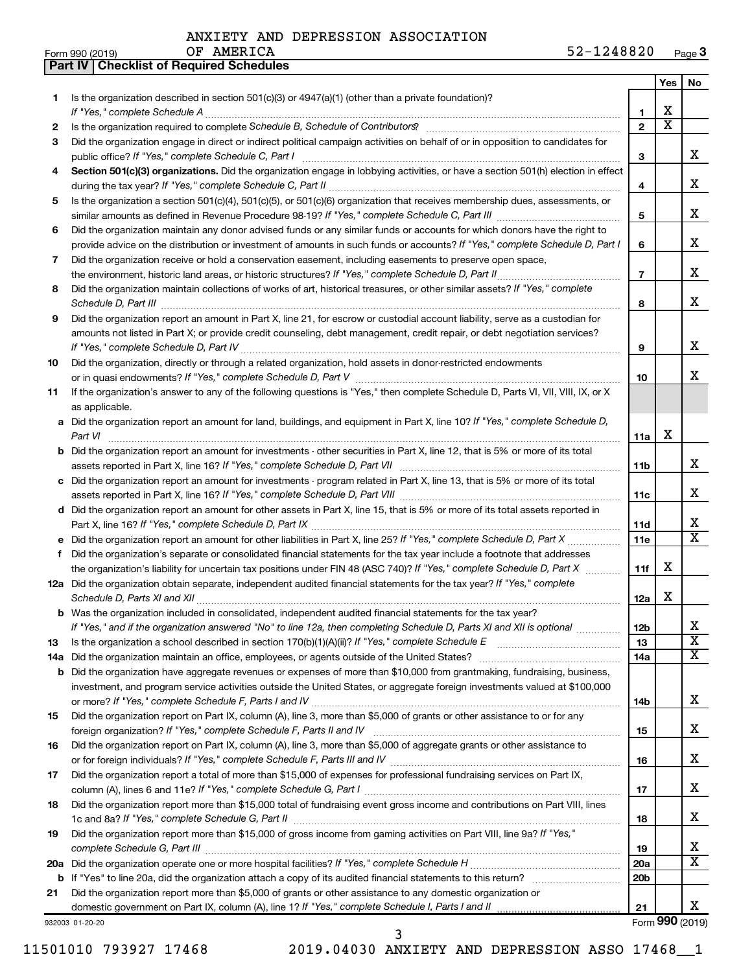|  |  |  | ANXIETY AND DEPRESSION ASSOCIATION |
|--|--|--|------------------------------------|
|--|--|--|------------------------------------|

**Part IV Checklist of Required Schedules**

| Form 990 (2019) | AMERICA | $52 -$  | -        |
|-----------------|---------|---------|----------|
|                 | ΟF      | 1248820 | Page $3$ |

|     |                                                                                                                                                                                                                                                           |                 | Yes                   | No                      |
|-----|-----------------------------------------------------------------------------------------------------------------------------------------------------------------------------------------------------------------------------------------------------------|-----------------|-----------------------|-------------------------|
| 1.  | Is the organization described in section 501(c)(3) or 4947(a)(1) (other than a private foundation)?                                                                                                                                                       |                 |                       |                         |
|     | If "Yes," complete Schedule A                                                                                                                                                                                                                             | 1               | х                     |                         |
| 2   | Is the organization required to complete Schedule B, Schedule of Contributors? [111] [12] the organization required to complete Schedule B, Schedule of Contributors? [11] [12] [12] the organization required to complete Sch                            | $\mathbf{z}$    | $\overline{\text{x}}$ |                         |
| 3   | Did the organization engage in direct or indirect political campaign activities on behalf of or in opposition to candidates for                                                                                                                           |                 |                       |                         |
|     | public office? If "Yes," complete Schedule C, Part I                                                                                                                                                                                                      | 3               |                       | x                       |
| 4   | Section 501(c)(3) organizations. Did the organization engage in lobbying activities, or have a section 501(h) election in effect                                                                                                                          | 4               |                       | x                       |
| 5   | Is the organization a section 501(c)(4), 501(c)(5), or 501(c)(6) organization that receives membership dues, assessments, or                                                                                                                              |                 |                       |                         |
|     |                                                                                                                                                                                                                                                           | 5               |                       | x                       |
| 6   | Did the organization maintain any donor advised funds or any similar funds or accounts for which donors have the right to<br>provide advice on the distribution or investment of amounts in such funds or accounts? If "Yes," complete Schedule D, Part I | 6               |                       | x                       |
| 7   | Did the organization receive or hold a conservation easement, including easements to preserve open space,                                                                                                                                                 |                 |                       |                         |
|     | the environment, historic land areas, or historic structures? If "Yes," complete Schedule D, Part II.                                                                                                                                                     | $\overline{7}$  |                       | x                       |
| 8   | Did the organization maintain collections of works of art, historical treasures, or other similar assets? If "Yes," complete                                                                                                                              | 8               |                       | x                       |
| 9   | Did the organization report an amount in Part X, line 21, for escrow or custodial account liability, serve as a custodian for                                                                                                                             |                 |                       |                         |
|     | amounts not listed in Part X; or provide credit counseling, debt management, credit repair, or debt negotiation services?                                                                                                                                 | 9               |                       | x                       |
| 10  | Did the organization, directly or through a related organization, hold assets in donor-restricted endowments                                                                                                                                              |                 |                       |                         |
|     |                                                                                                                                                                                                                                                           | 10              |                       | x                       |
| 11  | If the organization's answer to any of the following questions is "Yes," then complete Schedule D, Parts VI, VII, VIII, IX, or X<br>as applicable.                                                                                                        |                 |                       |                         |
|     | a Did the organization report an amount for land, buildings, and equipment in Part X, line 10? If "Yes," complete Schedule D,                                                                                                                             |                 |                       |                         |
|     | Part VI                                                                                                                                                                                                                                                   | 11a             | х                     |                         |
|     | <b>b</b> Did the organization report an amount for investments - other securities in Part X, line 12, that is 5% or more of its total                                                                                                                     | 11b             |                       | x                       |
|     | c Did the organization report an amount for investments - program related in Part X, line 13, that is 5% or more of its total                                                                                                                             |                 |                       |                         |
|     |                                                                                                                                                                                                                                                           | 11c             |                       | x                       |
|     | d Did the organization report an amount for other assets in Part X, line 15, that is 5% or more of its total assets reported in                                                                                                                           |                 |                       |                         |
|     |                                                                                                                                                                                                                                                           | 11d             |                       | x                       |
|     |                                                                                                                                                                                                                                                           | 11e             |                       | $\overline{\mathtt{x}}$ |
| f   | Did the organization's separate or consolidated financial statements for the tax year include a footnote that addresses                                                                                                                                   |                 |                       |                         |
|     | the organization's liability for uncertain tax positions under FIN 48 (ASC 740)? If "Yes," complete Schedule D, Part X                                                                                                                                    | 11f             | х                     |                         |
|     | 12a Did the organization obtain separate, independent audited financial statements for the tax year? If "Yes," complete<br>Schedule D, Parts XI and XII                                                                                                   | 12a             | х                     |                         |
|     | <b>b</b> Was the organization included in consolidated, independent audited financial statements for the tax year?                                                                                                                                        |                 |                       |                         |
|     | If "Yes," and if the organization answered "No" to line 12a, then completing Schedule D, Parts XI and XII is optional                                                                                                                                     | 12b             |                       | ┻                       |
| 13  | Is the organization a school described in section $170(b)(1)(A)(ii)$ ? If "Yes," complete Schedule E                                                                                                                                                      | 13              |                       | $\overline{\textbf{x}}$ |
| 14a | Did the organization maintain an office, employees, or agents outside of the United States?                                                                                                                                                               | 14a             |                       | $\overline{\mathbf{X}}$ |
|     | <b>b</b> Did the organization have aggregate revenues or expenses of more than \$10,000 from grantmaking, fundraising, business,                                                                                                                          |                 |                       |                         |
|     | investment, and program service activities outside the United States, or aggregate foreign investments valued at \$100,000                                                                                                                                |                 |                       |                         |
|     |                                                                                                                                                                                                                                                           | 14b             |                       | x                       |
| 15  | Did the organization report on Part IX, column (A), line 3, more than \$5,000 of grants or other assistance to or for any                                                                                                                                 |                 |                       |                         |
|     |                                                                                                                                                                                                                                                           | 15              |                       | x                       |
| 16  | Did the organization report on Part IX, column (A), line 3, more than \$5,000 of aggregate grants or other assistance to                                                                                                                                  |                 |                       |                         |
|     |                                                                                                                                                                                                                                                           | 16              |                       | x                       |
| 17  | Did the organization report a total of more than \$15,000 of expenses for professional fundraising services on Part IX,                                                                                                                                   |                 |                       |                         |
|     |                                                                                                                                                                                                                                                           | 17              |                       | x                       |
| 18  | Did the organization report more than \$15,000 total of fundraising event gross income and contributions on Part VIII, lines                                                                                                                              | 18              |                       | x                       |
| 19  | Did the organization report more than \$15,000 of gross income from gaming activities on Part VIII, line 9a? If "Yes,"                                                                                                                                    |                 |                       |                         |
|     | complete Schedule G, Part III                                                                                                                                                                                                                             | 19              |                       | x                       |
|     |                                                                                                                                                                                                                                                           | 20a             |                       | $\overline{\mathtt{x}}$ |
|     |                                                                                                                                                                                                                                                           | 20 <sub>b</sub> |                       |                         |
| 21  | Did the organization report more than \$5,000 of grants or other assistance to any domestic organization or                                                                                                                                               |                 |                       |                         |
|     |                                                                                                                                                                                                                                                           | 21              |                       | x.                      |
|     | 932003 01-20-20                                                                                                                                                                                                                                           |                 |                       | Form 990 (2019)         |

11501010 793927 17468 2019.04030 ANXIETY AND DEPRESSION ASSO 17468\_\_1 3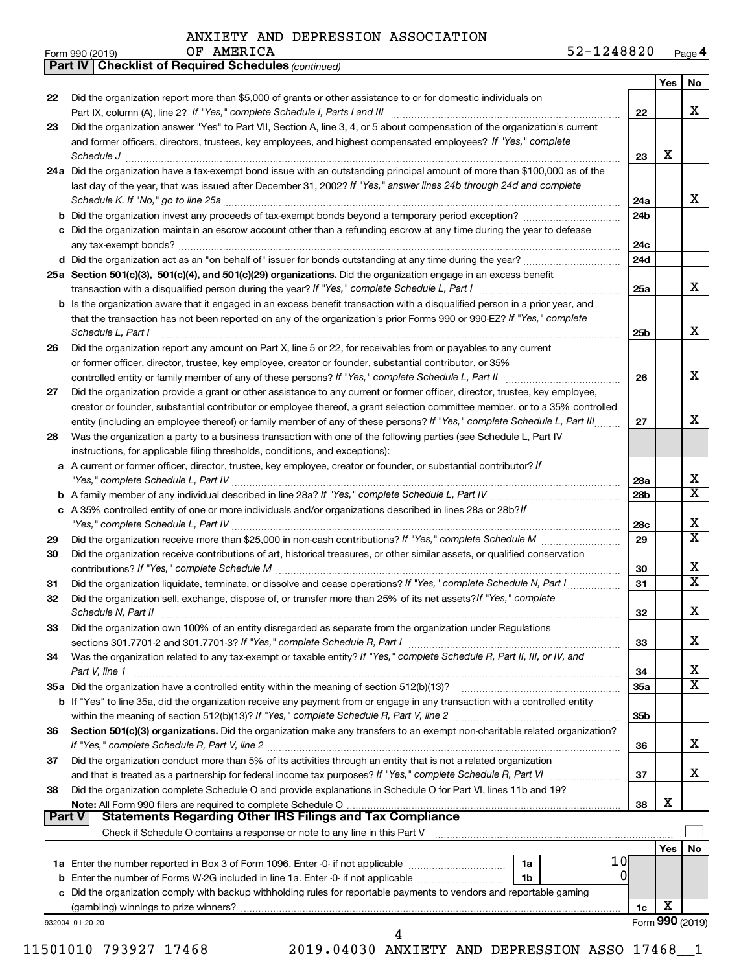OF AMERICA

|        | <b>Part IV   Checklist of Required Schedules (continued)</b>                                                                                                         |                 |     |                            |
|--------|----------------------------------------------------------------------------------------------------------------------------------------------------------------------|-----------------|-----|----------------------------|
|        |                                                                                                                                                                      |                 | Yes | No                         |
| 22     | Did the organization report more than \$5,000 of grants or other assistance to or for domestic individuals on                                                        |                 |     |                            |
|        |                                                                                                                                                                      | 22              |     | х                          |
| 23     | Did the organization answer "Yes" to Part VII, Section A, line 3, 4, or 5 about compensation of the organization's current                                           |                 |     |                            |
|        | and former officers, directors, trustees, key employees, and highest compensated employees? If "Yes," complete                                                       |                 |     |                            |
|        | Schedule J <b>Production Construction Construction Construction</b> Construction Construction Construction Construction                                              | 23              | X   |                            |
|        | 24a Did the organization have a tax-exempt bond issue with an outstanding principal amount of more than \$100,000 as of the                                          |                 |     |                            |
|        | last day of the year, that was issued after December 31, 2002? If "Yes," answer lines 24b through 24d and complete                                                   |                 |     |                            |
|        |                                                                                                                                                                      | 24a             |     | X.                         |
|        |                                                                                                                                                                      | 24 <sub>b</sub> |     |                            |
|        | c Did the organization maintain an escrow account other than a refunding escrow at any time during the year to defease                                               |                 |     |                            |
|        |                                                                                                                                                                      | 24c             |     |                            |
|        |                                                                                                                                                                      |                 |     |                            |
|        |                                                                                                                                                                      | 24 <sub>d</sub> |     |                            |
|        | 25a Section 501(c)(3), 501(c)(4), and 501(c)(29) organizations. Did the organization engage in an excess benefit                                                     |                 |     | x                          |
|        |                                                                                                                                                                      | 25a             |     |                            |
|        | b Is the organization aware that it engaged in an excess benefit transaction with a disqualified person in a prior year, and                                         |                 |     |                            |
|        | that the transaction has not been reported on any of the organization's prior Forms 990 or 990-EZ? If "Yes," complete                                                |                 |     |                            |
|        | Schedule L, Part I                                                                                                                                                   | 25b             |     | x                          |
| 26     | Did the organization report any amount on Part X, line 5 or 22, for receivables from or payables to any current                                                      |                 |     |                            |
|        | or former officer, director, trustee, key employee, creator or founder, substantial contributor, or 35%                                                              |                 |     |                            |
|        |                                                                                                                                                                      | 26              |     | x                          |
| 27     | Did the organization provide a grant or other assistance to any current or former officer, director, trustee, key employee,                                          |                 |     |                            |
|        | creator or founder, substantial contributor or employee thereof, a grant selection committee member, or to a 35% controlled                                          |                 |     |                            |
|        | entity (including an employee thereof) or family member of any of these persons? If "Yes," complete Schedule L, Part III                                             | 27              |     | x                          |
| 28     | Was the organization a party to a business transaction with one of the following parties (see Schedule L, Part IV                                                    |                 |     |                            |
|        | instructions, for applicable filing thresholds, conditions, and exceptions):                                                                                         |                 |     |                            |
|        | a A current or former officer, director, trustee, key employee, creator or founder, or substantial contributor? If                                                   |                 |     |                            |
|        |                                                                                                                                                                      | 28a             |     | х                          |
|        |                                                                                                                                                                      | 28 <sub>b</sub> |     | $\overline{\mathbf{X}}$    |
|        | c A 35% controlled entity of one or more individuals and/or organizations described in lines 28a or 28b?/f                                                           |                 |     |                            |
|        |                                                                                                                                                                      | 28c             |     | х                          |
| 29     |                                                                                                                                                                      | 29              |     | $\overline{\text{X}}$      |
| 30     | Did the organization receive contributions of art, historical treasures, or other similar assets, or qualified conservation                                          |                 |     |                            |
|        |                                                                                                                                                                      | 30              |     | x                          |
| 31     | Did the organization liquidate, terminate, or dissolve and cease operations? If "Yes," complete Schedule N, Part I                                                   | 31              |     | X                          |
| 32     | Did the organization sell, exchange, dispose of, or transfer more than 25% of its net assets? If "Yes," complete                                                     |                 |     |                            |
|        | Schedule N, Part II                                                                                                                                                  | 32              |     | Х                          |
| 33     | Did the organization own 100% of an entity disregarded as separate from the organization under Regulations                                                           |                 |     |                            |
|        |                                                                                                                                                                      |                 |     | х                          |
|        |                                                                                                                                                                      | 33              |     |                            |
| 34     | Was the organization related to any tax-exempt or taxable entity? If "Yes," complete Schedule R, Part II, III, or IV, and                                            |                 |     |                            |
|        | Part V, line 1                                                                                                                                                       | 34              |     | x<br>$\overline{\text{X}}$ |
|        | 35a Did the organization have a controlled entity within the meaning of section 512(b)(13)?                                                                          | 35a             |     |                            |
|        | b If "Yes" to line 35a, did the organization receive any payment from or engage in any transaction with a controlled entity                                          |                 |     |                            |
|        |                                                                                                                                                                      | 35 <sub>b</sub> |     |                            |
| 36     | Section 501(c)(3) organizations. Did the organization make any transfers to an exempt non-charitable related organization?                                           |                 |     |                            |
|        |                                                                                                                                                                      | 36              |     | x                          |
| 37     | Did the organization conduct more than 5% of its activities through an entity that is not a related organization                                                     |                 |     |                            |
|        |                                                                                                                                                                      | 37              |     | x.                         |
| 38     | Did the organization complete Schedule O and provide explanations in Schedule O for Part VI, lines 11b and 19?                                                       |                 |     |                            |
|        |                                                                                                                                                                      | 38              | х   |                            |
| Part V | <b>Statements Regarding Other IRS Filings and Tax Compliance</b>                                                                                                     |                 |     |                            |
|        | Check if Schedule O contains a response or note to any line in this Part V [11] [12] [12] Check if Schedule O contains a response or note to any line in this Part V |                 |     |                            |
|        |                                                                                                                                                                      |                 | Yes | No                         |
|        | 1 OI                                                                                                                                                                 |                 |     |                            |
|        | 0<br>1b                                                                                                                                                              |                 |     |                            |
|        | c Did the organization comply with backup withholding rules for reportable payments to vendors and reportable gaming                                                 |                 |     |                            |
|        |                                                                                                                                                                      | 1c              | х   |                            |
|        | 932004 01-20-20                                                                                                                                                      |                 |     | Form 990 (2019)            |
|        | 4                                                                                                                                                                    |                 |     |                            |

11501010 793927 17468 2019.04030 ANXIETY AND DEPRESSION ASSO 17468\_\_1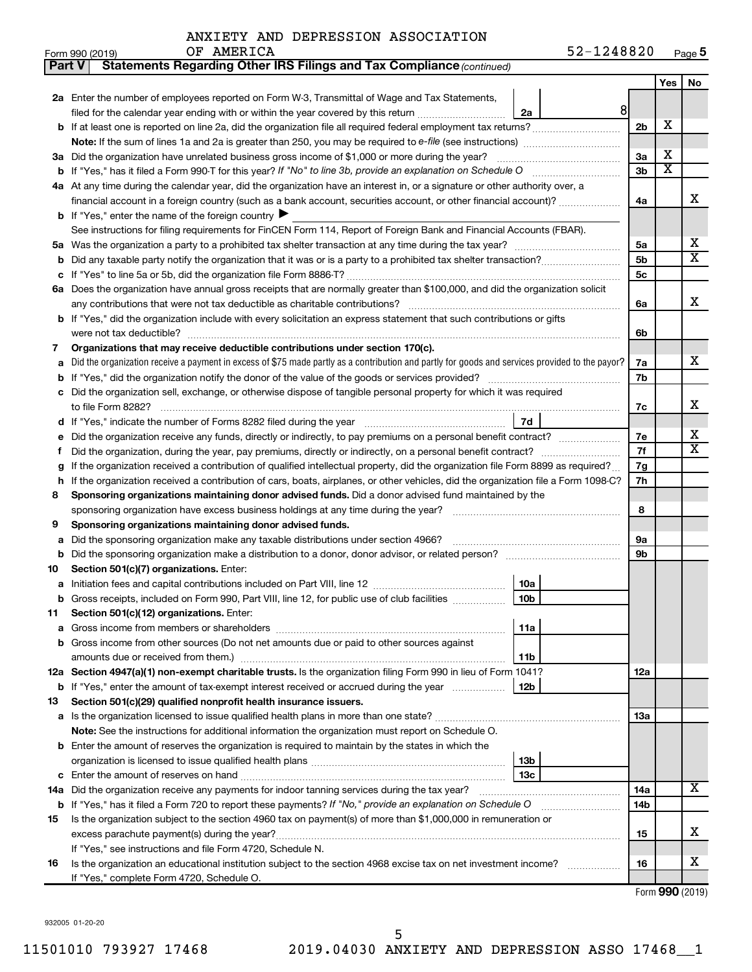| Part V                                                                                                              | <b>Statements Regarding Other IRS Filings and Tax Compliance (continued)</b>                                                                    |                |                       |                         |  |  |  |
|---------------------------------------------------------------------------------------------------------------------|-------------------------------------------------------------------------------------------------------------------------------------------------|----------------|-----------------------|-------------------------|--|--|--|
|                                                                                                                     |                                                                                                                                                 |                | Yes                   | No                      |  |  |  |
|                                                                                                                     | 2a Enter the number of employees reported on Form W-3, Transmittal of Wage and Tax Statements,                                                  |                |                       |                         |  |  |  |
|                                                                                                                     | 8 <sup>1</sup><br>filed for the calendar year ending with or within the year covered by this return<br>2a                                       |                |                       |                         |  |  |  |
| b                                                                                                                   | If at least one is reported on line 2a, did the organization file all required federal employment tax returns?                                  | 2 <sub>b</sub> | х                     |                         |  |  |  |
|                                                                                                                     | Note: If the sum of lines 1a and 2a is greater than 250, you may be required to e-file (see instructions) <i></i>                               |                |                       |                         |  |  |  |
|                                                                                                                     | 3a Did the organization have unrelated business gross income of \$1,000 or more during the year?                                                | 3a             | х                     |                         |  |  |  |
| b                                                                                                                   |                                                                                                                                                 | 3 <sub>b</sub> | $\overline{\text{x}}$ |                         |  |  |  |
|                                                                                                                     | 4a At any time during the calendar year, did the organization have an interest in, or a signature or other authority over, a                    |                |                       |                         |  |  |  |
|                                                                                                                     | financial account in a foreign country (such as a bank account, securities account, or other financial account)?                                | 4a             |                       | X                       |  |  |  |
|                                                                                                                     | <b>b</b> If "Yes," enter the name of the foreign country $\blacktriangleright$                                                                  |                |                       |                         |  |  |  |
|                                                                                                                     | See instructions for filing requirements for FinCEN Form 114, Report of Foreign Bank and Financial Accounts (FBAR).                             |                |                       |                         |  |  |  |
| 5a                                                                                                                  |                                                                                                                                                 | 5a             |                       | х                       |  |  |  |
| b                                                                                                                   |                                                                                                                                                 | 5 <sub>b</sub> |                       | $\overline{\texttt{x}}$ |  |  |  |
|                                                                                                                     |                                                                                                                                                 | 5c             |                       |                         |  |  |  |
|                                                                                                                     | 6a Does the organization have annual gross receipts that are normally greater than \$100,000, and did the organization solicit                  |                |                       |                         |  |  |  |
|                                                                                                                     |                                                                                                                                                 | 6a             |                       | X                       |  |  |  |
| b                                                                                                                   | If "Yes," did the organization include with every solicitation an express statement that such contributions or gifts                            |                |                       |                         |  |  |  |
|                                                                                                                     | were not tax deductible?                                                                                                                        | 6b             |                       |                         |  |  |  |
| 7                                                                                                                   | Organizations that may receive deductible contributions under section 170(c).                                                                   |                |                       |                         |  |  |  |
| a                                                                                                                   | Did the organization receive a payment in excess of \$75 made partly as a contribution and partly for goods and services provided to the payor? | 7a             |                       | x                       |  |  |  |
| b                                                                                                                   |                                                                                                                                                 | 7b             |                       |                         |  |  |  |
|                                                                                                                     | Did the organization sell, exchange, or otherwise dispose of tangible personal property for which it was required                               |                |                       |                         |  |  |  |
|                                                                                                                     | to file Form 8282?                                                                                                                              | 7с             |                       | x                       |  |  |  |
| d                                                                                                                   | 7d                                                                                                                                              |                |                       |                         |  |  |  |
|                                                                                                                     | Did the organization receive any funds, directly or indirectly, to pay premiums on a personal benefit contract?                                 | 7е             |                       | х                       |  |  |  |
| f                                                                                                                   |                                                                                                                                                 | 7f             |                       | $\overline{\texttt{x}}$ |  |  |  |
| g                                                                                                                   | If the organization received a contribution of qualified intellectual property, did the organization file Form 8899 as required?                | 7g             |                       |                         |  |  |  |
| h                                                                                                                   | If the organization received a contribution of cars, boats, airplanes, or other vehicles, did the organization file a Form 1098-C?              | 7h             |                       |                         |  |  |  |
| 8                                                                                                                   | Sponsoring organizations maintaining donor advised funds. Did a donor advised fund maintained by the                                            |                |                       |                         |  |  |  |
|                                                                                                                     | sponsoring organization have excess business holdings at any time during the year? [11111111111111111111111111                                  | 8              |                       |                         |  |  |  |
| 9                                                                                                                   | Sponsoring organizations maintaining donor advised funds.                                                                                       |                |                       |                         |  |  |  |
| а                                                                                                                   | Did the sponsoring organization make any taxable distributions under section 4966?                                                              | 9а             |                       |                         |  |  |  |
| b                                                                                                                   |                                                                                                                                                 | 9b             |                       |                         |  |  |  |
| 10                                                                                                                  | Section 501(c)(7) organizations. Enter:<br>10a                                                                                                  |                |                       |                         |  |  |  |
| а                                                                                                                   | 10 <sub>b</sub><br>Gross receipts, included on Form 990, Part VIII, line 12, for public use of club facilities                                  |                |                       |                         |  |  |  |
|                                                                                                                     | Section 501(c)(12) organizations. Enter:                                                                                                        |                |                       |                         |  |  |  |
| 11<br>а                                                                                                             | 11a                                                                                                                                             |                |                       |                         |  |  |  |
| b                                                                                                                   | Gross income from other sources (Do not net amounts due or paid to other sources against                                                        |                |                       |                         |  |  |  |
|                                                                                                                     | 11b                                                                                                                                             |                |                       |                         |  |  |  |
|                                                                                                                     | 12a Section 4947(a)(1) non-exempt charitable trusts. Is the organization filing Form 990 in lieu of Form 1041?                                  | 12a            |                       |                         |  |  |  |
|                                                                                                                     | b If "Yes," enter the amount of tax-exempt interest received or accrued during the year<br>12b                                                  |                |                       |                         |  |  |  |
| 13                                                                                                                  | Section 501(c)(29) qualified nonprofit health insurance issuers.                                                                                |                |                       |                         |  |  |  |
|                                                                                                                     | a Is the organization licensed to issue qualified health plans in more than one state?                                                          | 13a            |                       |                         |  |  |  |
|                                                                                                                     | Note: See the instructions for additional information the organization must report on Schedule O.                                               |                |                       |                         |  |  |  |
| b                                                                                                                   | Enter the amount of reserves the organization is required to maintain by the states in which the                                                |                |                       |                         |  |  |  |
|                                                                                                                     | 13b                                                                                                                                             |                |                       |                         |  |  |  |
| с                                                                                                                   | 13c                                                                                                                                             |                |                       |                         |  |  |  |
|                                                                                                                     | 14a Did the organization receive any payments for indoor tanning services during the tax year?                                                  |                |                       |                         |  |  |  |
|                                                                                                                     | <b>b</b> If "Yes," has it filed a Form 720 to report these payments? If "No," provide an explanation on Schedule O                              |                |                       |                         |  |  |  |
| Is the organization subject to the section 4960 tax on payment(s) of more than \$1,000,000 in remuneration or<br>15 |                                                                                                                                                 |                |                       |                         |  |  |  |
|                                                                                                                     |                                                                                                                                                 |                |                       |                         |  |  |  |
|                                                                                                                     | If "Yes," see instructions and file Form 4720, Schedule N.                                                                                      |                |                       |                         |  |  |  |
| 16                                                                                                                  | Is the organization an educational institution subject to the section 4968 excise tax on net investment income?                                 | 16             |                       | x                       |  |  |  |
|                                                                                                                     | If "Yes," complete Form 4720, Schedule O.                                                                                                       |                |                       |                         |  |  |  |

Form (2019) **990**

932005 01-20-20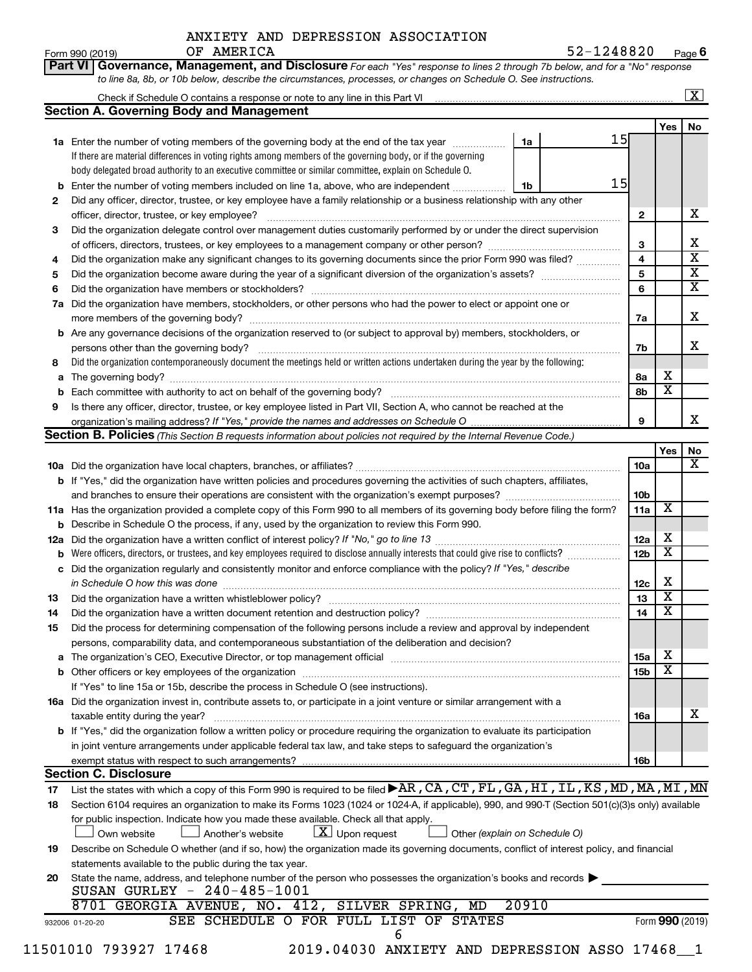**Part VI Governance, Management, and Disclosure** 

Form 990 (2019) Page **6** OF AMERICA 6 (1991) 1248820 (1992)

*For each "Yes" response to lines 2 through 7b below, and for a "No" response*

|          | <b>Section A. Governing Body and Management</b>                                                                                                  |       |    |                 |                         |                              |  |  |  |
|----------|--------------------------------------------------------------------------------------------------------------------------------------------------|-------|----|-----------------|-------------------------|------------------------------|--|--|--|
|          |                                                                                                                                                  |       |    |                 | Yes                     | No                           |  |  |  |
|          | 1a Enter the number of voting members of the governing body at the end of the tax year                                                           | 1a    | 15 |                 |                         |                              |  |  |  |
|          | If there are material differences in voting rights among members of the governing body, or if the governing                                      |       |    |                 |                         |                              |  |  |  |
|          | body delegated broad authority to an executive committee or similar committee, explain on Schedule O.                                            |       |    |                 |                         |                              |  |  |  |
|          | <b>b</b> Enter the number of voting members included on line 1a, above, who are independent                                                      | 1b    | 15 |                 |                         |                              |  |  |  |
| 2        | Did any officer, director, trustee, or key employee have a family relationship or a business relationship with any other                         |       |    |                 |                         |                              |  |  |  |
|          | officer, director, trustee, or key employee?                                                                                                     |       |    | $\mathbf{2}$    |                         | x                            |  |  |  |
| З        | Did the organization delegate control over management duties customarily performed by or under the direct supervision                            |       |    |                 |                         |                              |  |  |  |
|          |                                                                                                                                                  |       |    | 3               |                         | X<br>$\overline{\mathbf{x}}$ |  |  |  |
| 4        | Did the organization make any significant changes to its governing documents since the prior Form 990 was filed?                                 |       |    | $\overline{4}$  |                         | $\overline{\mathbf{X}}$      |  |  |  |
| 5        |                                                                                                                                                  |       |    | 5               |                         | $\overline{\textbf{X}}$      |  |  |  |
| 6        |                                                                                                                                                  |       |    | 6               |                         |                              |  |  |  |
| 7a       | Did the organization have members, stockholders, or other persons who had the power to elect or appoint one or                                   |       |    |                 |                         | X                            |  |  |  |
|          |                                                                                                                                                  |       |    | 7a              |                         |                              |  |  |  |
|          | <b>b</b> Are any governance decisions of the organization reserved to (or subject to approval by) members, stockholders, or                      |       |    |                 |                         | X                            |  |  |  |
|          | persons other than the governing body?                                                                                                           |       |    | 7b              |                         |                              |  |  |  |
| 8        | Did the organization contemporaneously document the meetings held or written actions undertaken during the year by the following:                |       |    |                 | х                       |                              |  |  |  |
| a        |                                                                                                                                                  |       |    | 8а<br>8b        | $\overline{\textbf{x}}$ |                              |  |  |  |
| 9        |                                                                                                                                                  |       |    |                 |                         |                              |  |  |  |
|          | Is there any officer, director, trustee, or key employee listed in Part VII, Section A, who cannot be reached at the                             |       |    | 9               |                         | х                            |  |  |  |
|          | <b>Section B. Policies</b> (This Section B requests information about policies not required by the Internal Revenue Code.)                       |       |    |                 |                         |                              |  |  |  |
|          |                                                                                                                                                  |       |    |                 | Yes                     | No                           |  |  |  |
|          |                                                                                                                                                  |       |    | 10a             |                         | х                            |  |  |  |
|          | b If "Yes," did the organization have written policies and procedures governing the activities of such chapters, affiliates,                     |       |    |                 |                         |                              |  |  |  |
|          |                                                                                                                                                  |       |    | 10b             |                         |                              |  |  |  |
|          | 11a Has the organization provided a complete copy of this Form 990 to all members of its governing body before filing the form?                  |       |    | 11a             | X                       |                              |  |  |  |
|          | <b>b</b> Describe in Schedule O the process, if any, used by the organization to review this Form 990.                                           |       |    |                 |                         |                              |  |  |  |
| 12a      |                                                                                                                                                  |       |    | 12a             | X                       |                              |  |  |  |
|          | Were officers, directors, or trustees, and key employees required to disclose annually interests that could give rise to conflicts?              |       |    | 12 <sub>b</sub> | $\overline{\textbf{x}}$ |                              |  |  |  |
|          | c Did the organization regularly and consistently monitor and enforce compliance with the policy? If "Yes," describe                             |       |    |                 |                         |                              |  |  |  |
|          | in Schedule O how this was done manufactured and continuum and contact the was done manufactured and contact t                                   |       |    | 12c             | х                       |                              |  |  |  |
| 13       |                                                                                                                                                  |       |    | 13              | $\overline{\textbf{x}}$ |                              |  |  |  |
| 14       |                                                                                                                                                  |       |    | 14              | $\overline{\textbf{x}}$ |                              |  |  |  |
| 15       | Did the process for determining compensation of the following persons include a review and approval by independent                               |       |    |                 |                         |                              |  |  |  |
|          | persons, comparability data, and contemporaneous substantiation of the deliberation and decision?                                                |       |    |                 |                         |                              |  |  |  |
|          |                                                                                                                                                  |       |    | 15a             | х                       |                              |  |  |  |
|          |                                                                                                                                                  |       |    | 15 <sub>b</sub> | $\overline{\textbf{x}}$ |                              |  |  |  |
|          | If "Yes" to line 15a or 15b, describe the process in Schedule O (see instructions).                                                              |       |    |                 |                         |                              |  |  |  |
|          | 16a Did the organization invest in, contribute assets to, or participate in a joint venture or similar arrangement with a                        |       |    |                 |                         |                              |  |  |  |
|          | taxable entity during the year?                                                                                                                  |       |    | 16a             |                         | x                            |  |  |  |
|          | b If "Yes," did the organization follow a written policy or procedure requiring the organization to evaluate its participation                   |       |    |                 |                         |                              |  |  |  |
|          | in joint venture arrangements under applicable federal tax law, and take steps to safeguard the organization's                                   |       |    |                 |                         |                              |  |  |  |
|          | exempt status with respect to such arrangements?                                                                                                 |       |    | 16b             |                         |                              |  |  |  |
|          | <b>Section C. Disclosure</b>                                                                                                                     |       |    |                 |                         |                              |  |  |  |
| 17       | List the states with which a copy of this Form 990 is required to be filed >AR, CA, CT, FL, GA, HI, IL, KS, MD, MA, MI, MN                       |       |    |                 |                         |                              |  |  |  |
| 18       | Section 6104 requires an organization to make its Forms 1023 (1024 or 1024-A, if applicable), 990, and 990-T (Section 501(c)(3)s only) available |       |    |                 |                         |                              |  |  |  |
|          | for public inspection. Indicate how you made these available. Check all that apply.                                                              |       |    |                 |                         |                              |  |  |  |
|          | $\lfloor x \rfloor$ Upon request<br>Another's website<br>Other (explain on Schedule O)<br>Own website                                            |       |    |                 |                         |                              |  |  |  |
|          | Describe on Schedule O whether (and if so, how) the organization made its governing documents, conflict of interest policy, and financial        |       |    |                 |                         |                              |  |  |  |
|          | statements available to the public during the tax year.                                                                                          |       |    |                 |                         |                              |  |  |  |
|          | State the name, address, and telephone number of the person who possesses the organization's books and records                                   |       |    |                 |                         |                              |  |  |  |
|          |                                                                                                                                                  |       |    |                 |                         |                              |  |  |  |
| 19<br>20 | SUSAN GURLEY - 240-485-1001                                                                                                                      |       |    |                 |                         |                              |  |  |  |
|          | 8701 GEORGIA AVENUE, NO. 412, SILVER SPRING, MD<br>SEE SCHEDULE O FOR FULL LIST OF STATES<br>932006 01-20-20                                     | 20910 |    |                 | Form 990 (2019)         |                              |  |  |  |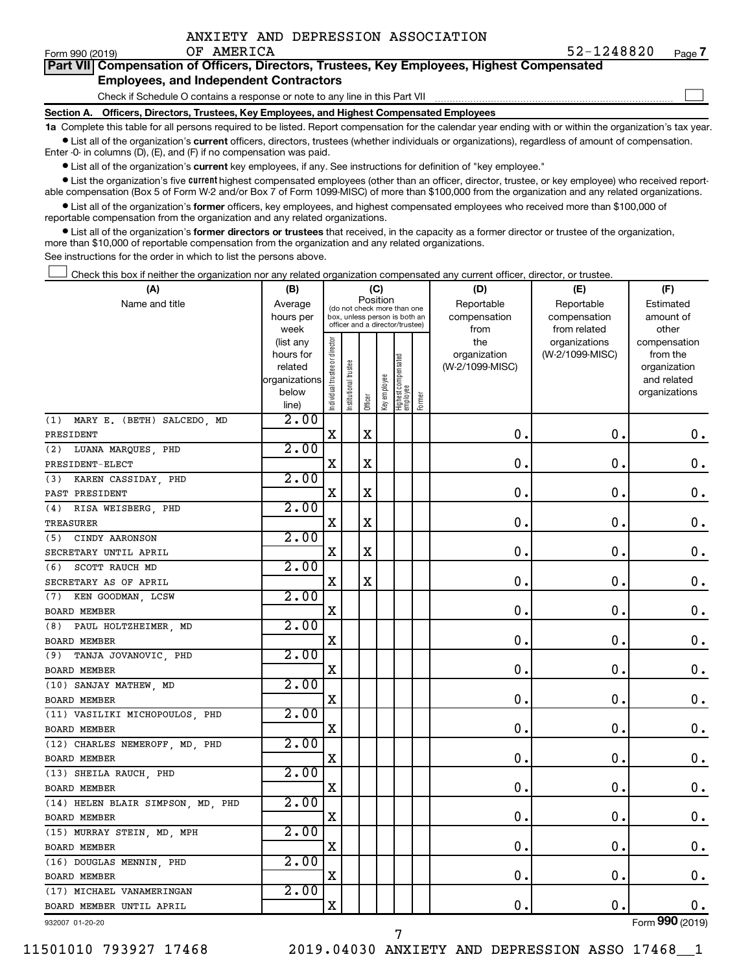|  | ANXIETY AND DEPRESSION ASSOCIATION |
|--|------------------------------------|
|  |                                    |

 $\Box$ 

| --------------- |                                                                                            |
|-----------------|--------------------------------------------------------------------------------------------|
|                 | Part VII Compensation of Officers, Directors, Trustees, Key Employees, Highest Compensated |
|                 | <b>Employees, and Independent Contractors</b>                                              |

Check if Schedule O contains a response or note to any line in this Part VII

**Section A. Officers, Directors, Trustees, Key Employees, and Highest Compensated Employees**

**1a**  Complete this table for all persons required to be listed. Report compensation for the calendar year ending with or within the organization's tax year.  $\bullet$  List all of the organization's current officers, directors, trustees (whether individuals or organizations), regardless of amount of compensation.

Enter -0- in columns (D), (E), and (F) if no compensation was paid.

**•** List all of the organization's current key employees, if any. See instructions for definition of "key employee."

• List the organization's five *current* highest compensated employees (other than an officer, director, trustee, or key employee) who received reportable compensation (Box 5 of Form W-2 and/or Box 7 of Form 1099-MISC) of more than \$100,000 from the organization and any related organizations.

 $\bullet$  List all of the organization's former officers, key employees, and highest compensated employees who received more than \$100,000 of reportable compensation from the organization and any related organizations.

**•** List all of the organization's former directors or trustees that received, in the capacity as a former director or trustee of the organization, more than \$10,000 of reportable compensation from the organization and any related organizations.

See instructions for the order in which to list the persons above.

Check this box if neither the organization nor any related organization compensated any current officer, director, or trustee.  $\Box$ 

| (A)                               | (B)               |                                |                                                                  | (C)         |              |                                 |        | (D)             | (E)                           | (F)                   |
|-----------------------------------|-------------------|--------------------------------|------------------------------------------------------------------|-------------|--------------|---------------------------------|--------|-----------------|-------------------------------|-----------------------|
| Name and title                    | Average           |                                | (do not check more than one                                      |             | Position     |                                 |        | Reportable      | Reportable                    | Estimated             |
|                                   | hours per         |                                | box, unless person is both an<br>officer and a director/trustee) |             |              |                                 |        | compensation    | compensation                  | amount of             |
|                                   | week<br>(list any |                                |                                                                  |             |              |                                 |        | from<br>the     | from related<br>organizations | other<br>compensation |
|                                   | hours for         |                                |                                                                  |             |              |                                 |        | organization    | (W-2/1099-MISC)               | from the              |
|                                   | related           |                                | trustee                                                          |             |              |                                 |        | (W-2/1099-MISC) |                               | organization          |
|                                   | organizations     |                                |                                                                  |             |              |                                 |        |                 |                               | and related           |
|                                   | below             | Individual trustee or director | Institutional t                                                  |             | Key employee | Highest compensated<br>employee |        |                 |                               | organizations         |
|                                   | line)             |                                |                                                                  | Officer     |              |                                 | Former |                 |                               |                       |
| (1) MARY E. (BETH) SALCEDO, MD    | 2.00              |                                |                                                                  |             |              |                                 |        |                 |                               |                       |
| PRESIDENT                         |                   | $\mathbf X$                    |                                                                  | $\mathbf X$ |              |                                 |        | $\mathbf 0$ .   | $\mathbf 0$ .                 | $\mathbf 0$ .         |
| (2) LUANA MARQUES, PHD            | 2.00              |                                |                                                                  |             |              |                                 |        |                 |                               |                       |
| PRESIDENT-ELECT                   |                   | X                              |                                                                  | $\mathbf X$ |              |                                 |        | 0.              | $\mathbf 0$ .                 | 0.                    |
| (3) KAREN CASSIDAY, PHD           | 2.00              |                                |                                                                  |             |              |                                 |        |                 |                               |                       |
| PAST PRESIDENT                    |                   | $\mathbf X$                    |                                                                  | $\mathbf X$ |              |                                 |        | $\mathbf 0$     | $\mathbf 0$ .                 | $\boldsymbol{0}$ .    |
| (4) RISA WEISBERG, PHD            | 2.00              |                                |                                                                  |             |              |                                 |        |                 |                               |                       |
| TREASURER                         |                   | $\mathbf X$                    |                                                                  | $\mathbf X$ |              |                                 |        | $\mathbf 0$ .   | $\mathbf 0$ .                 | $\mathbf 0$ .         |
| (5) CINDY AARONSON                | 2.00              |                                |                                                                  |             |              |                                 |        |                 |                               |                       |
| SECRETARY UNTIL APRIL             |                   | X                              |                                                                  | $\mathbf X$ |              |                                 |        | $\mathbf 0$     | $\mathbf 0$ .                 | $\mathbf 0$ .         |
| (6)<br>SCOTT RAUCH MD             | 2.00              |                                |                                                                  |             |              |                                 |        |                 |                               |                       |
| SECRETARY AS OF APRIL             |                   | $\mathbf X$                    |                                                                  | $\mathbf X$ |              |                                 |        | 0               | $\mathbf 0$                   | 0.                    |
| (7) KEN GOODMAN, LCSW             | 2.00              |                                |                                                                  |             |              |                                 |        |                 |                               |                       |
| BOARD MEMBER                      |                   | X                              |                                                                  |             |              |                                 |        | $\mathbf 0$     | $\mathbf 0$ .                 | $\mathbf 0$ .         |
| (8) PAUL HOLTZHEIMER, MD          | 2.00              |                                |                                                                  |             |              |                                 |        |                 |                               |                       |
| BOARD MEMBER                      |                   | $\mathbf X$                    |                                                                  |             |              |                                 |        | $\mathbf 0$ .   | $\mathbf 0$ .                 | $0$ .                 |
| (9)<br>TANJA JOVANOVIC, PHD       | 2.00              |                                |                                                                  |             |              |                                 |        |                 |                               |                       |
| BOARD MEMBER                      |                   | X                              |                                                                  |             |              |                                 |        | $\mathbf 0$     | $\mathbf 0$ .                 | $\mathbf 0$ .         |
| (10) SANJAY MATHEW, MD            | 2.00              |                                |                                                                  |             |              |                                 |        |                 |                               |                       |
| BOARD MEMBER                      |                   | $\mathbf X$                    |                                                                  |             |              |                                 |        | $\mathbf 0$ .   | $\mathbf 0$ .                 | 0.                    |
| (11) VASILIKI MICHOPOULOS, PHD    | 2.00              |                                |                                                                  |             |              |                                 |        |                 |                               |                       |
| BOARD MEMBER                      |                   | X                              |                                                                  |             |              |                                 |        | $\mathbf 0$ .   | $\mathbf 0$ .                 | $\boldsymbol{0}$ .    |
| (12) CHARLES NEMEROFF, MD, PHD    | 2.00              |                                |                                                                  |             |              |                                 |        |                 |                               |                       |
| <b>BOARD MEMBER</b>               |                   | X                              |                                                                  |             |              |                                 |        | 0.              | $\mathbf 0$ .                 | $\mathbf 0$ .         |
| (13) SHEILA RAUCH, PHD            | 2.00              |                                |                                                                  |             |              |                                 |        |                 |                               |                       |
| BOARD MEMBER                      |                   | Χ                              |                                                                  |             |              |                                 |        | $\mathbf 0$ .   | 0.                            | 0.                    |
| (14) HELEN BLAIR SIMPSON, MD, PHD | 2.00              |                                |                                                                  |             |              |                                 |        |                 |                               |                       |
| BOARD MEMBER                      |                   | X                              |                                                                  |             |              |                                 |        | $\mathbf 0$ .   | $\mathbf 0$ .                 | $\boldsymbol{0}$ .    |
| (15) MURRAY STEIN, MD, MPH        | 2.00              |                                |                                                                  |             |              |                                 |        |                 |                               |                       |
| BOARD MEMBER                      |                   | X                              |                                                                  |             |              |                                 |        | $\mathbf 0$ .   | $\mathbf 0$ .                 | $\boldsymbol{0}$ .    |
| (16) DOUGLAS MENNIN, PHD          | 2.00              |                                |                                                                  |             |              |                                 |        |                 |                               |                       |
| <b>BOARD MEMBER</b>               |                   | X                              |                                                                  |             |              |                                 |        | $\mathbf 0$ .   | $\mathbf 0$ .                 | $\mathbf 0$ .         |
| (17) MICHAEL VANAMERINGAN         | 2.00              |                                |                                                                  |             |              |                                 |        |                 |                               |                       |
| BOARD MEMBER UNTIL APRIL          |                   | X                              |                                                                  |             |              |                                 |        | $\mathbf 0$ .   | 0.                            | 0.                    |
|                                   |                   |                                |                                                                  |             |              |                                 |        |                 |                               |                       |

7

932007 01-20-20

Form (2019) **990**

11501010 793927 17468 2019.04030 ANXIETY AND DEPRESSION ASSO 17468\_\_1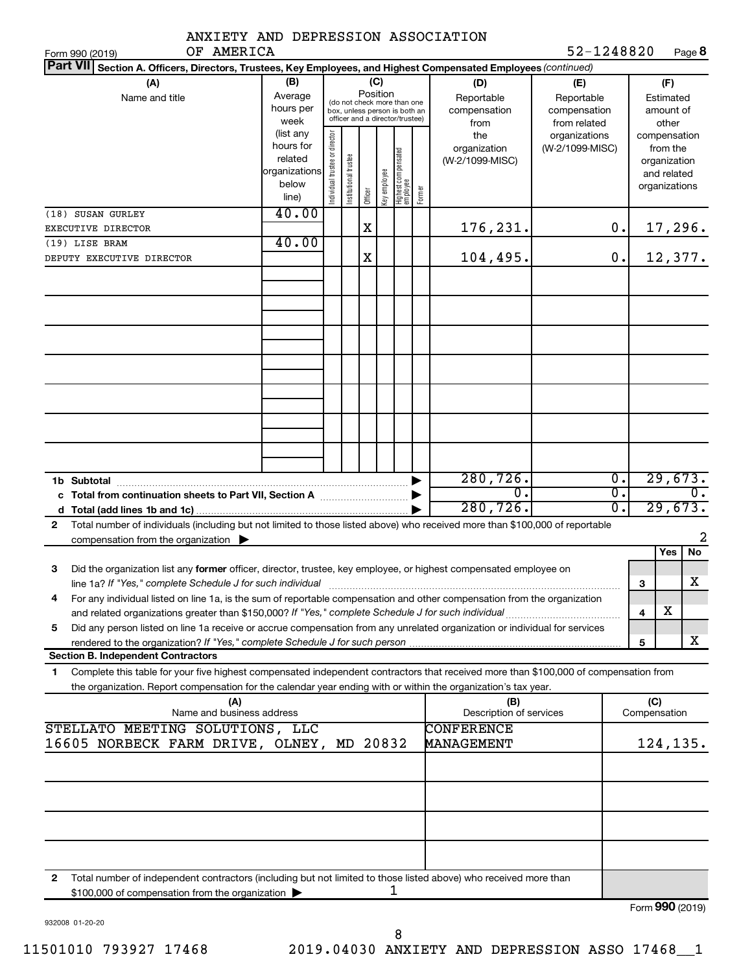| ANXIETY AND DEPRESSION ASSOCIATION                                                                                                                                                                       |                                                         |                                                                                                                    |                       |         |              |                                 |        |                                                  |                                                                    |                                                        |                                                          |                           |
|----------------------------------------------------------------------------------------------------------------------------------------------------------------------------------------------------------|---------------------------------------------------------|--------------------------------------------------------------------------------------------------------------------|-----------------------|---------|--------------|---------------------------------|--------|--------------------------------------------------|--------------------------------------------------------------------|--------------------------------------------------------|----------------------------------------------------------|---------------------------|
| OF AMERICA<br>Form 990 (2019)<br><b>Part VII</b><br>Section A. Officers, Directors, Trustees, Key Employees, and Highest Compensated Employees (continued)                                               |                                                         |                                                                                                                    |                       |         |              |                                 |        |                                                  | 52-1248820                                                         |                                                        |                                                          | Page 8                    |
| (A)<br>Name and title                                                                                                                                                                                    | (B)<br>Average<br>hours per<br>week<br>(list any        | (C)<br>Position<br>(do not check more than one<br>box, unless person is both an<br>officer and a director/trustee) |                       |         |              |                                 |        | (D)<br>Reportable<br>compensation<br>from<br>the | (E)<br>Reportable<br>compensation<br>from related<br>organizations | (F)<br>Estimated<br>amount of<br>other<br>compensation |                                                          |                           |
|                                                                                                                                                                                                          | hours for<br>related<br>organizations<br>below<br>line) | Individual trustee or director                                                                                     | Institutional trustee | Officer | key employee | Highest compensated<br>employee | Former | organization<br>(W-2/1099-MISC)                  | (W-2/1099-MISC)                                                    |                                                        | from the<br>organization<br>and related<br>organizations |                           |
| (18) SUSAN GURLEY<br>EXECUTIVE DIRECTOR                                                                                                                                                                  | 40.00                                                   |                                                                                                                    |                       | X       |              |                                 |        | 176,231.                                         |                                                                    | 0.                                                     |                                                          | 17,296.                   |
| (19) LISE BRAM                                                                                                                                                                                           | 40.00                                                   |                                                                                                                    |                       |         |              |                                 |        |                                                  |                                                                    |                                                        |                                                          |                           |
| DEPUTY EXECUTIVE DIRECTOR                                                                                                                                                                                |                                                         |                                                                                                                    |                       | X       |              |                                 |        | 104,495.                                         |                                                                    | 0.                                                     |                                                          | 12,377.                   |
|                                                                                                                                                                                                          |                                                         |                                                                                                                    |                       |         |              |                                 |        |                                                  |                                                                    |                                                        |                                                          |                           |
|                                                                                                                                                                                                          |                                                         |                                                                                                                    |                       |         |              |                                 |        |                                                  |                                                                    |                                                        |                                                          |                           |
|                                                                                                                                                                                                          |                                                         |                                                                                                                    |                       |         |              |                                 |        |                                                  |                                                                    |                                                        |                                                          |                           |
|                                                                                                                                                                                                          |                                                         |                                                                                                                    |                       |         |              |                                 |        |                                                  |                                                                    |                                                        |                                                          |                           |
|                                                                                                                                                                                                          |                                                         |                                                                                                                    |                       |         |              |                                 |        |                                                  |                                                                    |                                                        |                                                          |                           |
|                                                                                                                                                                                                          |                                                         |                                                                                                                    |                       |         |              |                                 |        | 280, 726.<br>$\overline{0}$                      |                                                                    | $\overline{0}$ .<br>σ.                                 |                                                          | 29,673.                   |
|                                                                                                                                                                                                          |                                                         |                                                                                                                    |                       |         |              |                                 |        | 280, 726.                                        |                                                                    | σ.                                                     |                                                          | 29,673.                   |
| Total number of individuals (including but not limited to those listed above) who received more than \$100,000 of reportable<br>$\mathbf{2}$<br>compensation from the organization $\blacktriangleright$ |                                                         |                                                                                                                    |                       |         |              |                                 |        |                                                  |                                                                    |                                                        |                                                          | 2                         |
|                                                                                                                                                                                                          |                                                         |                                                                                                                    |                       |         |              |                                 |        |                                                  |                                                                    |                                                        | Yes                                                      | No                        |
| Did the organization list any former officer, director, trustee, key employee, or highest compensated employee on<br>З<br>line 1a? If "Yes," complete Schedule J for such individual                     |                                                         |                                                                                                                    |                       |         |              |                                 |        |                                                  |                                                                    |                                                        | 3                                                        | X                         |
| For any individual listed on line 1a, is the sum of reportable compensation and other compensation from the organization<br>4                                                                            |                                                         |                                                                                                                    |                       |         |              |                                 |        |                                                  |                                                                    | $\overline{\mathbf{4}}$                                | х                                                        |                           |
| Did any person listed on line 1a receive or accrue compensation from any unrelated organization or individual for services<br>5                                                                          |                                                         |                                                                                                                    |                       |         |              |                                 |        |                                                  |                                                                    |                                                        |                                                          |                           |
| <b>Section B. Independent Contractors</b>                                                                                                                                                                |                                                         |                                                                                                                    |                       |         |              |                                 |        |                                                  |                                                                    | 5                                                      |                                                          | X                         |
| Complete this table for your five highest compensated independent contractors that received more than \$100,000 of compensation from<br>1                                                                |                                                         |                                                                                                                    |                       |         |              |                                 |        |                                                  |                                                                    |                                                        |                                                          |                           |
| the organization. Report compensation for the calendar year ending with or within the organization's tax year.                                                                                           |                                                         |                                                                                                                    |                       |         |              |                                 |        |                                                  |                                                                    |                                                        |                                                          |                           |
| (A)<br>Name and business address                                                                                                                                                                         |                                                         |                                                                                                                    |                       |         |              |                                 |        | (B)<br>Description of services                   |                                                                    |                                                        | (C)<br>Compensation                                      |                           |
| STELLATO MEETING SOLUTIONS, LLC<br>16605 NORBECK FARM DRIVE, OLNEY, MD 20832                                                                                                                             |                                                         |                                                                                                                    |                       |         |              |                                 |        | <b>CONFERENCE</b><br>MANAGEMENT                  |                                                                    |                                                        |                                                          | 124,135.                  |
|                                                                                                                                                                                                          |                                                         |                                                                                                                    |                       |         |              |                                 |        |                                                  |                                                                    |                                                        |                                                          |                           |
|                                                                                                                                                                                                          |                                                         |                                                                                                                    |                       |         |              |                                 |        |                                                  |                                                                    |                                                        |                                                          |                           |
|                                                                                                                                                                                                          |                                                         |                                                                                                                    |                       |         |              |                                 |        |                                                  |                                                                    |                                                        |                                                          |                           |
| $\mathbf{2}$<br>Total number of independent contractors (including but not limited to those listed above) who received more than<br>\$100,000 of compensation from the organization >                    |                                                         |                                                                                                                    |                       |         |              | ı                               |        |                                                  |                                                                    |                                                        |                                                          | $F_{\text{O}}$ QQO (2010) |

932008 01-20-20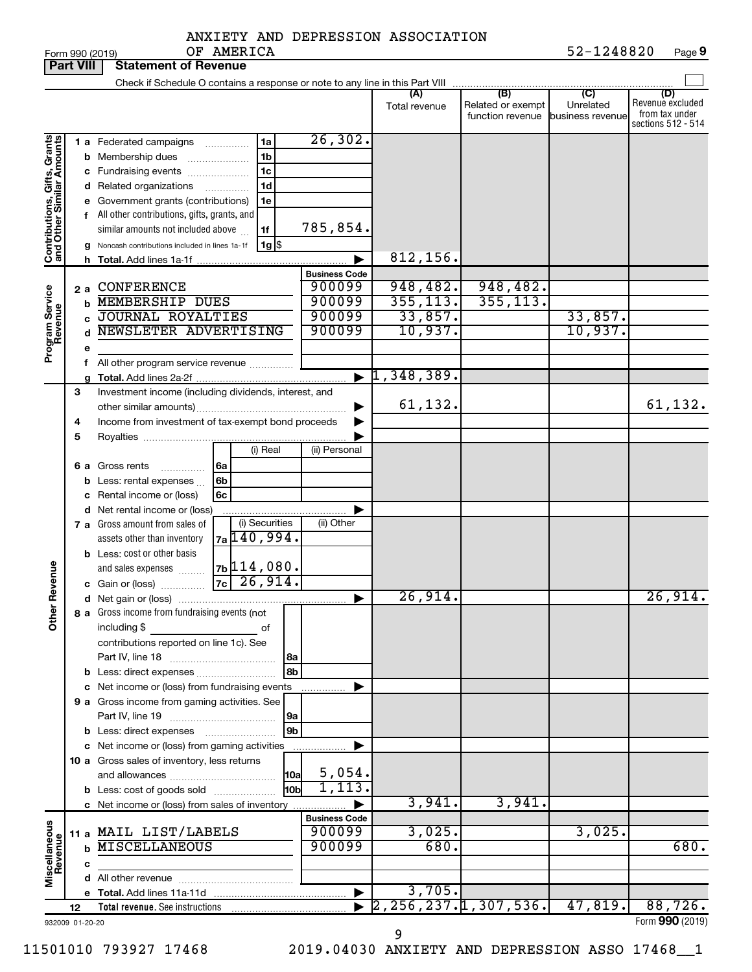|  | ANXIETY AND DEPRESSION ASSOCIATION |
|--|------------------------------------|
|  |                                    |

| <b>Part VIII</b>                                          |    |    | <b>Statement of Revenue</b>                                                   |               |                    |                       |                                                 |                                              |                                      |                                                                 |
|-----------------------------------------------------------|----|----|-------------------------------------------------------------------------------|---------------|--------------------|-----------------------|-------------------------------------------------|----------------------------------------------|--------------------------------------|-----------------------------------------------------------------|
|                                                           |    |    | Check if Schedule O contains a response or note to any line in this Part VIII |               |                    |                       |                                                 |                                              |                                      |                                                                 |
|                                                           |    |    |                                                                               |               |                    |                       | (A)<br>Total revenue                            | (B)<br>Related or exempt<br>function revenue | (C)<br>Unrelated<br>business revenue | (D)<br>Revenue excluded<br>from tax under<br>sections 512 - 514 |
|                                                           |    |    | <b>1 a</b> Federated campaigns                                                | .             | 1a                 | 26, 302.              |                                                 |                                              |                                      |                                                                 |
|                                                           |    |    | <b>b</b> Membership dues                                                      |               | 1 <sub>b</sub>     |                       |                                                 |                                              |                                      |                                                                 |
|                                                           |    |    | c Fundraising events                                                          |               | 1c                 |                       |                                                 |                                              |                                      |                                                                 |
|                                                           |    |    | d Related organizations                                                       | .             | 1d                 |                       |                                                 |                                              |                                      |                                                                 |
|                                                           |    |    | e Government grants (contributions)                                           |               | 1e                 |                       |                                                 |                                              |                                      |                                                                 |
|                                                           |    |    | f All other contributions, gifts, grants, and                                 |               |                    |                       |                                                 |                                              |                                      |                                                                 |
|                                                           |    |    | similar amounts not included above                                            |               | 1f                 | 785,854.              |                                                 |                                              |                                      |                                                                 |
|                                                           |    |    | Noncash contributions included in lines 1a-1f                                 |               | $1g$ $\frac{1}{3}$ |                       |                                                 |                                              |                                      |                                                                 |
| Contributions, Gifts, Grants<br>and Other Similar Amounts |    | h. | <b>Total.</b> Add lines 1a-1f                                                 |               |                    |                       | 812,156.                                        |                                              |                                      |                                                                 |
|                                                           |    |    |                                                                               |               |                    | <b>Business Code</b>  |                                                 |                                              |                                      |                                                                 |
|                                                           | 2a |    | <b>CONFERENCE</b>                                                             |               |                    | 900099                | 948,482.                                        | 948,482.                                     |                                      |                                                                 |
| Program Service<br>Revenue                                |    | b  | <b>MEMBERSHIP DUES</b>                                                        |               |                    | 900099                | 355, 113.                                       | 355, 113.                                    |                                      |                                                                 |
|                                                           |    | C  | <b>JOURNAL ROYALTIES</b>                                                      |               |                    | 900099                | 33,857.                                         |                                              | 33,857.                              |                                                                 |
|                                                           |    |    | NEWSLETER ADVERTISING                                                         |               |                    | 900099                | 10,937.                                         |                                              | 10,937.                              |                                                                 |
|                                                           |    | е  |                                                                               |               |                    |                       |                                                 |                                              |                                      |                                                                 |
|                                                           |    | f. | All other program service revenue                                             |               |                    |                       |                                                 |                                              |                                      |                                                                 |
|                                                           |    |    |                                                                               |               |                    | $\blacktriangleright$ | 1,348,389.                                      |                                              |                                      |                                                                 |
|                                                           | 3  |    | Investment income (including dividends, interest, and                         |               |                    |                       |                                                 |                                              |                                      |                                                                 |
|                                                           |    |    |                                                                               |               |                    |                       | 61,132.                                         |                                              |                                      | 61, 132.                                                        |
|                                                           | 4  |    | Income from investment of tax-exempt bond proceeds                            |               |                    |                       |                                                 |                                              |                                      |                                                                 |
|                                                           | 5  |    |                                                                               |               |                    |                       |                                                 |                                              |                                      |                                                                 |
|                                                           |    |    |                                                                               |               | (i) Real           | (ii) Personal         |                                                 |                                              |                                      |                                                                 |
|                                                           | 6а |    | Gross rents<br>.                                                              | 6a            |                    |                       |                                                 |                                              |                                      |                                                                 |
|                                                           |    |    | Less: rental expenses                                                         | 6b            |                    |                       |                                                 |                                              |                                      |                                                                 |
|                                                           |    | с  | Rental income or (loss)                                                       | 6c            |                    |                       |                                                 |                                              |                                      |                                                                 |
|                                                           |    |    | d Net rental income or (loss)                                                 |               |                    |                       |                                                 |                                              |                                      |                                                                 |
|                                                           |    |    | 7 a Gross amount from sales of                                                | 7a 140, 994.  | (i) Securities     | (ii) Other            |                                                 |                                              |                                      |                                                                 |
|                                                           |    |    | assets other than inventory                                                   |               |                    |                       |                                                 |                                              |                                      |                                                                 |
|                                                           |    |    | <b>b</b> Less: cost or other basis                                            | $7b$ 114,080. |                    |                       |                                                 |                                              |                                      |                                                                 |
|                                                           |    |    | and sales expenses                                                            | $7c$ 26,914.  |                    |                       |                                                 |                                              |                                      |                                                                 |
| Revenue                                                   |    |    | <b>c</b> Gain or (loss) $\ldots$                                              |               |                    |                       | 26,914.                                         |                                              |                                      | 26,914.                                                         |
|                                                           |    |    | 8 a Gross income from fundraising events (not                                 |               |                    | ▶                     |                                                 |                                              |                                      |                                                                 |
| $\check{\epsilon}$                                        |    |    | including \$                                                                  |               | оf                 |                       |                                                 |                                              |                                      |                                                                 |
|                                                           |    |    | contributions reported on line 1c). See                                       |               |                    |                       |                                                 |                                              |                                      |                                                                 |
|                                                           |    |    |                                                                               |               | l 8a               |                       |                                                 |                                              |                                      |                                                                 |
|                                                           |    |    | b Less: direct expenses                                                       |               | 8b                 |                       |                                                 |                                              |                                      |                                                                 |
|                                                           |    |    | c Net income or (loss) from fundraising events                                |               |                    |                       |                                                 |                                              |                                      |                                                                 |
|                                                           |    |    | 9 a Gross income from gaming activities. See                                  |               |                    |                       |                                                 |                                              |                                      |                                                                 |
|                                                           |    |    |                                                                               |               | 9a                 |                       |                                                 |                                              |                                      |                                                                 |
|                                                           |    |    | <b>b</b> Less: direct expenses <b>manually</b>                                |               | 9 <sub>b</sub>     |                       |                                                 |                                              |                                      |                                                                 |
|                                                           |    |    | c Net income or (loss) from gaming activities                                 |               |                    |                       |                                                 |                                              |                                      |                                                                 |
|                                                           |    |    | 10 a Gross sales of inventory, less returns                                   |               |                    |                       |                                                 |                                              |                                      |                                                                 |
|                                                           |    |    |                                                                               |               | 10a                | 5,054.                |                                                 |                                              |                                      |                                                                 |
|                                                           |    |    | <b>b</b> Less: cost of goods sold                                             |               | l10bl              | 1,113.                |                                                 |                                              |                                      |                                                                 |
|                                                           |    |    | c Net income or (loss) from sales of inventory                                |               |                    |                       | 3,941.                                          | 3,941.                                       |                                      |                                                                 |
|                                                           |    |    |                                                                               |               |                    | <b>Business Code</b>  |                                                 |                                              |                                      |                                                                 |
|                                                           |    |    | 11 a MAIL LIST/LABELS                                                         |               |                    | 900099                | 3,025.                                          |                                              | 3,025.                               |                                                                 |
| Miscellaneous<br>Revenue                                  |    | b  | <b>MISCELLANEOUS</b>                                                          |               |                    | 900099                | 680.                                            |                                              |                                      | 680.                                                            |
|                                                           |    | c  |                                                                               |               |                    |                       |                                                 |                                              |                                      |                                                                 |
|                                                           |    |    |                                                                               |               |                    |                       |                                                 |                                              |                                      |                                                                 |
|                                                           |    |    |                                                                               |               |                    | ▶                     | 3,705.<br>$\overline{2, 256, 237.1, 307, 536.}$ |                                              |                                      |                                                                 |
|                                                           | 12 |    |                                                                               |               |                    |                       |                                                 |                                              | 47,819.                              | 88,726.                                                         |
| 932009 01-20-20                                           |    |    |                                                                               |               |                    |                       |                                                 |                                              |                                      | Form 990 (2019)                                                 |

9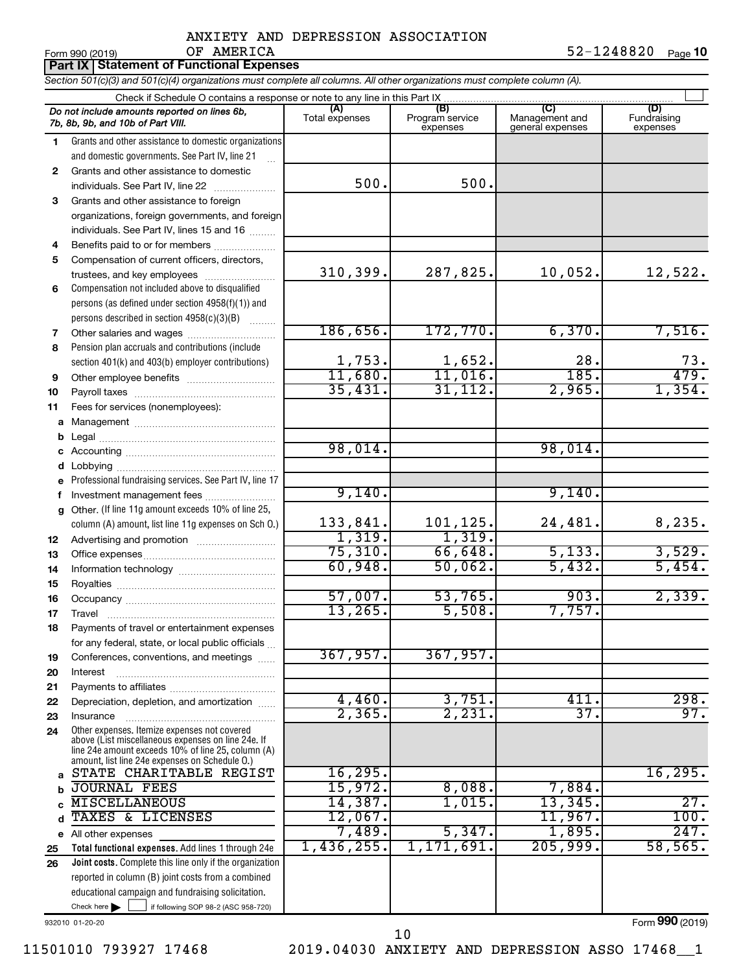|          | OF AMERICA<br>Form 990 (2019)                                                                                                                                                                              |                   |                        |                  | 52-1248820<br>Page 10 |
|----------|------------------------------------------------------------------------------------------------------------------------------------------------------------------------------------------------------------|-------------------|------------------------|------------------|-----------------------|
|          | <b>Part IX Statement of Functional Expenses</b>                                                                                                                                                            |                   |                        |                  |                       |
|          | Section 501(c)(3) and 501(c)(4) organizations must complete all columns. All other organizations must complete column (A).                                                                                 |                   |                        |                  |                       |
|          |                                                                                                                                                                                                            | (A)               | (B)                    |                  | (D)                   |
|          | Do not include amounts reported on lines 6b,<br>7b, 8b, 9b, and 10b of Part VIII.                                                                                                                          | Total expenses    | Program service        | Management and   | Fundraising           |
| 1        | Grants and other assistance to domestic organizations                                                                                                                                                      |                   | expenses               | general expenses | expenses              |
|          | and domestic governments. See Part IV, line 21                                                                                                                                                             |                   |                        |                  |                       |
| 2        | Grants and other assistance to domestic                                                                                                                                                                    |                   |                        |                  |                       |
|          | individuals. See Part IV, line 22                                                                                                                                                                          | 500.              | 500.                   |                  |                       |
| 3        | Grants and other assistance to foreign                                                                                                                                                                     |                   |                        |                  |                       |
|          | organizations, foreign governments, and foreign                                                                                                                                                            |                   |                        |                  |                       |
|          | individuals. See Part IV, lines 15 and 16                                                                                                                                                                  |                   |                        |                  |                       |
| 4        | Benefits paid to or for members                                                                                                                                                                            |                   |                        |                  |                       |
| 5        | Compensation of current officers, directors,                                                                                                                                                               |                   |                        |                  |                       |
|          | trustees, and key employees                                                                                                                                                                                | 310, 399.         | 287,825.               | 10,052.          | 12,522.               |
| 6        | Compensation not included above to disqualified                                                                                                                                                            |                   |                        |                  |                       |
|          | persons (as defined under section 4958(f)(1)) and                                                                                                                                                          |                   |                        |                  |                       |
|          | persons described in section 4958(c)(3)(B)                                                                                                                                                                 | 186,656.          | 172, 770.              | 6,370.           | 7,516.                |
| 7        |                                                                                                                                                                                                            |                   |                        |                  |                       |
| 8        | Pension plan accruals and contributions (include                                                                                                                                                           | 1,753.            |                        | 28.              | 73.                   |
| 9        | section 401(k) and 403(b) employer contributions)                                                                                                                                                          | 11,680.           | $\frac{1,652}{11,016}$ | 185.             | 479.                  |
| 10       |                                                                                                                                                                                                            | 35,431.           | 31, 112.               | 2,965.           | 1,354.                |
| 11       | Fees for services (nonemployees):                                                                                                                                                                          |                   |                        |                  |                       |
| a        |                                                                                                                                                                                                            |                   |                        |                  |                       |
| b        |                                                                                                                                                                                                            |                   |                        |                  |                       |
| c        |                                                                                                                                                                                                            | 98,014.           |                        | 98,014.          |                       |
| d        |                                                                                                                                                                                                            |                   |                        |                  |                       |
| е        | Professional fundraising services. See Part IV, line 17                                                                                                                                                    |                   |                        |                  |                       |
| f        | Investment management fees                                                                                                                                                                                 | 9,140.            |                        | 9,140.           |                       |
| g        | Other. (If line 11g amount exceeds 10% of line 25,                                                                                                                                                         |                   |                        |                  |                       |
|          | column (A) amount, list line 11g expenses on Sch O.)                                                                                                                                                       | 133,841.          | 101,125.               | 24,481.          | 8,235.                |
| 12       |                                                                                                                                                                                                            | 1,319.<br>75,310. | 1,319.<br>66,648.      |                  |                       |
| 13       |                                                                                                                                                                                                            | 60,948.           | 50,062.                | 5,133.<br>5,432. | 3,529.<br>5,454.      |
| 14       |                                                                                                                                                                                                            |                   |                        |                  |                       |
| 15       |                                                                                                                                                                                                            | 57,007.           | 53,765.                | 903.             | 2,339.                |
| 16<br>17 | Travel                                                                                                                                                                                                     | 13, 265.          | 5,508.                 | 7,757.           |                       |
| 18       | Payments of travel or entertainment expenses                                                                                                                                                               |                   |                        |                  |                       |
|          | for any federal, state, or local public officials                                                                                                                                                          |                   |                        |                  |                       |
| 19       | Conferences, conventions, and meetings                                                                                                                                                                     | 367,957.          | 367,957.               |                  |                       |
| 20       | Interest                                                                                                                                                                                                   |                   |                        |                  |                       |
| 21       |                                                                                                                                                                                                            |                   |                        |                  |                       |
| 22       | Depreciation, depletion, and amortization                                                                                                                                                                  | 4,460.            | 3,751.                 | 411.             | 298.                  |
| 23       | Insurance                                                                                                                                                                                                  | 2,365.            | 2,231.                 | 37.              | 97.                   |
| 24       | Other expenses. Itemize expenses not covered<br>above (List miscellaneous expenses on line 24e. If<br>line 24e amount exceeds 10% of line 25, column (A)<br>amount, list line 24e expenses on Schedule O.) |                   |                        |                  |                       |
| a        | STATE CHARITABLE REGIST                                                                                                                                                                                    | 16, 295.          |                        |                  | 16, 295.              |
| b        | <b>JOURNAL FEES</b>                                                                                                                                                                                        | 15,972.           | 8,088.                 | 7,884.           |                       |
| c        | <b>MISCELLANEOUS</b>                                                                                                                                                                                       | 14,387.           | 1,015.                 | 13,345.          | 27.                   |
| d        | TAXES & LICENSES                                                                                                                                                                                           | 12,067.           |                        | 11,967.          | 100.                  |
|          | e All other expenses                                                                                                                                                                                       | 7,489.            | 5,347.                 | 1,895.           | 247.                  |
| 25       | Total functional expenses. Add lines 1 through 24e                                                                                                                                                         | 1,436,255.        | 1,171,691.             | 205,999.         | 58,565.               |
| 26       | Joint costs. Complete this line only if the organization                                                                                                                                                   |                   |                        |                  |                       |
|          | reported in column (B) joint costs from a combined                                                                                                                                                         |                   |                        |                  |                       |
|          | educational campaign and fundraising solicitation.                                                                                                                                                         |                   |                        |                  |                       |

932010 01-20-20

Form (2019) **990**

Check here if following SOP 98-2 (ASC 958-720)

11501010 793927 17468 2019.04030 ANXIETY AND DEPRESSION ASSO 17468\_\_1

10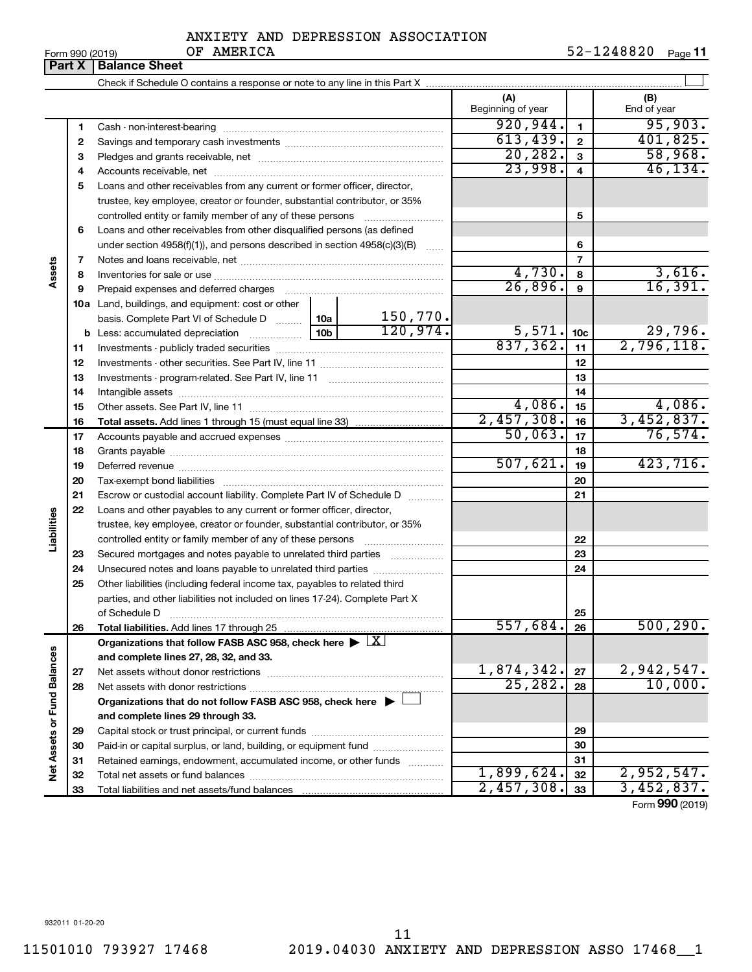| Form 990 (2019) |  |
|-----------------|--|
|-----------------|--|

|                             | Part X | LOLLU AAN (∑N IA)<br>מטבתם בט<br><b>Balance Sheet</b>                                                  |          |                          |                 | اا Page عدد عدد عدد ا |
|-----------------------------|--------|--------------------------------------------------------------------------------------------------------|----------|--------------------------|-----------------|-----------------------|
|                             |        |                                                                                                        |          |                          |                 |                       |
|                             |        |                                                                                                        |          | (A)<br>Beginning of year |                 | (B)<br>End of year    |
|                             | 1      |                                                                                                        |          | 920, 944.                | $\mathbf{1}$    | 95,903.               |
|                             | 2      |                                                                                                        |          | 613,439.                 | $\mathbf{2}$    | 401,825.              |
|                             | 3      |                                                                                                        |          | 20, 282.                 | 3               | 58,968.               |
|                             | 4      |                                                                                                        |          | 23,998.                  | 4               | 46, 134.              |
|                             | 5      | Loans and other receivables from any current or former officer, director,                              |          |                          |                 |                       |
|                             |        | trustee, key employee, creator or founder, substantial contributor, or 35%                             |          |                          |                 |                       |
|                             |        | controlled entity or family member of any of these persons                                             |          |                          | 5               |                       |
|                             | 6      | Loans and other receivables from other disqualified persons (as defined                                |          |                          |                 |                       |
|                             |        | under section 4958(f)(1)), and persons described in section 4958(c)(3)(B)                              |          | 6                        |                 |                       |
|                             | 7      |                                                                                                        |          |                          | $\overline{7}$  |                       |
| Assets                      | 8      |                                                                                                        |          | 4,730.                   | 8               | 3,616.                |
|                             | 9      |                                                                                                        |          | 26,896.                  | 9               | 16,391.               |
|                             |        | <b>10a</b> Land, buildings, and equipment: cost or other                                               |          |                          |                 |                       |
|                             |        | basis. Complete Part VI of Schedule D  10a                                                             | 150,770. |                          |                 |                       |
|                             |        | 10 <sub>b</sub>                                                                                        | 120,974. | 5,571.                   | 10 <sub>c</sub> | 29,796.               |
|                             | 11     |                                                                                                        |          | 837, 362.                | 11              | 2,796,118.            |
|                             | 12     |                                                                                                        |          |                          | 12              |                       |
|                             | 13     |                                                                                                        |          |                          | 13              |                       |
|                             | 14     |                                                                                                        |          |                          | 14              |                       |
|                             | 15     |                                                                                                        |          | 4,086.                   | 15              | 4,086.                |
|                             | 16     |                                                                                                        |          | 2,457,308.               | 16              | 3,452,837.            |
|                             | 17     |                                                                                                        |          | 50,063.                  | 17              | 76,574.               |
|                             | 18     |                                                                                                        |          |                          | 18              |                       |
|                             | 19     |                                                                                                        |          | 507,621.                 | 19              | 423,716.              |
|                             | 20     |                                                                                                        |          |                          | 20              |                       |
|                             | 21     | Escrow or custodial account liability. Complete Part IV of Schedule D                                  |          |                          | 21              |                       |
|                             | 22     | Loans and other payables to any current or former officer, director,                                   |          |                          |                 |                       |
| Liabilities                 |        | trustee, key employee, creator or founder, substantial contributor, or 35%                             |          |                          |                 |                       |
|                             |        | controlled entity or family member of any of these persons                                             |          |                          | 22              |                       |
|                             | 23     | Secured mortgages and notes payable to unrelated third parties                                         |          |                          | 23              |                       |
|                             | 24     | Unsecured notes and loans payable to unrelated third parties                                           |          |                          | 24              |                       |
|                             | 25     | Other liabilities (including federal income tax, payables to related third                             |          |                          |                 |                       |
|                             |        | parties, and other liabilities not included on lines 17-24). Complete Part X                           |          |                          |                 |                       |
|                             |        | of Schedule D                                                                                          |          |                          | 25              |                       |
|                             | 26     |                                                                                                        |          | 557,684.                 | 26              | 500, 290.             |
|                             |        | Organizations that follow FASB ASC 958, check here $\blacktriangleright \lfloor \underline{X} \rfloor$ |          |                          |                 |                       |
|                             |        | and complete lines 27, 28, 32, and 33.                                                                 |          |                          |                 |                       |
|                             | 27     | Net assets without donor restrictions                                                                  |          | 1,874,342.<br>25, 282.   | 27              | 2,942,547.<br>10,000. |
|                             | 28     |                                                                                                        |          |                          | 28              |                       |
|                             |        | Organizations that do not follow FASB ASC 958, check here ▶ L                                          |          |                          |                 |                       |
| Net Assets or Fund Balances |        | and complete lines 29 through 33.                                                                      |          |                          |                 |                       |
|                             | 29     |                                                                                                        |          |                          | 29              |                       |
|                             | 30     | Paid-in or capital surplus, or land, building, or equipment fund                                       |          |                          | 30              |                       |
|                             | 31     | Retained earnings, endowment, accumulated income, or other funds                                       |          | 1,899,624.               | 31<br>32        | 2,952,547.            |
|                             | 32     |                                                                                                        |          | 2,457,308.               | 33              | 3,452,837.            |
|                             | 33     |                                                                                                        |          |                          |                 |                       |

Form (2019) **990**

932011 01-20-20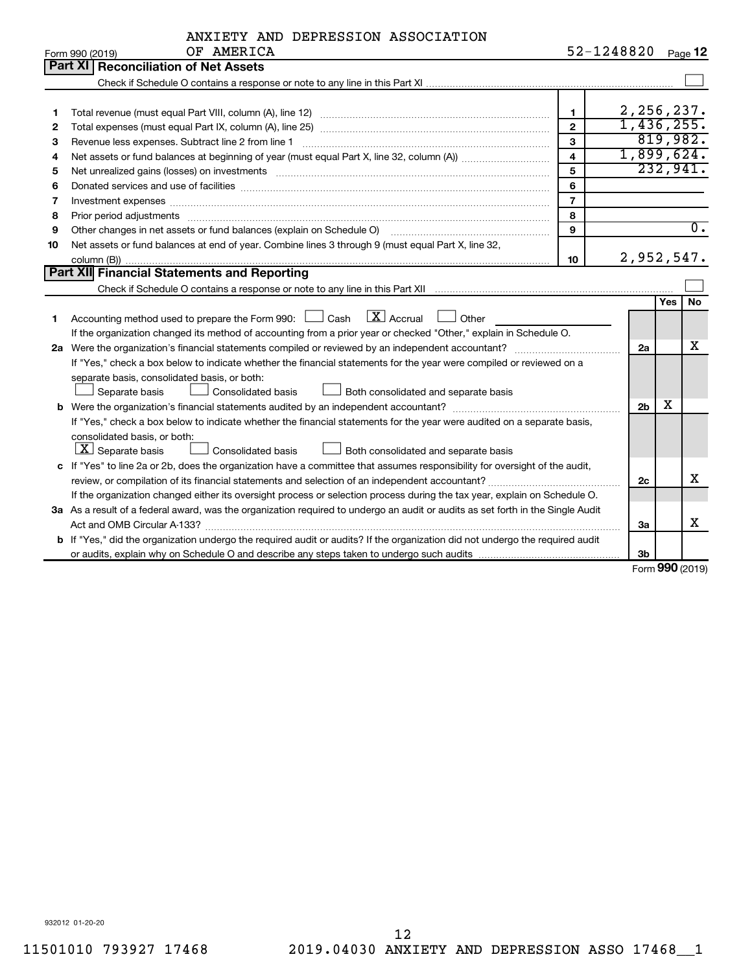|    | ANXIETY AND DEPRESSION ASSOCIATION                                                                                                                                                                                             |                         |                |            |                  |  |  |  |  |
|----|--------------------------------------------------------------------------------------------------------------------------------------------------------------------------------------------------------------------------------|-------------------------|----------------|------------|------------------|--|--|--|--|
|    | OF AMERICA<br>Form 990 (2019)                                                                                                                                                                                                  | 52-1248820 Page 12      |                |            |                  |  |  |  |  |
|    | Part XI   Reconciliation of Net Assets                                                                                                                                                                                         |                         |                |            |                  |  |  |  |  |
|    |                                                                                                                                                                                                                                |                         |                |            |                  |  |  |  |  |
|    |                                                                                                                                                                                                                                |                         |                |            |                  |  |  |  |  |
| 1  |                                                                                                                                                                                                                                | $\blacksquare$          | 2,256,237.     |            |                  |  |  |  |  |
| 2  | 1,436,255.<br>$\overline{2}$                                                                                                                                                                                                   |                         |                |            |                  |  |  |  |  |
| З  | 3                                                                                                                                                                                                                              |                         |                |            |                  |  |  |  |  |
| 4  |                                                                                                                                                                                                                                | $\overline{\mathbf{4}}$ | 1,899,624.     |            |                  |  |  |  |  |
| 5  | Net unrealized gains (losses) on investments [11] matter than the control of the state of the state of the state of the state of the state of the state of the state of the state of the state of the state of the state of th | 5                       |                |            | 232,941.         |  |  |  |  |
| 6  |                                                                                                                                                                                                                                | 6                       |                |            |                  |  |  |  |  |
| 7  | Investment expenses [[11] https://www.facebook.com/www.facebook.com/www.facebook.com/www.facebook.com/www.facebook.com/www.facebook.com/www.facebook.com/www.facebook.com/www.facebook.com/www.facebook.com/www.facebook.com/w | $\overline{7}$          |                |            |                  |  |  |  |  |
| 8  | Prior period adjustments www.communication.communication.communication.com/news-managements                                                                                                                                    | 8                       |                |            | $\overline{0}$ . |  |  |  |  |
| 9  | 9<br>Other changes in net assets or fund balances (explain on Schedule O)                                                                                                                                                      |                         |                |            |                  |  |  |  |  |
| 10 | Net assets or fund balances at end of year. Combine lines 3 through 9 (must equal Part X, line 32,                                                                                                                             |                         |                |            |                  |  |  |  |  |
|    | 2,952,547.<br>10                                                                                                                                                                                                               |                         |                |            |                  |  |  |  |  |
|    | Part XII Financial Statements and Reporting                                                                                                                                                                                    |                         |                |            |                  |  |  |  |  |
|    |                                                                                                                                                                                                                                |                         |                |            |                  |  |  |  |  |
|    |                                                                                                                                                                                                                                |                         |                | <b>Yes</b> | No               |  |  |  |  |
| 1  | $X$ Accrual<br>Accounting method used to prepare the Form 990: [130] Cash<br>Other                                                                                                                                             |                         |                |            |                  |  |  |  |  |
|    | If the organization changed its method of accounting from a prior year or checked "Other," explain in Schedule O.                                                                                                              |                         |                |            |                  |  |  |  |  |
|    |                                                                                                                                                                                                                                |                         | 2a             |            | x                |  |  |  |  |
|    | If "Yes," check a box below to indicate whether the financial statements for the year were compiled or reviewed on a                                                                                                           |                         |                |            |                  |  |  |  |  |
|    | separate basis, consolidated basis, or both:                                                                                                                                                                                   |                         |                |            |                  |  |  |  |  |
|    | Separate basis<br>Consolidated basis<br>Both consolidated and separate basis                                                                                                                                                   |                         |                |            |                  |  |  |  |  |
|    |                                                                                                                                                                                                                                |                         | 2 <sub>b</sub> | х          |                  |  |  |  |  |
|    | If "Yes," check a box below to indicate whether the financial statements for the year were audited on a separate basis,                                                                                                        |                         |                |            |                  |  |  |  |  |
|    | consolidated basis, or both:                                                                                                                                                                                                   |                         |                |            |                  |  |  |  |  |
|    | $ \mathbf{X} $ Separate basis<br>Both consolidated and separate basis<br>Consolidated basis                                                                                                                                    |                         |                |            |                  |  |  |  |  |
|    | c If "Yes" to line 2a or 2b, does the organization have a committee that assumes responsibility for oversight of the audit,                                                                                                    |                         |                |            |                  |  |  |  |  |
|    | review, or compilation of its financial statements and selection of an independent accountant?                                                                                                                                 |                         | 2c             |            | X                |  |  |  |  |
|    | If the organization changed either its oversight process or selection process during the tax year, explain on Schedule O.                                                                                                      |                         |                |            |                  |  |  |  |  |
|    | 3a As a result of a federal award, was the organization required to undergo an audit or audits as set forth in the Single Audit                                                                                                |                         | За             |            | х                |  |  |  |  |
|    |                                                                                                                                                                                                                                |                         |                |            |                  |  |  |  |  |
|    | b If "Yes," did the organization undergo the required audit or audits? If the organization did not undergo the required audit                                                                                                  |                         |                |            |                  |  |  |  |  |
|    |                                                                                                                                                                                                                                |                         | 3 <sub>b</sub> |            |                  |  |  |  |  |

Form (2019) **990**

932012 01-20-20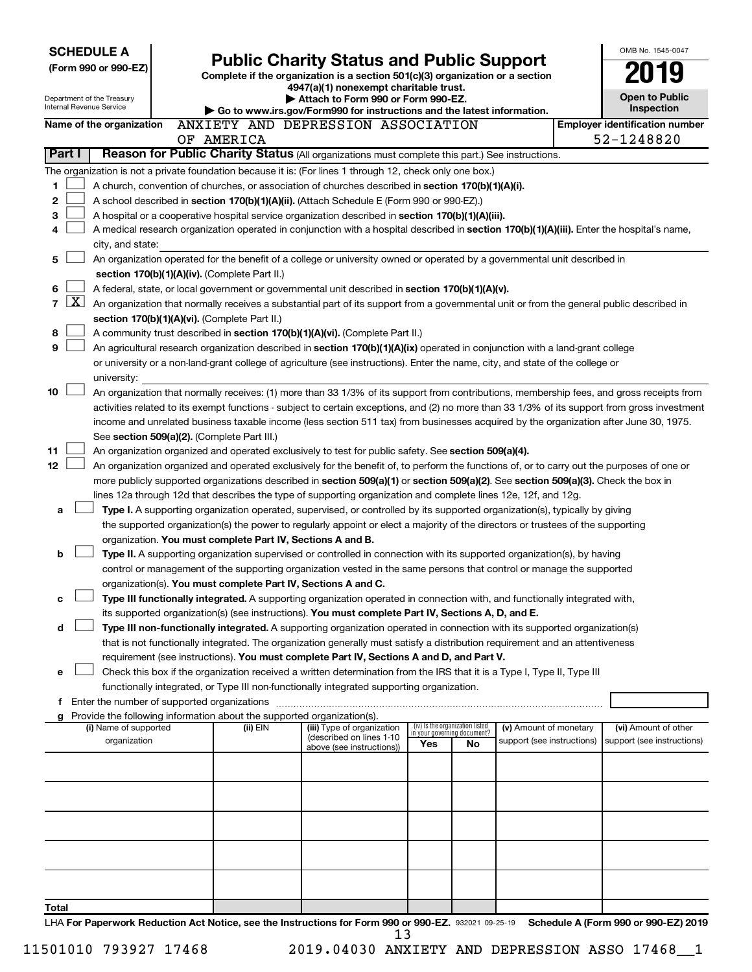| <b>SCHEDULE A</b>                                      |                                                                                                                                                                            |            |          |                                                                                                                                                                                                                                                           |     |                                 |                                                      |  | OMB No. 1545-0047                                  |  |  |  |
|--------------------------------------------------------|----------------------------------------------------------------------------------------------------------------------------------------------------------------------------|------------|----------|-----------------------------------------------------------------------------------------------------------------------------------------------------------------------------------------------------------------------------------------------------------|-----|---------------------------------|------------------------------------------------------|--|----------------------------------------------------|--|--|--|
| (Form 990 or 990-EZ)                                   |                                                                                                                                                                            |            |          | <b>Public Charity Status and Public Support</b><br>Complete if the organization is a section 501(c)(3) organization or a section                                                                                                                          |     |                                 |                                                      |  |                                                    |  |  |  |
|                                                        |                                                                                                                                                                            |            |          | 4947(a)(1) nonexempt charitable trust.                                                                                                                                                                                                                    |     |                                 |                                                      |  |                                                    |  |  |  |
| Department of the Treasury<br>Internal Revenue Service |                                                                                                                                                                            |            |          | Attach to Form 990 or Form 990-EZ.<br>Go to www.irs.gov/Form990 for instructions and the latest information.                                                                                                                                              |     |                                 |                                                      |  | <b>Open to Public</b><br>Inspection                |  |  |  |
| Name of the organization                               |                                                                                                                                                                            |            |          | ANXIETY AND DEPRESSION ASSOCIATION                                                                                                                                                                                                                        |     |                                 |                                                      |  | <b>Employer identification number</b>              |  |  |  |
|                                                        |                                                                                                                                                                            | OF AMERICA |          |                                                                                                                                                                                                                                                           |     |                                 |                                                      |  | 52-1248820                                         |  |  |  |
| Part I                                                 |                                                                                                                                                                            |            |          | Reason for Public Charity Status (All organizations must complete this part.) See instructions.                                                                                                                                                           |     |                                 |                                                      |  |                                                    |  |  |  |
|                                                        |                                                                                                                                                                            |            |          | The organization is not a private foundation because it is: (For lines 1 through 12, check only one box.)                                                                                                                                                 |     |                                 |                                                      |  |                                                    |  |  |  |
| 1                                                      |                                                                                                                                                                            |            |          | A church, convention of churches, or association of churches described in section 170(b)(1)(A)(i).                                                                                                                                                        |     |                                 |                                                      |  |                                                    |  |  |  |
| 2                                                      |                                                                                                                                                                            |            |          | A school described in section 170(b)(1)(A)(ii). (Attach Schedule E (Form 990 or 990-EZ).)                                                                                                                                                                 |     |                                 |                                                      |  |                                                    |  |  |  |
| З                                                      |                                                                                                                                                                            |            |          | A hospital or a cooperative hospital service organization described in section 170(b)(1)(A)(iii).                                                                                                                                                         |     |                                 |                                                      |  |                                                    |  |  |  |
| 4<br>city, and state:                                  |                                                                                                                                                                            |            |          | A medical research organization operated in conjunction with a hospital described in section 170(b)(1)(A)(iii). Enter the hospital's name,                                                                                                                |     |                                 |                                                      |  |                                                    |  |  |  |
| 5                                                      |                                                                                                                                                                            |            |          |                                                                                                                                                                                                                                                           |     |                                 |                                                      |  |                                                    |  |  |  |
|                                                        | An organization operated for the benefit of a college or university owned or operated by a governmental unit described in<br>section 170(b)(1)(A)(iv). (Complete Part II.) |            |          |                                                                                                                                                                                                                                                           |     |                                 |                                                      |  |                                                    |  |  |  |
| 6                                                      |                                                                                                                                                                            |            |          | A federal, state, or local government or governmental unit described in section 170(b)(1)(A)(v).                                                                                                                                                          |     |                                 |                                                      |  |                                                    |  |  |  |
| X <br>$\overline{7}$                                   |                                                                                                                                                                            |            |          | An organization that normally receives a substantial part of its support from a governmental unit or from the general public described in                                                                                                                 |     |                                 |                                                      |  |                                                    |  |  |  |
| section 170(b)(1)(A)(vi). (Complete Part II.)          |                                                                                                                                                                            |            |          |                                                                                                                                                                                                                                                           |     |                                 |                                                      |  |                                                    |  |  |  |
| 8                                                      |                                                                                                                                                                            |            |          | A community trust described in section 170(b)(1)(A)(vi). (Complete Part II.)                                                                                                                                                                              |     |                                 |                                                      |  |                                                    |  |  |  |
| 9                                                      |                                                                                                                                                                            |            |          | An agricultural research organization described in section 170(b)(1)(A)(ix) operated in conjunction with a land-grant college                                                                                                                             |     |                                 |                                                      |  |                                                    |  |  |  |
| university:                                            |                                                                                                                                                                            |            |          | or university or a non-land-grant college of agriculture (see instructions). Enter the name, city, and state of the college or                                                                                                                            |     |                                 |                                                      |  |                                                    |  |  |  |
| 10                                                     |                                                                                                                                                                            |            |          | An organization that normally receives: (1) more than 33 1/3% of its support from contributions, membership fees, and gross receipts from                                                                                                                 |     |                                 |                                                      |  |                                                    |  |  |  |
|                                                        |                                                                                                                                                                            |            |          | activities related to its exempt functions - subject to certain exceptions, and (2) no more than 33 1/3% of its support from gross investment                                                                                                             |     |                                 |                                                      |  |                                                    |  |  |  |
|                                                        |                                                                                                                                                                            |            |          | income and unrelated business taxable income (less section 511 tax) from businesses acquired by the organization after June 30, 1975.                                                                                                                     |     |                                 |                                                      |  |                                                    |  |  |  |
| See section 509(a)(2). (Complete Part III.)            |                                                                                                                                                                            |            |          |                                                                                                                                                                                                                                                           |     |                                 |                                                      |  |                                                    |  |  |  |
| 11                                                     |                                                                                                                                                                            |            |          | An organization organized and operated exclusively to test for public safety. See section 509(a)(4).                                                                                                                                                      |     |                                 |                                                      |  |                                                    |  |  |  |
| 12 <sub>2</sub>                                        |                                                                                                                                                                            |            |          | An organization organized and operated exclusively for the benefit of, to perform the functions of, or to carry out the purposes of one or                                                                                                                |     |                                 |                                                      |  |                                                    |  |  |  |
|                                                        |                                                                                                                                                                            |            |          | more publicly supported organizations described in section 509(a)(1) or section 509(a)(2). See section 509(a)(3). Check the box in                                                                                                                        |     |                                 |                                                      |  |                                                    |  |  |  |
| a                                                      |                                                                                                                                                                            |            |          | lines 12a through 12d that describes the type of supporting organization and complete lines 12e, 12f, and 12g.<br>Type I. A supporting organization operated, supervised, or controlled by its supported organization(s), typically by giving             |     |                                 |                                                      |  |                                                    |  |  |  |
|                                                        |                                                                                                                                                                            |            |          | the supported organization(s) the power to regularly appoint or elect a majority of the directors or trustees of the supporting                                                                                                                           |     |                                 |                                                      |  |                                                    |  |  |  |
|                                                        |                                                                                                                                                                            |            |          | organization. You must complete Part IV, Sections A and B.                                                                                                                                                                                                |     |                                 |                                                      |  |                                                    |  |  |  |
| b                                                      |                                                                                                                                                                            |            |          | Type II. A supporting organization supervised or controlled in connection with its supported organization(s), by having                                                                                                                                   |     |                                 |                                                      |  |                                                    |  |  |  |
|                                                        |                                                                                                                                                                            |            |          | control or management of the supporting organization vested in the same persons that control or manage the supported                                                                                                                                      |     |                                 |                                                      |  |                                                    |  |  |  |
|                                                        |                                                                                                                                                                            |            |          | organization(s). You must complete Part IV, Sections A and C.                                                                                                                                                                                             |     |                                 |                                                      |  |                                                    |  |  |  |
| с                                                      |                                                                                                                                                                            |            |          | Type III functionally integrated. A supporting organization operated in connection with, and functionally integrated with,                                                                                                                                |     |                                 |                                                      |  |                                                    |  |  |  |
|                                                        |                                                                                                                                                                            |            |          | its supported organization(s) (see instructions). You must complete Part IV, Sections A, D, and E.                                                                                                                                                        |     |                                 |                                                      |  |                                                    |  |  |  |
| d                                                      |                                                                                                                                                                            |            |          | Type III non-functionally integrated. A supporting organization operated in connection with its supported organization(s)<br>that is not functionally integrated. The organization generally must satisfy a distribution requirement and an attentiveness |     |                                 |                                                      |  |                                                    |  |  |  |
|                                                        |                                                                                                                                                                            |            |          | requirement (see instructions). You must complete Part IV, Sections A and D, and Part V.                                                                                                                                                                  |     |                                 |                                                      |  |                                                    |  |  |  |
| e                                                      |                                                                                                                                                                            |            |          | Check this box if the organization received a written determination from the IRS that it is a Type I, Type II, Type III                                                                                                                                   |     |                                 |                                                      |  |                                                    |  |  |  |
|                                                        |                                                                                                                                                                            |            |          | functionally integrated, or Type III non-functionally integrated supporting organization.                                                                                                                                                                 |     |                                 |                                                      |  |                                                    |  |  |  |
| f Enter the number of supported organizations          |                                                                                                                                                                            |            |          |                                                                                                                                                                                                                                                           |     |                                 |                                                      |  |                                                    |  |  |  |
| g                                                      |                                                                                                                                                                            |            |          | Provide the following information about the supported organization(s).                                                                                                                                                                                    |     | (iv) Is the organization listed |                                                      |  |                                                    |  |  |  |
| (i) Name of supported<br>organization                  |                                                                                                                                                                            |            | (ii) EIN | (iii) Type of organization<br>(described on lines 1-10)                                                                                                                                                                                                   |     | in your governing document?     | (v) Amount of monetary<br>support (see instructions) |  | (vi) Amount of other<br>support (see instructions) |  |  |  |
|                                                        |                                                                                                                                                                            |            |          | above (see instructions))                                                                                                                                                                                                                                 | Yes | No                              |                                                      |  |                                                    |  |  |  |
|                                                        |                                                                                                                                                                            |            |          |                                                                                                                                                                                                                                                           |     |                                 |                                                      |  |                                                    |  |  |  |
|                                                        |                                                                                                                                                                            |            |          |                                                                                                                                                                                                                                                           |     |                                 |                                                      |  |                                                    |  |  |  |
|                                                        |                                                                                                                                                                            |            |          |                                                                                                                                                                                                                                                           |     |                                 |                                                      |  |                                                    |  |  |  |
|                                                        |                                                                                                                                                                            |            |          |                                                                                                                                                                                                                                                           |     |                                 |                                                      |  |                                                    |  |  |  |
|                                                        |                                                                                                                                                                            |            |          |                                                                                                                                                                                                                                                           |     |                                 |                                                      |  |                                                    |  |  |  |
|                                                        |                                                                                                                                                                            |            |          |                                                                                                                                                                                                                                                           |     |                                 |                                                      |  |                                                    |  |  |  |
|                                                        |                                                                                                                                                                            |            |          |                                                                                                                                                                                                                                                           |     |                                 |                                                      |  |                                                    |  |  |  |
|                                                        |                                                                                                                                                                            |            |          |                                                                                                                                                                                                                                                           |     |                                 |                                                      |  |                                                    |  |  |  |
| Total                                                  |                                                                                                                                                                            |            |          |                                                                                                                                                                                                                                                           |     |                                 |                                                      |  |                                                    |  |  |  |
|                                                        |                                                                                                                                                                            |            |          | LHA For Paperwork Reduction Act Notice, see the Instructions for Form 990 or 990-EZ. 932021 09-25-19                                                                                                                                                      |     |                                 |                                                      |  | Schedule A (Form 990 or 990-EZ) 2019               |  |  |  |
|                                                        |                                                                                                                                                                            |            |          | 13                                                                                                                                                                                                                                                        |     |                                 |                                                      |  |                                                    |  |  |  |

11501010 793927 17468 2019.04030 ANXIETY AND DEPRESSION ASSO 17468\_\_1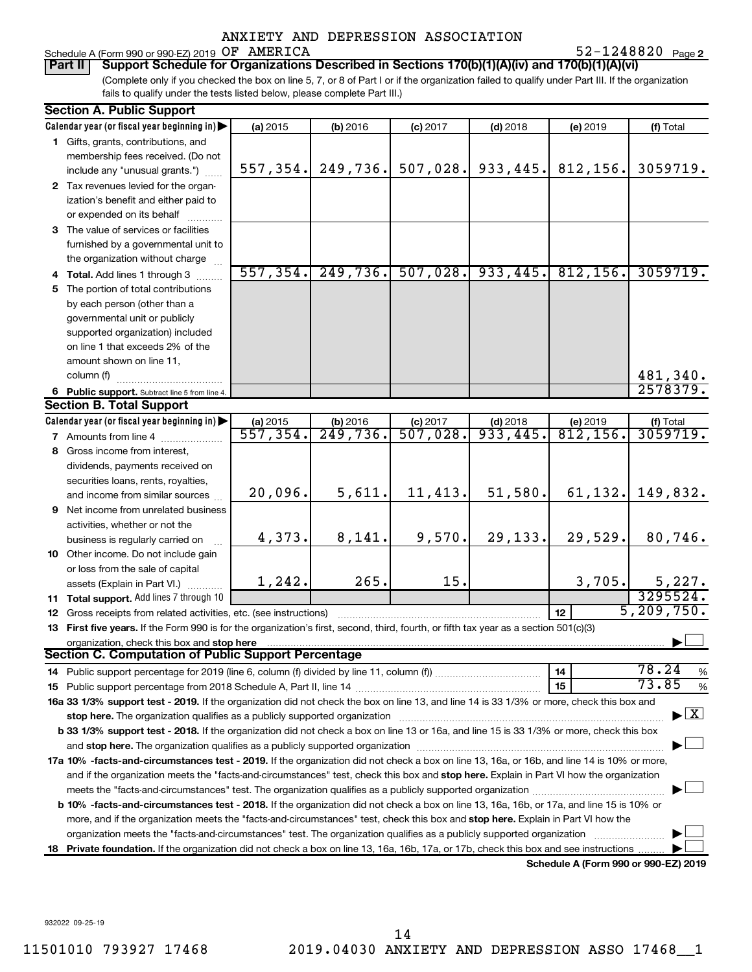52-1248820 Page 2

### Schedule A (Form 990 or 990-EZ) 2019  $OF$   $AMERICA$  52-1248820  $Page$ **Part II Support Schedule for Organizations Described in Sections 170(b)(1)(A)(iv) and 170(b)(1)(A)(vi)**

(Complete only if you checked the box on line 5, 7, or 8 of Part I or if the organization failed to qualify under Part III. If the organization fails to qualify under the tests listed below, please complete Part III.)

| <b>Section A. Public Support</b>                                                                                                                                                                                               |           |          |            |            |                                      |                                          |
|--------------------------------------------------------------------------------------------------------------------------------------------------------------------------------------------------------------------------------|-----------|----------|------------|------------|--------------------------------------|------------------------------------------|
| Calendar year (or fiscal year beginning in)                                                                                                                                                                                    | (a) 2015  | (b) 2016 | $(c)$ 2017 | $(d)$ 2018 | (e) 2019                             | (f) Total                                |
| 1 Gifts, grants, contributions, and                                                                                                                                                                                            |           |          |            |            |                                      |                                          |
| membership fees received. (Do not                                                                                                                                                                                              |           |          |            |            |                                      |                                          |
| include any "unusual grants.")                                                                                                                                                                                                 | 557, 354. | 249,736. | 507,028.   | 933,445.   | 812, 156.                            | 3059719.                                 |
| 2 Tax revenues levied for the organ-                                                                                                                                                                                           |           |          |            |            |                                      |                                          |
| ization's benefit and either paid to                                                                                                                                                                                           |           |          |            |            |                                      |                                          |
| or expended on its behalf                                                                                                                                                                                                      |           |          |            |            |                                      |                                          |
| 3 The value of services or facilities                                                                                                                                                                                          |           |          |            |            |                                      |                                          |
| furnished by a governmental unit to                                                                                                                                                                                            |           |          |            |            |                                      |                                          |
| the organization without charge                                                                                                                                                                                                |           |          |            |            |                                      |                                          |
| 4 Total. Add lines 1 through 3                                                                                                                                                                                                 | 557, 354. | 249,736. | 507,028.   | 933,445.   | 812, 156.                            | 3059719.                                 |
| 5 The portion of total contributions                                                                                                                                                                                           |           |          |            |            |                                      |                                          |
| by each person (other than a                                                                                                                                                                                                   |           |          |            |            |                                      |                                          |
| governmental unit or publicly                                                                                                                                                                                                  |           |          |            |            |                                      |                                          |
| supported organization) included                                                                                                                                                                                               |           |          |            |            |                                      |                                          |
| on line 1 that exceeds 2% of the                                                                                                                                                                                               |           |          |            |            |                                      |                                          |
| amount shown on line 11,                                                                                                                                                                                                       |           |          |            |            |                                      |                                          |
| column (f)                                                                                                                                                                                                                     |           |          |            |            |                                      | 481,340.                                 |
| 6 Public support. Subtract line 5 from line 4.                                                                                                                                                                                 |           |          |            |            |                                      | 2578379.                                 |
| <b>Section B. Total Support</b>                                                                                                                                                                                                |           |          |            |            |                                      |                                          |
| Calendar year (or fiscal year beginning in)                                                                                                                                                                                    | (a) 2015  | (b) 2016 | $(c)$ 2017 | $(d)$ 2018 | (e) 2019                             | (f) Total<br>3059719.                    |
| 7 Amounts from line 4                                                                                                                                                                                                          | 557,354.  | 249,736. | 507,028.   | 933,445.   | $\overline{812,156}$ .               |                                          |
| 8 Gross income from interest,                                                                                                                                                                                                  |           |          |            |            |                                      |                                          |
| dividends, payments received on                                                                                                                                                                                                |           |          |            |            |                                      |                                          |
| securities loans, rents, royalties,                                                                                                                                                                                            |           |          |            |            |                                      |                                          |
| and income from similar sources                                                                                                                                                                                                | 20,096.   | 5,611.   | 11,413.    | 51,580.    | 61,132.                              | 149,832.                                 |
| 9 Net income from unrelated business                                                                                                                                                                                           |           |          |            |            |                                      |                                          |
| activities, whether or not the                                                                                                                                                                                                 | 4,373.    | 8,141.   | 9,570.     | 29,133.    | 29,529.                              | 80,746.                                  |
| business is regularly carried on                                                                                                                                                                                               |           |          |            |            |                                      |                                          |
| 10 Other income. Do not include gain                                                                                                                                                                                           |           |          |            |            |                                      |                                          |
| or loss from the sale of capital                                                                                                                                                                                               | 1, 242.   | 265.     | 15.        |            | 3,705.                               | 5,227.                                   |
| assets (Explain in Part VI.)                                                                                                                                                                                                   |           |          |            |            |                                      | 3295524.                                 |
| 11 Total support. Add lines 7 through 10                                                                                                                                                                                       |           |          |            |            | 12                                   | 5, 209, 750.                             |
| <b>12</b> Gross receipts from related activities, etc. (see instructions)<br>13 First five years. If the Form 990 is for the organization's first, second, third, fourth, or fifth tax year as a section 501(c)(3)             |           |          |            |            |                                      |                                          |
|                                                                                                                                                                                                                                |           |          |            |            |                                      |                                          |
| organization, check this box and stop here<br>Section C. Computation of Public Support Percentage                                                                                                                              |           |          |            |            |                                      |                                          |
|                                                                                                                                                                                                                                |           |          |            |            | 14                                   | 78.24<br>%                               |
|                                                                                                                                                                                                                                |           |          |            |            | 15                                   | 73.85<br>$\%$                            |
| 16a 33 1/3% support test - 2019. If the organization did not check the box on line 13, and line 14 is 33 1/3% or more, check this box and                                                                                      |           |          |            |            |                                      |                                          |
| stop here. The organization qualifies as a publicly supported organization manufaction manufacture or manufacture manufacture manufacture manufacture manufacture manufacture manufacture manufacture manufacture manufacture  |           |          |            |            |                                      | $\blacktriangleright$ $\boxed{\text{X}}$ |
| b 33 1/3% support test - 2018. If the organization did not check a box on line 13 or 16a, and line 15 is 33 1/3% or more, check this box                                                                                       |           |          |            |            |                                      |                                          |
| and stop here. The organization qualifies as a publicly supported organization [11,111] and stop here. The organization [11] and stop here. The organization [11] and stop here. The organization [11] and stop here is a publ |           |          |            |            |                                      |                                          |
| 17a 10% -facts-and-circumstances test - 2019. If the organization did not check a box on line 13, 16a, or 16b, and line 14 is 10% or more,                                                                                     |           |          |            |            |                                      |                                          |
| and if the organization meets the "facts-and-circumstances" test, check this box and stop here. Explain in Part VI how the organization                                                                                        |           |          |            |            |                                      |                                          |
|                                                                                                                                                                                                                                |           |          |            |            |                                      |                                          |
| b 10% -facts-and-circumstances test - 2018. If the organization did not check a box on line 13, 16a, 16b, or 17a, and line 15 is 10% or                                                                                        |           |          |            |            |                                      |                                          |
| more, and if the organization meets the "facts-and-circumstances" test, check this box and stop here. Explain in Part VI how the                                                                                               |           |          |            |            |                                      |                                          |
| organization meets the "facts-and-circumstances" test. The organization qualifies as a publicly supported organization                                                                                                         |           |          |            |            |                                      |                                          |
| 18 Private foundation. If the organization did not check a box on line 13, 16a, 16b, 17a, or 17b, check this box and see instructions                                                                                          |           |          |            |            |                                      |                                          |
|                                                                                                                                                                                                                                |           |          |            |            | Schedule A (Form 990 or 990-F7) 2019 |                                          |

**Schedule A (Form 990 or 990-EZ) 2019**

932022 09-25-19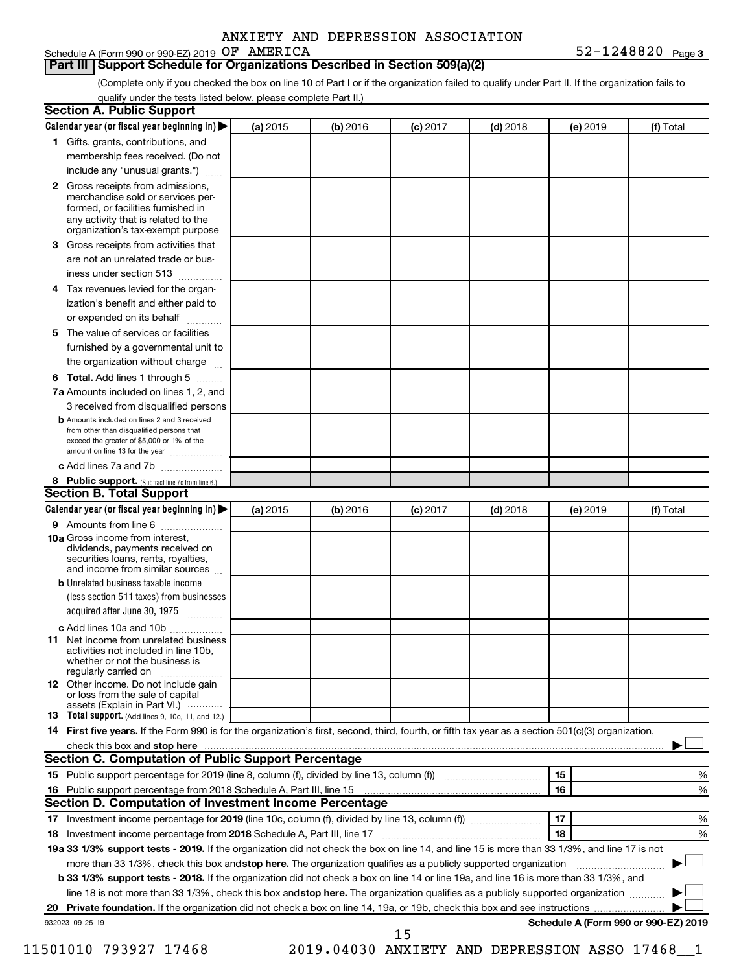|  | ANXIETY AND DEPRESSION ASSOCIATION |
|--|------------------------------------|
|  |                                    |

# Schedule A (Form 990 or 990-EZ) 2019 OF AMERICA

**Part III Support Schedule for Organizations Described in Section 509(a)(2)** 

**32-1248820** Page 3

(Complete only if you checked the box on line 10 of Part I or if the organization failed to qualify under Part II. If the organization fails to qualify under the tests listed below, please complete Part II.)

| <b>Section A. Public Support</b>                                                                                                                                                         |          |          |            |            |          |                                      |
|------------------------------------------------------------------------------------------------------------------------------------------------------------------------------------------|----------|----------|------------|------------|----------|--------------------------------------|
| Calendar year (or fiscal year beginning in)                                                                                                                                              | (a) 2015 | (b) 2016 | $(c)$ 2017 | $(d)$ 2018 | (e) 2019 | (f) Total                            |
| 1 Gifts, grants, contributions, and                                                                                                                                                      |          |          |            |            |          |                                      |
| membership fees received. (Do not                                                                                                                                                        |          |          |            |            |          |                                      |
| include any "unusual grants.")                                                                                                                                                           |          |          |            |            |          |                                      |
| 2 Gross receipts from admissions,<br>merchandise sold or services per-<br>formed, or facilities furnished in<br>any activity that is related to the<br>organization's tax-exempt purpose |          |          |            |            |          |                                      |
| 3 Gross receipts from activities that                                                                                                                                                    |          |          |            |            |          |                                      |
| are not an unrelated trade or bus-                                                                                                                                                       |          |          |            |            |          |                                      |
| iness under section 513                                                                                                                                                                  |          |          |            |            |          |                                      |
| 4 Tax revenues levied for the organ-                                                                                                                                                     |          |          |            |            |          |                                      |
| ization's benefit and either paid to                                                                                                                                                     |          |          |            |            |          |                                      |
| or expended on its behalf<br>.                                                                                                                                                           |          |          |            |            |          |                                      |
| 5 The value of services or facilities                                                                                                                                                    |          |          |            |            |          |                                      |
| furnished by a governmental unit to                                                                                                                                                      |          |          |            |            |          |                                      |
| the organization without charge                                                                                                                                                          |          |          |            |            |          |                                      |
| <b>6 Total.</b> Add lines 1 through 5                                                                                                                                                    |          |          |            |            |          |                                      |
| 7a Amounts included on lines 1, 2, and                                                                                                                                                   |          |          |            |            |          |                                      |
| 3 received from disqualified persons                                                                                                                                                     |          |          |            |            |          |                                      |
| <b>b</b> Amounts included on lines 2 and 3 received<br>from other than disqualified persons that<br>exceed the greater of \$5,000 or 1% of the<br>amount on line 13 for the year         |          |          |            |            |          |                                      |
| c Add lines 7a and 7b                                                                                                                                                                    |          |          |            |            |          |                                      |
| 8 Public support. (Subtract line 7c from line 6.)                                                                                                                                        |          |          |            |            |          |                                      |
| <b>Section B. Total Support</b>                                                                                                                                                          |          |          |            |            |          |                                      |
| Calendar year (or fiscal year beginning in)                                                                                                                                              | (a) 2015 | (b) 2016 | $(c)$ 2017 | $(d)$ 2018 | (e) 2019 | (f) Total                            |
| <b>9</b> Amounts from line 6                                                                                                                                                             |          |          |            |            |          |                                      |
| <b>10a</b> Gross income from interest,<br>dividends, payments received on<br>securities loans, rents, royalties,<br>and income from similar sources                                      |          |          |            |            |          |                                      |
| <b>b</b> Unrelated business taxable income                                                                                                                                               |          |          |            |            |          |                                      |
| (less section 511 taxes) from businesses                                                                                                                                                 |          |          |            |            |          |                                      |
| acquired after June 30, 1975                                                                                                                                                             |          |          |            |            |          |                                      |
| c Add lines 10a and 10b                                                                                                                                                                  |          |          |            |            |          |                                      |
| <b>11</b> Net income from unrelated business<br>activities not included in line 10b.<br>whether or not the business is<br>regularly carried on                                           |          |          |            |            |          |                                      |
| 12 Other income. Do not include gain<br>or loss from the sale of capital<br>assets (Explain in Part VI.)                                                                                 |          |          |            |            |          |                                      |
| <b>13</b> Total support. (Add lines 9, 10c, 11, and 12.)                                                                                                                                 |          |          |            |            |          |                                      |
| 14 First five years. If the Form 990 is for the organization's first, second, third, fourth, or fifth tax year as a section 501(c)(3) organization,                                      |          |          |            |            |          |                                      |
| check this box and stop here <i>macuum macuum macuum macuum macuum macuum macuum macuum macuum</i>                                                                                       |          |          |            |            |          |                                      |
| <b>Section C. Computation of Public Support Percentage</b>                                                                                                                               |          |          |            |            |          |                                      |
| 15 Public support percentage for 2019 (line 8, column (f), divided by line 13, column (f) <i></i>                                                                                        |          |          |            |            | 15       | %                                    |
| 16 Public support percentage from 2018 Schedule A, Part III, line 15                                                                                                                     |          |          |            |            | 16       | %                                    |
| Section D. Computation of Investment Income Percentage                                                                                                                                   |          |          |            |            |          |                                      |
|                                                                                                                                                                                          |          |          |            |            | 17       | %                                    |
| 18 Investment income percentage from 2018 Schedule A, Part III, line 17                                                                                                                  |          |          |            |            | 18       | %                                    |
| 19a 33 1/3% support tests - 2019. If the organization did not check the box on line 14, and line 15 is more than 33 1/3%, and line 17 is not                                             |          |          |            |            |          |                                      |
| more than 33 1/3%, check this box and stop here. The organization qualifies as a publicly supported organization                                                                         |          |          |            |            |          |                                      |
| b 33 1/3% support tests - 2018. If the organization did not check a box on line 14 or line 19a, and line 16 is more than 33 1/3%, and                                                    |          |          |            |            |          |                                      |
| line 18 is not more than 33 1/3%, check this box and stop here. The organization qualifies as a publicly supported organization                                                          |          |          |            |            |          |                                      |
|                                                                                                                                                                                          |          |          |            |            |          |                                      |
| 932023 09-25-19                                                                                                                                                                          |          |          | 15         |            |          | Schedule A (Form 990 or 990-EZ) 2019 |

11501010 793927 17468 2019.04030 ANXIETY AND DEPRESSION ASSO 17468\_\_1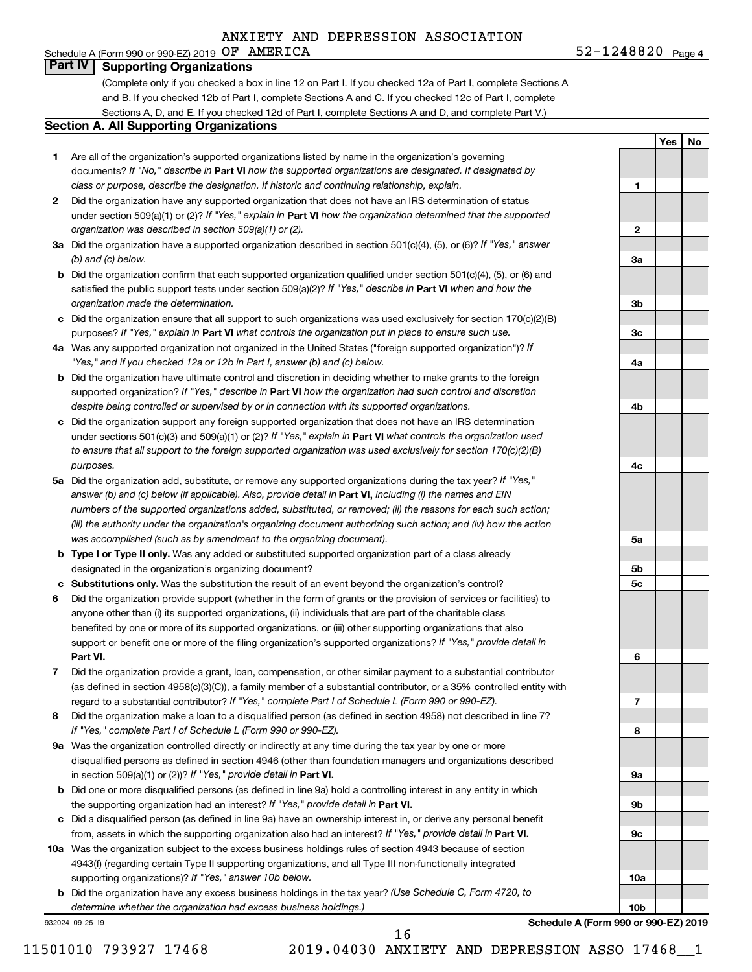### Schedule A (Form 990 or 990-EZ) 2019  $OF$   $AMERICA$  52-1248820  $Page$ **Part IV Supporting Organizations**

(Complete only if you checked a box in line 12 on Part I. If you checked 12a of Part I, complete Sections A and B. If you checked 12b of Part I, complete Sections A and C. If you checked 12c of Part I, complete Sections A, D, and E. If you checked 12d of Part I, complete Sections A and D, and complete Part V.)

### **Section A. All Supporting Organizations**

- **1** Are all of the organization's supported organizations listed by name in the organization's governing documents? If "No," describe in Part VI how the supported organizations are designated. If designated by *class or purpose, describe the designation. If historic and continuing relationship, explain.*
- **2** Did the organization have any supported organization that does not have an IRS determination of status under section 509(a)(1) or (2)? If "Yes," explain in Part **VI** how the organization determined that the supported *organization was described in section 509(a)(1) or (2).*
- **3a** Did the organization have a supported organization described in section 501(c)(4), (5), or (6)? If "Yes," answer *(b) and (c) below.*
- **b** Did the organization confirm that each supported organization qualified under section 501(c)(4), (5), or (6) and satisfied the public support tests under section 509(a)(2)? If "Yes," describe in Part VI when and how the *organization made the determination.*
- **c** Did the organization ensure that all support to such organizations was used exclusively for section 170(c)(2)(B) purposes? If "Yes," explain in Part VI what controls the organization put in place to ensure such use.
- **4 a** *If* Was any supported organization not organized in the United States ("foreign supported organization")? *"Yes," and if you checked 12a or 12b in Part I, answer (b) and (c) below.*
- **b** Did the organization have ultimate control and discretion in deciding whether to make grants to the foreign supported organization? If "Yes," describe in Part VI how the organization had such control and discretion *despite being controlled or supervised by or in connection with its supported organizations.*
- **c** Did the organization support any foreign supported organization that does not have an IRS determination under sections 501(c)(3) and 509(a)(1) or (2)? If "Yes," explain in Part VI what controls the organization used *to ensure that all support to the foreign supported organization was used exclusively for section 170(c)(2)(B) purposes.*
- **5a** Did the organization add, substitute, or remove any supported organizations during the tax year? If "Yes," answer (b) and (c) below (if applicable). Also, provide detail in **Part VI,** including (i) the names and EIN *numbers of the supported organizations added, substituted, or removed; (ii) the reasons for each such action; (iii) the authority under the organization's organizing document authorizing such action; and (iv) how the action was accomplished (such as by amendment to the organizing document).*
- **b Type I or Type II only.** Was any added or substituted supported organization part of a class already designated in the organization's organizing document?
- **c Substitutions only.**  Was the substitution the result of an event beyond the organization's control?
- **6** Did the organization provide support (whether in the form of grants or the provision of services or facilities) to **Part VI.** support or benefit one or more of the filing organization's supported organizations? If "Yes," provide detail in anyone other than (i) its supported organizations, (ii) individuals that are part of the charitable class benefited by one or more of its supported organizations, or (iii) other supporting organizations that also
- **7** Did the organization provide a grant, loan, compensation, or other similar payment to a substantial contributor regard to a substantial contributor? If "Yes," complete Part I of Schedule L (Form 990 or 990-EZ). (as defined in section 4958(c)(3)(C)), a family member of a substantial contributor, or a 35% controlled entity with
- **8** Did the organization make a loan to a disqualified person (as defined in section 4958) not described in line 7? *If "Yes," complete Part I of Schedule L (Form 990 or 990-EZ).*
- **9 a** Was the organization controlled directly or indirectly at any time during the tax year by one or more in section 509(a)(1) or (2))? If "Yes," provide detail in **Part VI.** disqualified persons as defined in section 4946 (other than foundation managers and organizations described
- **b** Did one or more disqualified persons (as defined in line 9a) hold a controlling interest in any entity in which the supporting organization had an interest? If "Yes," provide detail in Part VI.
- **c** Did a disqualified person (as defined in line 9a) have an ownership interest in, or derive any personal benefit from, assets in which the supporting organization also had an interest? If "Yes," provide detail in Part VI.
- **10 a** Was the organization subject to the excess business holdings rules of section 4943 because of section supporting organizations)? If "Yes," answer 10b below. 4943(f) (regarding certain Type II supporting organizations, and all Type III non-functionally integrated
	- **b** Did the organization have any excess business holdings in the tax year? (Use Schedule C, Form 4720, to *determine whether the organization had excess business holdings.)*

932024 09-25-19

**10b Schedule A (Form 990 or 990-EZ) 2019**

 $52 - 1248820$  Page 4

**1**

**2**

**3a**

**3b**

**3c**

**4a**

**4b**

**4c**

**5a**

**5b 5c**

**6**

**7**

**8**

**9a**

**9b**

**9c**

**10a**

**Yes No**

16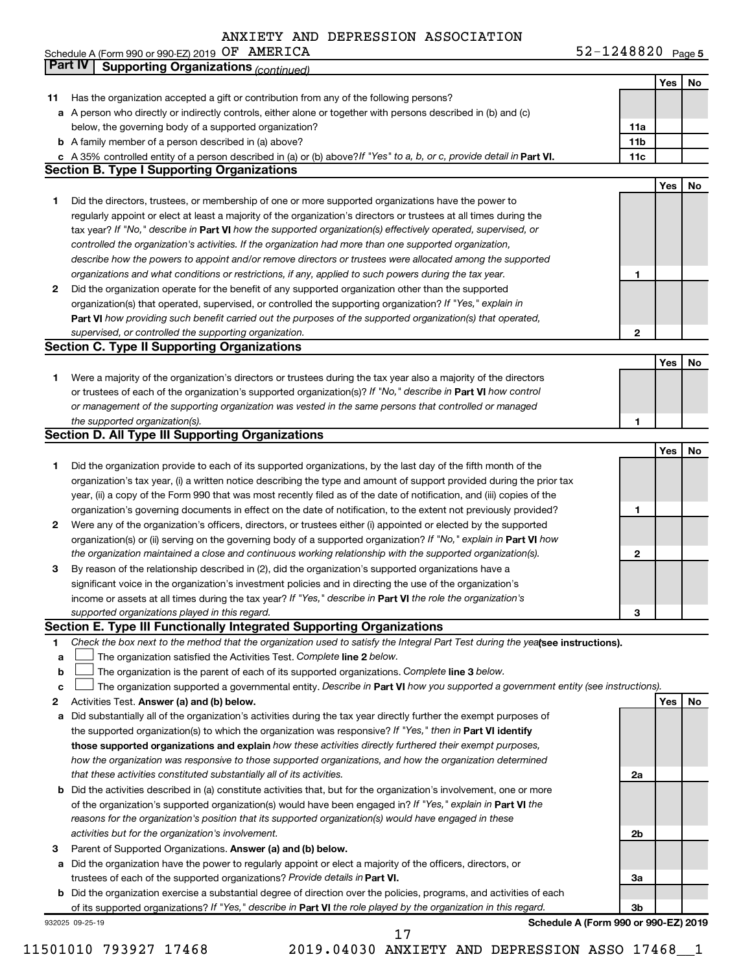**OF AMERICA** 52-1248820  $_{\text{Page 5}}$ Schedule A (Form 990 or 990-EZ) 2019  $\,$  O.F.  $\,$  AMERICA  $\,$  . The set of the set of the set of the set of the set of the set of the set of the set of the set of the set of the set of the set of the set of the set of

|    | <b>Part IV</b>  | <b>Supporting Organizations (continued)</b>                                                                                                                                                                                |                 |     |    |
|----|-----------------|----------------------------------------------------------------------------------------------------------------------------------------------------------------------------------------------------------------------------|-----------------|-----|----|
|    |                 |                                                                                                                                                                                                                            |                 | Yes | No |
| 11 |                 | Has the organization accepted a gift or contribution from any of the following persons?                                                                                                                                    |                 |     |    |
| а  |                 | A person who directly or indirectly controls, either alone or together with persons described in (b) and (c)                                                                                                               |                 |     |    |
|    |                 | below, the governing body of a supported organization?                                                                                                                                                                     | 11a             |     |    |
|    |                 | <b>b</b> A family member of a person described in (a) above?                                                                                                                                                               | 11 <sub>b</sub> |     |    |
|    |                 | c A 35% controlled entity of a person described in (a) or (b) above? If "Yes" to a, b, or c, provide detail in Part VI.                                                                                                    | 11c             |     |    |
|    |                 | <b>Section B. Type I Supporting Organizations</b>                                                                                                                                                                          |                 |     |    |
|    |                 |                                                                                                                                                                                                                            |                 | Yes | No |
| 1. |                 | Did the directors, trustees, or membership of one or more supported organizations have the power to                                                                                                                        |                 |     |    |
|    |                 | regularly appoint or elect at least a majority of the organization's directors or trustees at all times during the                                                                                                         |                 |     |    |
|    |                 | tax year? If "No," describe in Part VI how the supported organization(s) effectively operated, supervised, or                                                                                                              |                 |     |    |
|    |                 | controlled the organization's activities. If the organization had more than one supported organization,                                                                                                                    |                 |     |    |
|    |                 | describe how the powers to appoint and/or remove directors or trustees were allocated among the supported                                                                                                                  |                 |     |    |
|    |                 | organizations and what conditions or restrictions, if any, applied to such powers during the tax year.                                                                                                                     | 1               |     |    |
| 2  |                 | Did the organization operate for the benefit of any supported organization other than the supported                                                                                                                        |                 |     |    |
|    |                 | organization(s) that operated, supervised, or controlled the supporting organization? If "Yes," explain in                                                                                                                 |                 |     |    |
|    |                 | Part VI how providing such benefit carried out the purposes of the supported organization(s) that operated,                                                                                                                |                 |     |    |
|    |                 | supervised, or controlled the supporting organization.                                                                                                                                                                     | $\mathbf{2}$    |     |    |
|    |                 | <b>Section C. Type II Supporting Organizations</b>                                                                                                                                                                         |                 |     |    |
|    |                 |                                                                                                                                                                                                                            |                 | Yes | No |
| 1. |                 | Were a majority of the organization's directors or trustees during the tax year also a majority of the directors                                                                                                           |                 |     |    |
|    |                 | or trustees of each of the organization's supported organization(s)? If "No," describe in Part VI how control                                                                                                              |                 |     |    |
|    |                 | or management of the supporting organization was vested in the same persons that controlled or managed                                                                                                                     |                 |     |    |
|    |                 | the supported organization(s).                                                                                                                                                                                             | 1               |     |    |
|    |                 | <b>Section D. All Type III Supporting Organizations</b>                                                                                                                                                                    |                 |     |    |
|    |                 |                                                                                                                                                                                                                            |                 | Yes | No |
|    |                 | Did the organization provide to each of its supported organizations, by the last day of the fifth month of the                                                                                                             |                 |     |    |
| 1  |                 | organization's tax year, (i) a written notice describing the type and amount of support provided during the prior tax                                                                                                      |                 |     |    |
|    |                 |                                                                                                                                                                                                                            |                 |     |    |
|    |                 | year, (ii) a copy of the Form 990 that was most recently filed as of the date of notification, and (iii) copies of the                                                                                                     |                 |     |    |
|    |                 | organization's governing documents in effect on the date of notification, to the extent not previously provided?                                                                                                           | 1               |     |    |
| 2  |                 | Were any of the organization's officers, directors, or trustees either (i) appointed or elected by the supported                                                                                                           |                 |     |    |
|    |                 | organization(s) or (ii) serving on the governing body of a supported organization? If "No," explain in Part VI how                                                                                                         | $\mathbf{2}$    |     |    |
|    |                 | the organization maintained a close and continuous working relationship with the supported organization(s).                                                                                                                |                 |     |    |
| 3  |                 | By reason of the relationship described in (2), did the organization's supported organizations have a                                                                                                                      |                 |     |    |
|    |                 | significant voice in the organization's investment policies and in directing the use of the organization's<br>income or assets at all times during the tax year? If "Yes," describe in Part VI the role the organization's |                 |     |    |
|    |                 | supported organizations played in this regard.                                                                                                                                                                             |                 |     |    |
|    |                 | Section E. Type III Functionally Integrated Supporting Organizations                                                                                                                                                       | З               |     |    |
| 1  |                 | Check the box next to the method that the organization used to satisfy the Integral Part Test during the yealsee instructions).                                                                                            |                 |     |    |
| a  |                 | The organization satisfied the Activities Test. Complete line 2 below.                                                                                                                                                     |                 |     |    |
| b  |                 | The organization is the parent of each of its supported organizations. Complete line 3 below.                                                                                                                              |                 |     |    |
| c  |                 | The organization supported a governmental entity. Describe in Part VI how you supported a government entity (see instructions).                                                                                            |                 |     |    |
| 2  |                 | Activities Test. Answer (a) and (b) below.                                                                                                                                                                                 |                 | Yes | No |
| а  |                 | Did substantially all of the organization's activities during the tax year directly further the exempt purposes of                                                                                                         |                 |     |    |
|    |                 | the supported organization(s) to which the organization was responsive? If "Yes," then in Part VI identify                                                                                                                 |                 |     |    |
|    |                 | those supported organizations and explain how these activities directly furthered their exempt purposes,                                                                                                                   |                 |     |    |
|    |                 | how the organization was responsive to those supported organizations, and how the organization determined                                                                                                                  |                 |     |    |
|    |                 | that these activities constituted substantially all of its activities.                                                                                                                                                     | 2a              |     |    |
| b  |                 | Did the activities described in (a) constitute activities that, but for the organization's involvement, one or more                                                                                                        |                 |     |    |
|    |                 | of the organization's supported organization(s) would have been engaged in? If "Yes," explain in Part VI the                                                                                                               |                 |     |    |
|    |                 | reasons for the organization's position that its supported organization(s) would have engaged in these                                                                                                                     |                 |     |    |
|    |                 | activities but for the organization's involvement.                                                                                                                                                                         | 2b              |     |    |
| з  |                 | Parent of Supported Organizations. Answer (a) and (b) below.                                                                                                                                                               |                 |     |    |
| а  |                 | Did the organization have the power to regularly appoint or elect a majority of the officers, directors, or                                                                                                                |                 |     |    |
|    |                 | trustees of each of the supported organizations? Provide details in Part VI.                                                                                                                                               | За              |     |    |
| b  |                 | Did the organization exercise a substantial degree of direction over the policies, programs, and activities of each                                                                                                        |                 |     |    |
|    |                 | of its supported organizations? If "Yes," describe in Part VI the role played by the organization in this regard.                                                                                                          | 3b              |     |    |
|    | 932025 09-25-19 | Schedule A (Form 990 or 990-EZ) 2019                                                                                                                                                                                       |                 |     |    |

11501010 793927 17468 2019.04030 ANXIETY AND DEPRESSION ASSO 17468\_\_1

17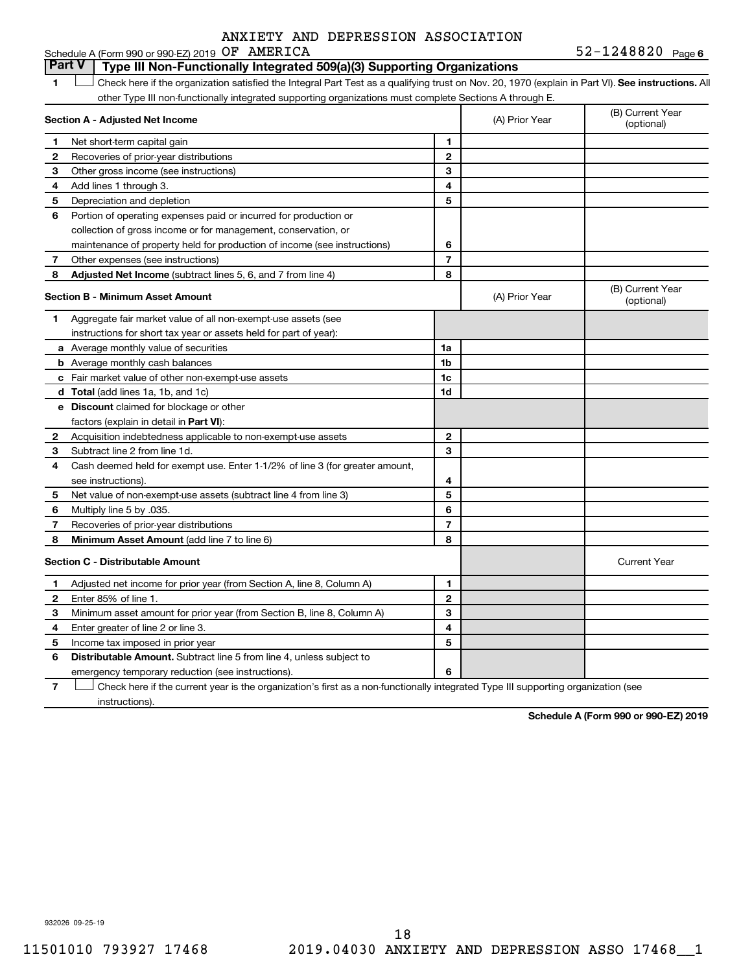#### **1 Lett** Check here if the organization satisfied the Integral Part Test as a qualifying trust on Nov. 20, 1970 (explain in Part VI). See instructions. All **Section A - Adjusted Net Income 1 2 3 4 5 6 7 8 1 2 3 4 5 6 7 Adjusted Net Income** (subtract lines 5, 6, and 7 from line 4) **8 8 Section B - Minimum Asset Amount 1 2 3 4 5 6 7 8 a** Average monthly value of securities **b** Average monthly cash balances **c** Fair market value of other non-exempt-use assets **d Total**  (add lines 1a, 1b, and 1c) **e Discount** claimed for blockage or other **1a 1b 1c 1d 2 3 4 5 6 7 8** factors (explain in detail in Part VI): **Minimum Asset Amount**  (add line 7 to line 6) **Section C - Distributable Amount 1 2 3 4 5 6 1 2 3 4 5 6** Distributable Amount. Subtract line 5 from line 4, unless subject to Schedule A (Form 990 or 990-EZ) 2019  $OF$   $AMERICA$  52-1248820  $Page$ other Type III non-functionally integrated supporting organizations must complete Sections A through E. (B) Current Year (A) Prior Year Net short-term capital gain Recoveries of prior-year distributions Other gross income (see instructions) Add lines 1 through 3. Depreciation and depletion Portion of operating expenses paid or incurred for production or collection of gross income or for management, conservation, or maintenance of property held for production of income (see instructions) Other expenses (see instructions) (B) Current Year  $(A)$  Prior Year  $\left\{\n\begin{array}{ccc}\n\end{array}\n\right\}$  (optional) Aggregate fair market value of all non-exempt-use assets (see instructions for short tax year or assets held for part of year): Acquisition indebtedness applicable to non-exempt-use assets Subtract line 2 from line 1d. Cash deemed held for exempt use. Enter 1-1/2% of line 3 (for greater amount, see instructions). Net value of non-exempt-use assets (subtract line 4 from line 3) Multiply line 5 by .035. Recoveries of prior-year distributions Current Year Adjusted net income for prior year (from Section A, line 8, Column A) Enter 85% of line 1. Minimum asset amount for prior year (from Section B, line 8, Column A) Enter greater of line 2 or line 3. Income tax imposed in prior year emergency temporary reduction (see instructions). **Part V Type III Non-Functionally Integrated 509(a)(3) Supporting Organizations**   $\Box$

**7** Check here if the current year is the organization's first as a non-functionally integrated Type III supporting organization (see † instructions).

**Schedule A (Form 990 or 990-EZ) 2019**

932026 09-25-19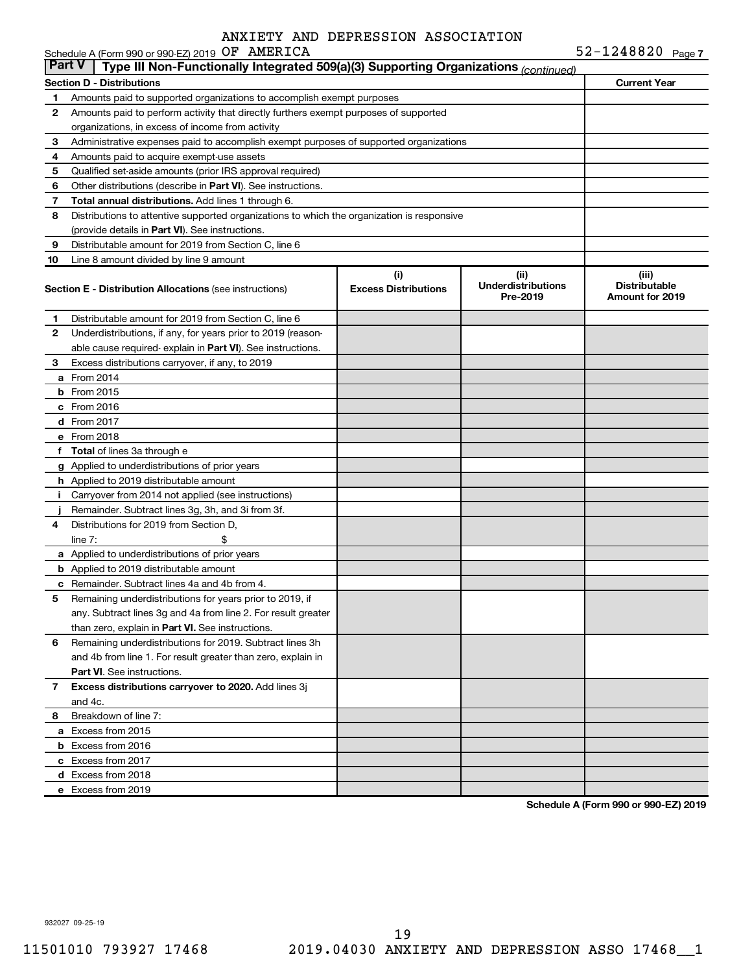|               | Schedule A (Form 990 or 990-EZ) 2019 OF AMERICA                                            |                                    |                                               | $52 - 1248820$ Page 7                                   |
|---------------|--------------------------------------------------------------------------------------------|------------------------------------|-----------------------------------------------|---------------------------------------------------------|
| <b>Part V</b> | Type III Non-Functionally Integrated 509(a)(3) Supporting Organizations (continued)        |                                    |                                               |                                                         |
|               | <b>Section D - Distributions</b>                                                           |                                    |                                               | <b>Current Year</b>                                     |
| 1             | Amounts paid to supported organizations to accomplish exempt purposes                      |                                    |                                               |                                                         |
| 2             | Amounts paid to perform activity that directly furthers exempt purposes of supported       |                                    |                                               |                                                         |
|               | organizations, in excess of income from activity                                           |                                    |                                               |                                                         |
| 3             | Administrative expenses paid to accomplish exempt purposes of supported organizations      |                                    |                                               |                                                         |
| 4             | Amounts paid to acquire exempt-use assets                                                  |                                    |                                               |                                                         |
| 5             | Qualified set-aside amounts (prior IRS approval required)                                  |                                    |                                               |                                                         |
| 6             | Other distributions (describe in <b>Part VI</b> ). See instructions.                       |                                    |                                               |                                                         |
| 7             | Total annual distributions. Add lines 1 through 6.                                         |                                    |                                               |                                                         |
| 8             | Distributions to attentive supported organizations to which the organization is responsive |                                    |                                               |                                                         |
|               | (provide details in Part VI). See instructions.                                            |                                    |                                               |                                                         |
| 9             | Distributable amount for 2019 from Section C, line 6                                       |                                    |                                               |                                                         |
| 10            | Line 8 amount divided by line 9 amount                                                     |                                    |                                               |                                                         |
|               | <b>Section E - Distribution Allocations (see instructions)</b>                             | (i)<br><b>Excess Distributions</b> | (ii)<br><b>Underdistributions</b><br>Pre-2019 | (iii)<br><b>Distributable</b><br><b>Amount for 2019</b> |
| 1             | Distributable amount for 2019 from Section C, line 6                                       |                                    |                                               |                                                         |
| 2             | Underdistributions, if any, for years prior to 2019 (reason-                               |                                    |                                               |                                                         |
|               | able cause required- explain in Part VI). See instructions.                                |                                    |                                               |                                                         |
| 3             | Excess distributions carryover, if any, to 2019                                            |                                    |                                               |                                                         |
|               | a From 2014                                                                                |                                    |                                               |                                                         |
|               | <b>b</b> From 2015                                                                         |                                    |                                               |                                                         |
|               | c From 2016                                                                                |                                    |                                               |                                                         |
|               | d From 2017                                                                                |                                    |                                               |                                                         |
|               | e From 2018                                                                                |                                    |                                               |                                                         |
|               | f Total of lines 3a through e                                                              |                                    |                                               |                                                         |
|               | g Applied to underdistributions of prior years                                             |                                    |                                               |                                                         |
|               | <b>h</b> Applied to 2019 distributable amount                                              |                                    |                                               |                                                         |
| Ť.            | Carryover from 2014 not applied (see instructions)                                         |                                    |                                               |                                                         |
|               | Remainder. Subtract lines 3g, 3h, and 3i from 3f.                                          |                                    |                                               |                                                         |
| 4             | Distributions for 2019 from Section D,                                                     |                                    |                                               |                                                         |
|               | line $7:$                                                                                  |                                    |                                               |                                                         |
|               | a Applied to underdistributions of prior years                                             |                                    |                                               |                                                         |
|               | <b>b</b> Applied to 2019 distributable amount                                              |                                    |                                               |                                                         |
|               | c Remainder. Subtract lines 4a and 4b from 4.                                              |                                    |                                               |                                                         |
|               | 5 Remaining underdistributions for years prior to 2019, if                                 |                                    |                                               |                                                         |
|               | any. Subtract lines 3g and 4a from line 2. For result greater                              |                                    |                                               |                                                         |
|               | than zero, explain in Part VI. See instructions.                                           |                                    |                                               |                                                         |
| 6             | Remaining underdistributions for 2019. Subtract lines 3h                                   |                                    |                                               |                                                         |
|               | and 4b from line 1. For result greater than zero, explain in                               |                                    |                                               |                                                         |
|               | <b>Part VI.</b> See instructions.                                                          |                                    |                                               |                                                         |
| 7             | Excess distributions carryover to 2020. Add lines 3j                                       |                                    |                                               |                                                         |
|               | and 4c.                                                                                    |                                    |                                               |                                                         |
| 8             | Breakdown of line 7:                                                                       |                                    |                                               |                                                         |
|               | a Excess from 2015                                                                         |                                    |                                               |                                                         |
|               | <b>b</b> Excess from 2016                                                                  |                                    |                                               |                                                         |
|               | c Excess from 2017                                                                         |                                    |                                               |                                                         |
|               | d Excess from 2018                                                                         |                                    |                                               |                                                         |
|               | e Excess from 2019                                                                         |                                    |                                               |                                                         |

**Schedule A (Form 990 or 990-EZ) 2019**

932027 09-25-19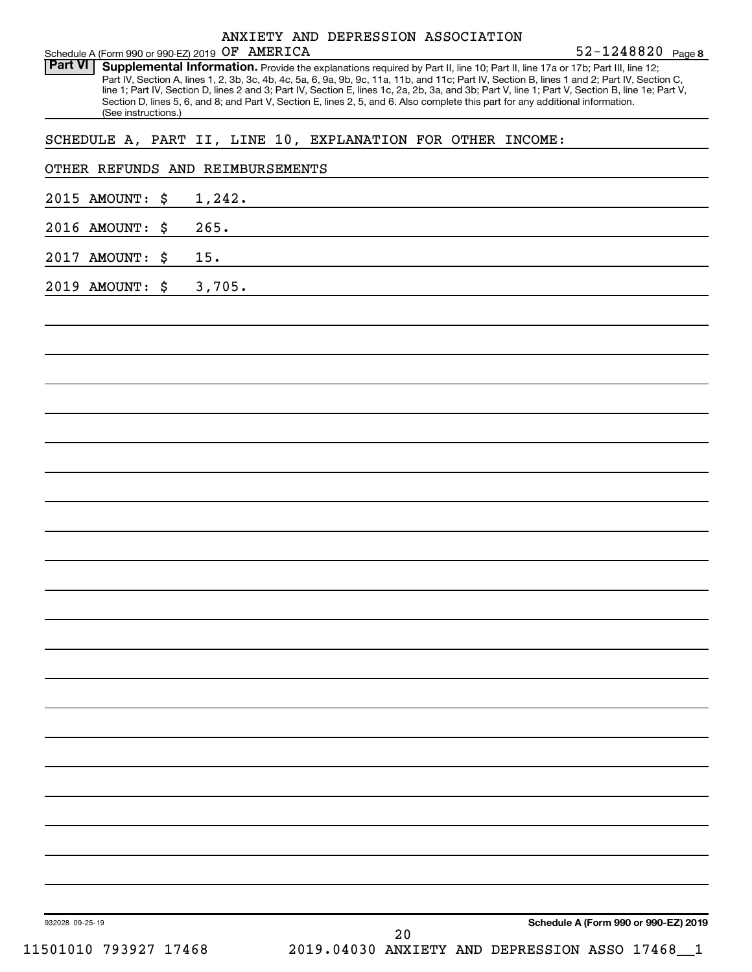|            |  | ANXIETY AND DEPRESSION ASSOCIATION |                       |  |
|------------|--|------------------------------------|-----------------------|--|
| OF AMERICA |  |                                    | $52 - 1248820$ Page 8 |  |

Schedule A (Form 990 or 990-EZ) 2019 OF AMERICA<br>Part VI Supplemental Information, Provide the Part VI | Supplemental Information. Provide the explanations required by Part II, line 10; Part II, line 17a or 17b; Part III, line 12; Part IV, Section A, lines 1, 2, 3b, 3c, 4b, 4c, 5a, 6, 9a, 9b, 9c, 11a, 11b, and 11c; Part IV, Section B, lines 1 and 2; Part IV, Section C, line 1; Part IV, Section D, lines 2 and 3; Part IV, Section E, lines 1c, 2a, 2b, 3a, and 3b; Part V, line 1; Part V, Section B, line 1e; Part V, Section D, lines 5, 6, and 8; and Part V, Section E, lines 2, 5, and 6. Also complete this part for any additional information. (See instructions.)

SCHEDULE A, PART II, LINE 10, EXPLANATION FOR OTHER INCOME:

### OTHER REFUNDS AND REIMBURSEMENTS

2015 AMOUNT: \$ 1,242.

2016 AMOUNT: \$ 265.

2017 AMOUNT: \$ 15.

2019 AMOUNT: \$ 3,705.

**Schedule A (Form 990 or 990-EZ) 2019**

932028 09-25-19

11501010 793927 17468 2019.04030 ANXIETY AND DEPRESSION ASSO 17468\_\_1 20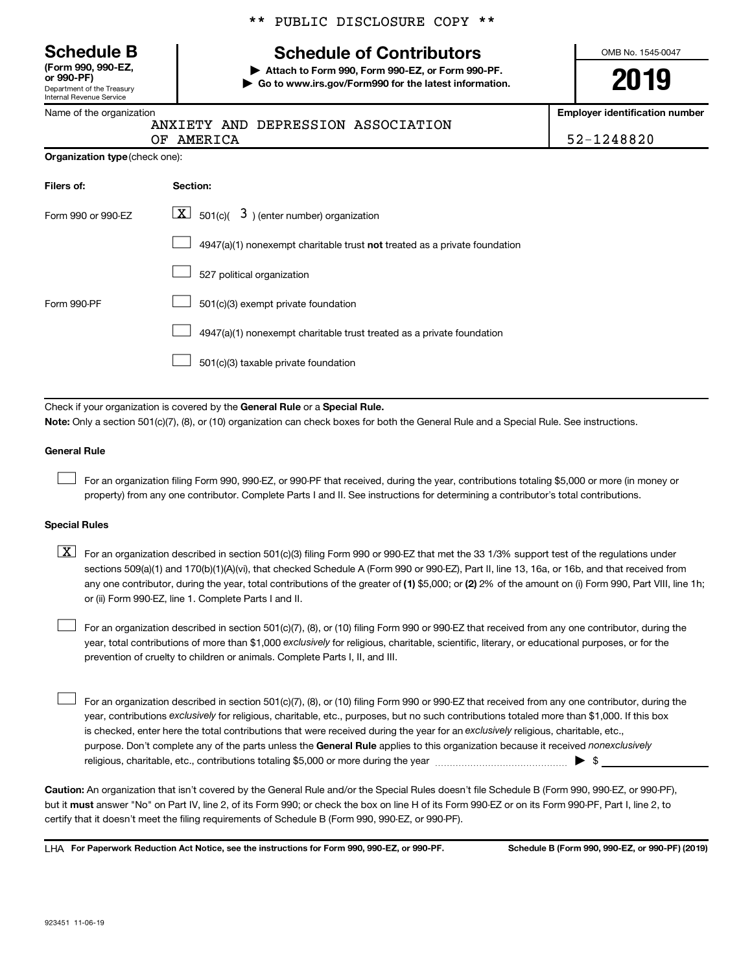Department of the Treasury Internal Revenue Service **(Form 990, 990-EZ,**

|  |  | ** PUBLIC DISCLOSURE COPY ** |  |  |
|--|--|------------------------------|--|--|
|--|--|------------------------------|--|--|

# **Schedule B Schedule of Contributors**

**or 990-PF) | Attach to Form 990, Form 990-EZ, or Form 990-PF. | Go to www.irs.gov/Form990 for the latest information.** OMB No. 1545-0047

**2019**

**Employer identification number**

| Name of the organization |
|--------------------------|
|                          |

# ANXIETY AND DEPRESSION ASSOCIATION

|                                       | OF AMERICA |
|---------------------------------------|------------|
| <b>Organization type</b> (check one): |            |

52-1248820

| Filers of:         | Section:                                                                  |  |  |  |  |
|--------------------|---------------------------------------------------------------------------|--|--|--|--|
| Form 990 or 990-FZ | $\boxed{\textbf{X}}$ 501(c)( 3) (enter number) organization               |  |  |  |  |
|                    | 4947(a)(1) nonexempt charitable trust not treated as a private foundation |  |  |  |  |
|                    | 527 political organization                                                |  |  |  |  |
| Form 990-PF        | 501(c)(3) exempt private foundation                                       |  |  |  |  |
|                    | 4947(a)(1) nonexempt charitable trust treated as a private foundation     |  |  |  |  |
|                    | 501(c)(3) taxable private foundation                                      |  |  |  |  |

Check if your organization is covered by the General Rule or a Special Rule. **Note:**  Only a section 501(c)(7), (8), or (10) organization can check boxes for both the General Rule and a Special Rule. See instructions.

#### **General Rule**

 $\Box$ 

For an organization filing Form 990, 990-EZ, or 990-PF that received, during the year, contributions totaling \$5,000 or more (in money or property) from any one contributor. Complete Parts I and II. See instructions for determining a contributor's total contributions.

### **Special Rules**

any one contributor, during the year, total contributions of the greater of (1) \$5,000; or (2) 2% of the amount on (i) Form 990, Part VIII, line 1h;  $\boxed{\text{X}}$  For an organization described in section 501(c)(3) filing Form 990 or 990-EZ that met the 33 1/3% support test of the regulations under sections 509(a)(1) and 170(b)(1)(A)(vi), that checked Schedule A (Form 990 or 990-EZ), Part II, line 13, 16a, or 16b, and that received from or (ii) Form 990-EZ, line 1. Complete Parts I and II.

year, total contributions of more than \$1,000 *exclusively* for religious, charitable, scientific, literary, or educational purposes, or for the For an organization described in section 501(c)(7), (8), or (10) filing Form 990 or 990-EZ that received from any one contributor, during the prevention of cruelty to children or animals. Complete Parts I, II, and III.  $\Box$ 

purpose. Don't complete any of the parts unless the General Rule applies to this organization because it received nonexclusively year, contributions exclusively for religious, charitable, etc., purposes, but no such contributions totaled more than \$1,000. If this box is checked, enter here the total contributions that were received during the year for an exclusively religious, charitable, etc., For an organization described in section 501(c)(7), (8), or (10) filing Form 990 or 990-EZ that received from any one contributor, during the religious, charitable, etc., contributions totaling \$5,000 or more during the year  $~\ldots\ldots\ldots\ldots\ldots\ldots\ldots\ldots\blacktriangleright~$ \$  $\Box$ 

**Caution:**  An organization that isn't covered by the General Rule and/or the Special Rules doesn't file Schedule B (Form 990, 990-EZ, or 990-PF),  **must** but it answer "No" on Part IV, line 2, of its Form 990; or check the box on line H of its Form 990-EZ or on its Form 990-PF, Part I, line 2, to certify that it doesn't meet the filing requirements of Schedule B (Form 990, 990-EZ, or 990-PF).

**For Paperwork Reduction Act Notice, see the instructions for Form 990, 990-EZ, or 990-PF. Schedule B (Form 990, 990-EZ, or 990-PF) (2019)** LHA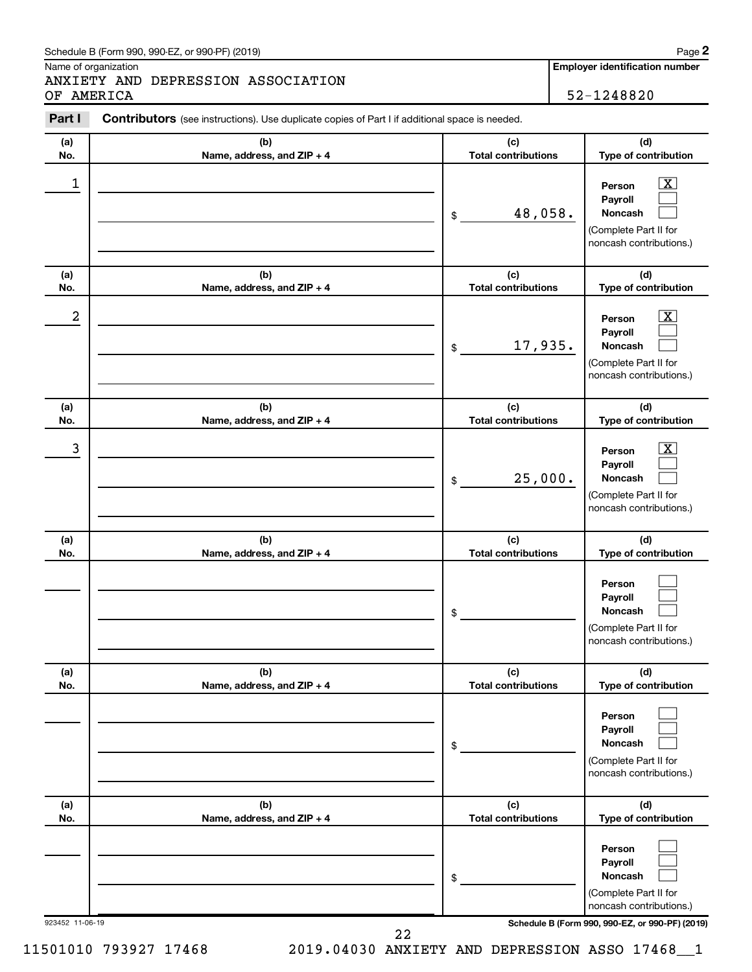#### Schedule B (Form 990, 990-EZ, or 990-PF) (2019)

Name of organization

ANXIETY AND DEPRESSION ASSOCIATION OF AMERICA 52-1248820

**Employer identification number**

| Part I           | <b>Contributors</b> (see instructions). Use duplicate copies of Part I if additional space is needed. |                                   |                                                                                                                    |
|------------------|-------------------------------------------------------------------------------------------------------|-----------------------------------|--------------------------------------------------------------------------------------------------------------------|
| (a)              | (b)                                                                                                   | (c)                               | (d)                                                                                                                |
| No.              | Name, address, and ZIP + 4                                                                            | <b>Total contributions</b>        | Type of contribution                                                                                               |
| 1                |                                                                                                       | 48,058.<br>\$                     | $\overline{\mathbf{x}}$<br>Person<br>Payroll<br>Noncash<br>(Complete Part II for<br>noncash contributions.)        |
| (a)<br>No.       | (b)<br>Name, address, and ZIP + 4                                                                     | (c)<br><b>Total contributions</b> | (d)                                                                                                                |
|                  |                                                                                                       |                                   | Type of contribution                                                                                               |
| $\boldsymbol{2}$ |                                                                                                       | 17,935.<br>$\$\$                  | $\overline{\mathbf{x}}$<br>Person<br>Payroll<br><b>Noncash</b><br>(Complete Part II for<br>noncash contributions.) |
| (a)<br>No.       | (b)<br>Name, address, and ZIP + 4                                                                     | (c)<br><b>Total contributions</b> | (d)<br>Type of contribution                                                                                        |
|                  |                                                                                                       |                                   |                                                                                                                    |
| $\mathbf{3}$     |                                                                                                       | 25,000.<br>\$                     | $\overline{\mathbf{x}}$<br>Person<br>Payroll<br>Noncash<br>(Complete Part II for<br>noncash contributions.)        |
| (a)<br>No.       | (b)<br>Name, address, and ZIP + 4                                                                     | (c)<br><b>Total contributions</b> | (d)<br>Type of contribution                                                                                        |
|                  |                                                                                                       | \$                                | Person<br>Payroll<br>Noncash<br>(Complete Part II for<br>noncash contributions.)                                   |
| (a)<br>No.       | (b)<br>Name, address, and ZIP + 4                                                                     | (c)<br><b>Total contributions</b> | (d)<br>Type of contribution                                                                                        |
|                  |                                                                                                       | \$                                | Person<br>Payroll<br>Noncash<br>(Complete Part II for<br>noncash contributions.)                                   |
| (a)<br>No.       | (b)<br>Name, address, and ZIP + 4                                                                     | (c)<br><b>Total contributions</b> | (d)<br>Type of contribution                                                                                        |
|                  |                                                                                                       | \$                                | Person<br>Payroll<br>Noncash<br>(Complete Part II for<br>noncash contributions.)                                   |
| 923452 11-06-19  |                                                                                                       |                                   | Schedule B (Form 990, 990-EZ, or 990-PF) (2019)                                                                    |

22

11501010 793927 17468 2019.04030 ANXIETY AND DEPRESSION ASSO 17468\_\_1

**2**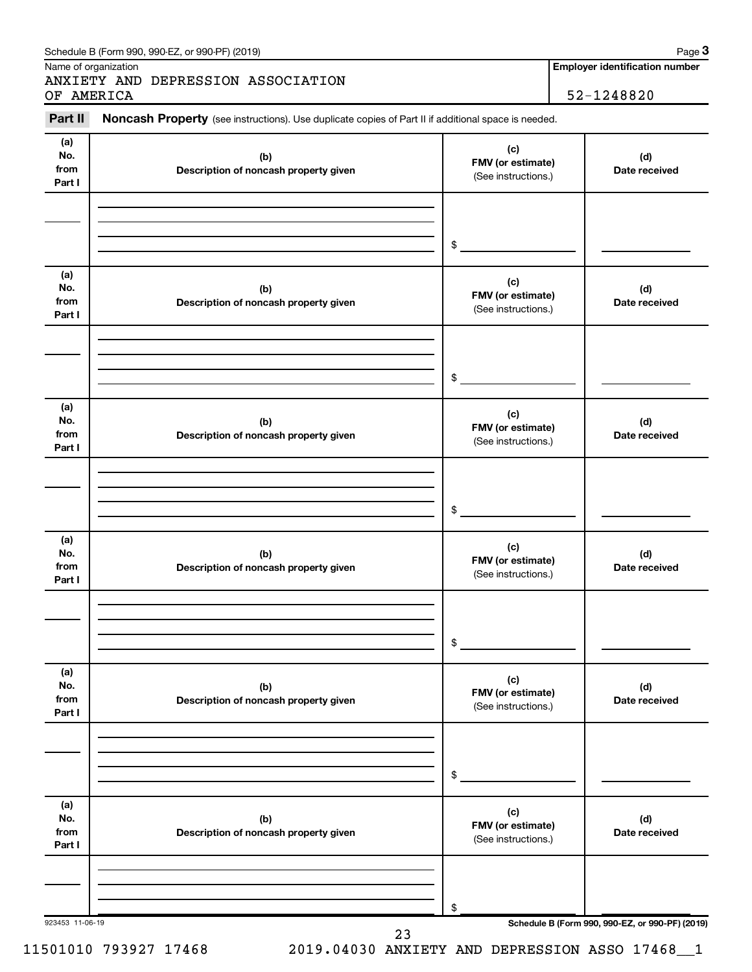| Part II                      | Noncash Property (see instructions). Use duplicate copies of Part II if additional space is needed. |                                                 |                      |
|------------------------------|-----------------------------------------------------------------------------------------------------|-------------------------------------------------|----------------------|
| (a)                          |                                                                                                     |                                                 |                      |
| No.<br>from<br>Part I        | (b)<br>Description of noncash property given                                                        | (c)<br>FMV (or estimate)<br>(See instructions.) | (d)<br>Date received |
|                              |                                                                                                     |                                                 |                      |
| (a)                          |                                                                                                     | $\$$<br>(c)                                     |                      |
| No.<br>from<br>Part I        | (b)<br>Description of noncash property given                                                        | FMV (or estimate)<br>(See instructions.)        | (d)<br>Date received |
|                              |                                                                                                     | $\frac{1}{2}$                                   |                      |
|                              |                                                                                                     |                                                 |                      |
| (a)<br>No.<br>from<br>Part I | (b)<br>Description of noncash property given                                                        | (c)<br>FMV (or estimate)<br>(See instructions.) | (d)<br>Date received |
|                              |                                                                                                     |                                                 |                      |
|                              |                                                                                                     | $\frac{1}{2}$                                   |                      |
| (a)<br>No.<br>from<br>Part I | (b)<br>Description of noncash property given                                                        | (c)<br>FMV (or estimate)<br>(See instructions.) | (d)<br>Date received |
|                              |                                                                                                     |                                                 |                      |
|                              |                                                                                                     | \$                                              |                      |
| (a)<br>No.<br>from<br>Part I | (b)<br>Description of noncash property given                                                        | (c)<br>FMV (or estimate)<br>(See instructions.) | (d)<br>Date received |
|                              |                                                                                                     |                                                 |                      |
|                              |                                                                                                     | \$                                              |                      |
| (a)<br>No.<br>from<br>Part I | (b)<br>Description of noncash property given                                                        | (c)<br>FMV (or estimate)<br>(See instructions.) | (d)<br>Date received |
|                              |                                                                                                     |                                                 |                      |
|                              |                                                                                                     |                                                 |                      |
|                              |                                                                                                     | \$                                              |                      |

Schedule B (Form 990, 990-EZ, or 990-PF) (2019)

Name of organization

**Employer identification number**

**3**

11501010 793927 17468 2019.04030 ANXIETY AND DEPRESSION ASSO 17468\_\_1

23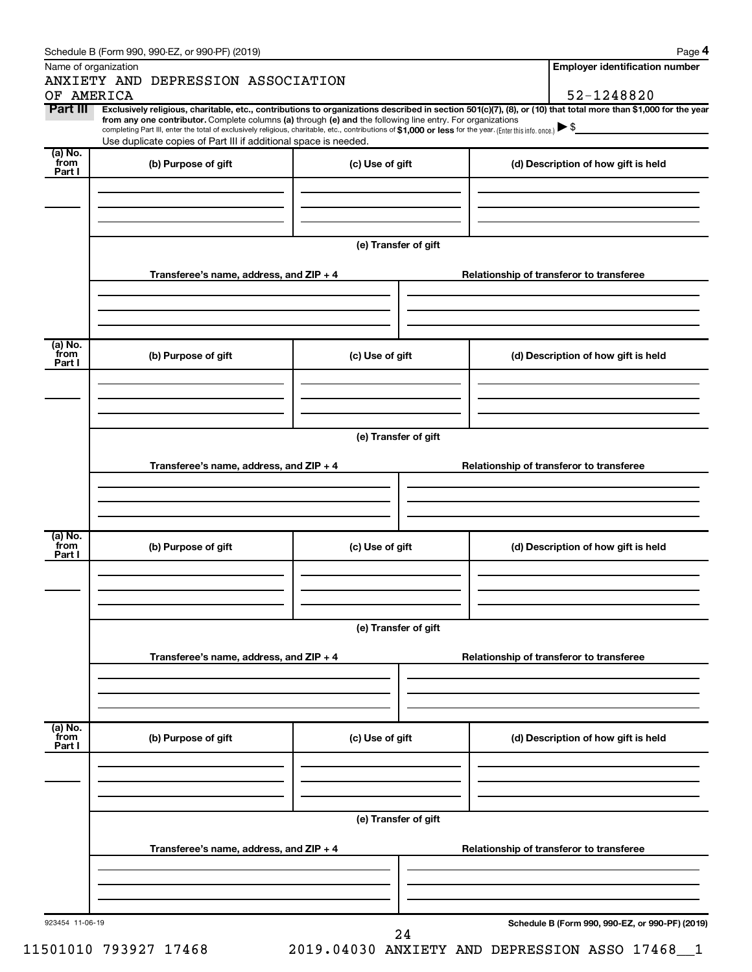| Name of organization      |                                                                                                                                                                                                                                                                                                                                                                                                                                                                                                                  |                      |                                          | <b>Employer identification number</b>           |  |  |  |
|---------------------------|------------------------------------------------------------------------------------------------------------------------------------------------------------------------------------------------------------------------------------------------------------------------------------------------------------------------------------------------------------------------------------------------------------------------------------------------------------------------------------------------------------------|----------------------|------------------------------------------|-------------------------------------------------|--|--|--|
|                           | ANXIETY AND DEPRESSION ASSOCIATION                                                                                                                                                                                                                                                                                                                                                                                                                                                                               |                      |                                          |                                                 |  |  |  |
| OF AMERICA                |                                                                                                                                                                                                                                                                                                                                                                                                                                                                                                                  |                      |                                          | 52-1248820                                      |  |  |  |
| Part III                  | Exclusively religious, charitable, etc., contributions to organizations described in section 501(c)(7), (8), or (10) that total more than \$1,000 for the year<br>from any one contributor. Complete columns (a) through (e) and the following line entry. For organizations<br>completing Part III, enter the total of exclusively religious, charitable, etc., contributions of \$1,000 or less for the year. (Enter this info. once.) ▶ \$<br>Use duplicate copies of Part III if additional space is needed. |                      |                                          |                                                 |  |  |  |
| (a) No.<br>from<br>Part I | (b) Purpose of gift                                                                                                                                                                                                                                                                                                                                                                                                                                                                                              | (c) Use of gift      |                                          | (d) Description of how gift is held             |  |  |  |
|                           |                                                                                                                                                                                                                                                                                                                                                                                                                                                                                                                  |                      |                                          |                                                 |  |  |  |
|                           |                                                                                                                                                                                                                                                                                                                                                                                                                                                                                                                  | (e) Transfer of gift |                                          |                                                 |  |  |  |
|                           | Transferee's name, address, and ZIP + 4                                                                                                                                                                                                                                                                                                                                                                                                                                                                          |                      |                                          | Relationship of transferor to transferee        |  |  |  |
|                           |                                                                                                                                                                                                                                                                                                                                                                                                                                                                                                                  |                      |                                          |                                                 |  |  |  |
| (a) No.<br>`from          | (b) Purpose of gift                                                                                                                                                                                                                                                                                                                                                                                                                                                                                              | (c) Use of gift      |                                          | (d) Description of how gift is held             |  |  |  |
| Part I                    |                                                                                                                                                                                                                                                                                                                                                                                                                                                                                                                  |                      |                                          |                                                 |  |  |  |
|                           |                                                                                                                                                                                                                                                                                                                                                                                                                                                                                                                  |                      |                                          |                                                 |  |  |  |
|                           | (e) Transfer of gift                                                                                                                                                                                                                                                                                                                                                                                                                                                                                             |                      |                                          |                                                 |  |  |  |
|                           | Transferee's name, address, and ZIP + 4                                                                                                                                                                                                                                                                                                                                                                                                                                                                          |                      | Relationship of transferor to transferee |                                                 |  |  |  |
|                           |                                                                                                                                                                                                                                                                                                                                                                                                                                                                                                                  |                      |                                          |                                                 |  |  |  |
| (a) No.<br>from<br>Part I | (b) Purpose of gift                                                                                                                                                                                                                                                                                                                                                                                                                                                                                              | (c) Use of gift      |                                          | (d) Description of how gift is held             |  |  |  |
|                           |                                                                                                                                                                                                                                                                                                                                                                                                                                                                                                                  |                      |                                          |                                                 |  |  |  |
|                           |                                                                                                                                                                                                                                                                                                                                                                                                                                                                                                                  | (e) Transfer of gift |                                          |                                                 |  |  |  |
|                           | Transferee's name, address, and ZIP + 4                                                                                                                                                                                                                                                                                                                                                                                                                                                                          |                      |                                          | Relationship of transferor to transferee        |  |  |  |
|                           |                                                                                                                                                                                                                                                                                                                                                                                                                                                                                                                  |                      |                                          |                                                 |  |  |  |
| (a) No.<br>from<br>Part I | (b) Purpose of gift                                                                                                                                                                                                                                                                                                                                                                                                                                                                                              | (c) Use of gift      |                                          | (d) Description of how gift is held             |  |  |  |
|                           |                                                                                                                                                                                                                                                                                                                                                                                                                                                                                                                  |                      |                                          |                                                 |  |  |  |
|                           | (e) Transfer of gift                                                                                                                                                                                                                                                                                                                                                                                                                                                                                             |                      |                                          |                                                 |  |  |  |
|                           | Transferee's name, address, and ZIP + 4                                                                                                                                                                                                                                                                                                                                                                                                                                                                          |                      | Relationship of transferor to transferee |                                                 |  |  |  |
|                           |                                                                                                                                                                                                                                                                                                                                                                                                                                                                                                                  |                      |                                          |                                                 |  |  |  |
| 923454 11-06-19           |                                                                                                                                                                                                                                                                                                                                                                                                                                                                                                                  | 24                   |                                          | Schedule B (Form 990, 990-EZ, or 990-PF) (2019) |  |  |  |

11501010 793927 17468 2019.04030 ANXIETY AND DEPRESSION ASSO 17468\_\_1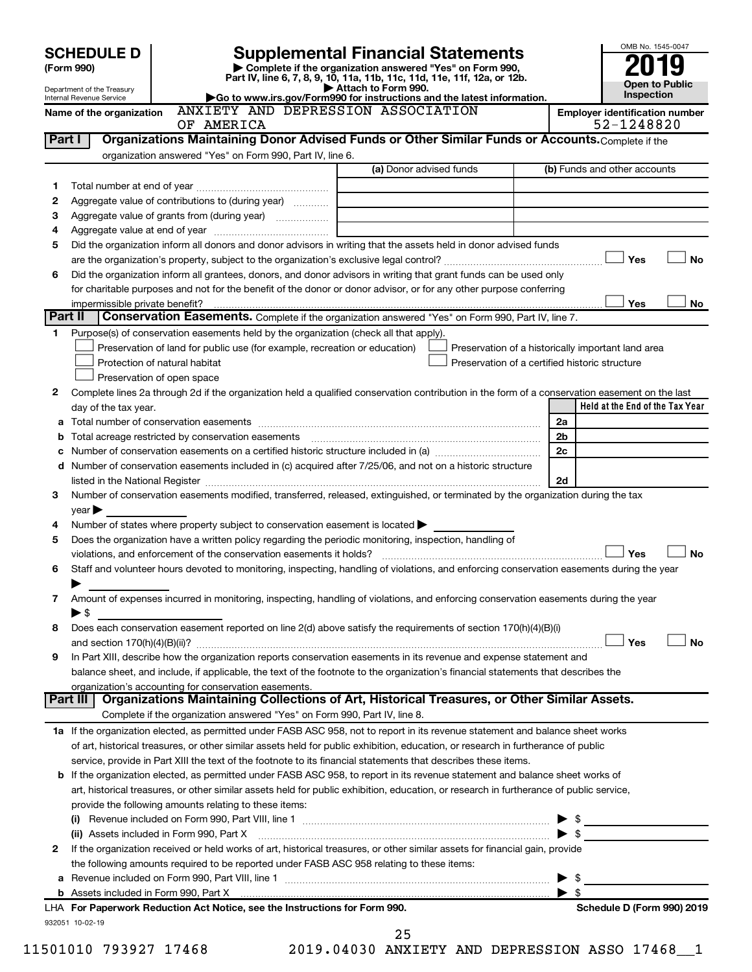|                | <b>SCHEDULE D</b>                                                                                                                              | <b>Supplemental Financial Statements</b>                                                        |                | OMB No. 1545-0047                                   |
|----------------|------------------------------------------------------------------------------------------------------------------------------------------------|-------------------------------------------------------------------------------------------------|----------------|-----------------------------------------------------|
|                | Complete if the organization answered "Yes" on Form 990,<br>(Form 990)                                                                         |                                                                                                 |                |                                                     |
|                | Department of the Treasury                                                                                                                     | Part IV, line 6, 7, 8, 9, 10, 11a, 11b, 11c, 11d, 11e, 11f, 12a, or 12b.<br>Attach to Form 990. |                | <b>Open to Public</b>                               |
|                | Go to www.irs.gov/Form990 for instructions and the latest information.<br>Internal Revenue Service                                             |                                                                                                 | Inspection     |                                                     |
|                | ANXIETY AND DEPRESSION ASSOCIATION<br>Name of the organization<br>OF AMERICA                                                                   |                                                                                                 |                | <b>Employer identification number</b><br>52-1248820 |
| Part I         | Organizations Maintaining Donor Advised Funds or Other Similar Funds or Accounts. Complete if the                                              |                                                                                                 |                |                                                     |
|                | organization answered "Yes" on Form 990, Part IV, line 6.                                                                                      |                                                                                                 |                |                                                     |
|                |                                                                                                                                                | (a) Donor advised funds                                                                         |                | (b) Funds and other accounts                        |
| 1              |                                                                                                                                                |                                                                                                 |                |                                                     |
| 2              | Aggregate value of contributions to (during year)                                                                                              |                                                                                                 |                |                                                     |
| З              | Aggregate value of grants from (during year)                                                                                                   |                                                                                                 |                |                                                     |
| 4              |                                                                                                                                                |                                                                                                 |                |                                                     |
| 5              | Did the organization inform all donors and donor advisors in writing that the assets held in donor advised funds                               |                                                                                                 |                |                                                     |
|                |                                                                                                                                                |                                                                                                 |                | Yes<br>No                                           |
| 6              | Did the organization inform all grantees, donors, and donor advisors in writing that grant funds can be used only                              |                                                                                                 |                |                                                     |
|                | for charitable purposes and not for the benefit of the donor or donor advisor, or for any other purpose conferring                             |                                                                                                 |                |                                                     |
|                | impermissible private benefit?                                                                                                                 |                                                                                                 |                | Yes<br>No.                                          |
| <b>Part II</b> | <b>Conservation Easements.</b> Complete if the organization answered "Yes" on Form 990, Part IV, line 7.                                       |                                                                                                 |                |                                                     |
| 1.             | Purpose(s) of conservation easements held by the organization (check all that apply).                                                          |                                                                                                 |                |                                                     |
|                | Preservation of land for public use (for example, recreation or education)                                                                     |                                                                                                 |                | Preservation of a historically important land area  |
|                | Protection of natural habitat                                                                                                                  | Preservation of a certified historic structure                                                  |                |                                                     |
|                | Preservation of open space                                                                                                                     |                                                                                                 |                |                                                     |
| 2              | Complete lines 2a through 2d if the organization held a qualified conservation contribution in the form of a conservation easement on the last |                                                                                                 |                |                                                     |
|                | day of the tax year.                                                                                                                           |                                                                                                 |                | Held at the End of the Tax Year                     |
| a              |                                                                                                                                                |                                                                                                 | 2a             |                                                     |
| b              | Total acreage restricted by conservation easements                                                                                             |                                                                                                 | 2 <sub>b</sub> |                                                     |
| с              |                                                                                                                                                |                                                                                                 | 2c             |                                                     |
| d              | Number of conservation easements included in (c) acquired after 7/25/06, and not on a historic structure                                       |                                                                                                 |                |                                                     |
|                | listed in the National Register [111] [12] states and the National Property of the National Register [11] [12]                                 |                                                                                                 | 2d             |                                                     |
| 3              | Number of conservation easements modified, transferred, released, extinguished, or terminated by the organization during the tax               |                                                                                                 |                |                                                     |
|                | $year \triangleright$                                                                                                                          |                                                                                                 |                |                                                     |
| 4              | Number of states where property subject to conservation easement is located >                                                                  |                                                                                                 |                |                                                     |
| 5              | Does the organization have a written policy regarding the periodic monitoring, inspection, handling of                                         |                                                                                                 |                | Yes                                                 |
|                | violations, and enforcement of the conservation easements it holds?                                                                            |                                                                                                 |                | No                                                  |
| 6              | Staff and volunteer hours devoted to monitoring, inspecting, handling of violations, and enforcing conservation easements during the year      |                                                                                                 |                |                                                     |
| 7              | Amount of expenses incurred in monitoring, inspecting, handling of violations, and enforcing conservation easements during the year            |                                                                                                 |                |                                                     |
|                | $\blacktriangleright$ \$                                                                                                                       |                                                                                                 |                |                                                     |
| 8              | Does each conservation easement reported on line 2(d) above satisfy the requirements of section 170(h)(4)(B)(i)                                |                                                                                                 |                |                                                     |
|                |                                                                                                                                                |                                                                                                 |                | Yes<br><b>No</b>                                    |
| 9              | In Part XIII, describe how the organization reports conservation easements in its revenue and expense statement and                            |                                                                                                 |                |                                                     |
|                | balance sheet, and include, if applicable, the text of the footnote to the organization's financial statements that describes the              |                                                                                                 |                |                                                     |
|                | organization's accounting for conservation easements.                                                                                          |                                                                                                 |                |                                                     |
|                | Organizations Maintaining Collections of Art, Historical Treasures, or Other Similar Assets.<br>Part III                                       |                                                                                                 |                |                                                     |
|                | Complete if the organization answered "Yes" on Form 990, Part IV, line 8.                                                                      |                                                                                                 |                |                                                     |
|                | 1a If the organization elected, as permitted under FASB ASC 958, not to report in its revenue statement and balance sheet works                |                                                                                                 |                |                                                     |
|                | of art, historical treasures, or other similar assets held for public exhibition, education, or research in furtherance of public              |                                                                                                 |                |                                                     |
|                | service, provide in Part XIII the text of the footnote to its financial statements that describes these items.                                 |                                                                                                 |                |                                                     |
| b              | If the organization elected, as permitted under FASB ASC 958, to report in its revenue statement and balance sheet works of                    |                                                                                                 |                |                                                     |
|                | art, historical treasures, or other similar assets held for public exhibition, education, or research in furtherance of public service,        |                                                                                                 |                |                                                     |
|                | provide the following amounts relating to these items:                                                                                         |                                                                                                 |                |                                                     |
|                | (i)                                                                                                                                            |                                                                                                 |                |                                                     |
|                |                                                                                                                                                |                                                                                                 |                |                                                     |
| 2              | If the organization received or held works of art, historical treasures, or other similar assets for financial gain, provide                   |                                                                                                 |                |                                                     |
|                | the following amounts required to be reported under FASB ASC 958 relating to these items:                                                      |                                                                                                 |                |                                                     |
| а              |                                                                                                                                                |                                                                                                 |                |                                                     |
|                |                                                                                                                                                |                                                                                                 |                | -\$                                                 |
|                | LHA For Paperwork Reduction Act Notice, see the Instructions for Form 990.                                                                     |                                                                                                 |                | Schedule D (Form 990) 2019                          |
|                | 932051 10-02-19                                                                                                                                |                                                                                                 |                |                                                     |

<sup>11501010 793927 17468 2019.04030</sup> ANXIETY AND DEPRESSION ASSO 17468\_\_1 25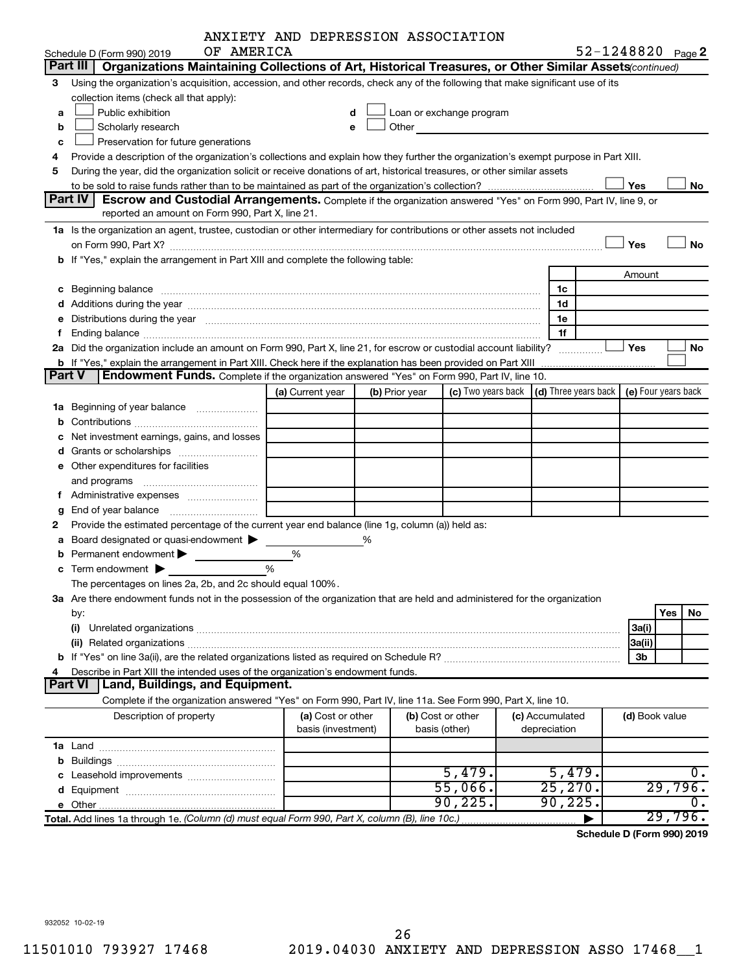|   |                                                                                                                                                                                                                                | ANXIETY AND DEPRESSION ASSOCIATION      |   |                |                                                                                                                                                                                                                               |                                            |                   |                |       |
|---|--------------------------------------------------------------------------------------------------------------------------------------------------------------------------------------------------------------------------------|-----------------------------------------|---|----------------|-------------------------------------------------------------------------------------------------------------------------------------------------------------------------------------------------------------------------------|--------------------------------------------|-------------------|----------------|-------|
|   | OF AMERICA<br>Schedule D (Form 990) 2019                                                                                                                                                                                       |                                         |   |                |                                                                                                                                                                                                                               |                                            | 52-1248820 Page 2 |                |       |
|   | Part III<br>Organizations Maintaining Collections of Art, Historical Treasures, or Other Similar Assets(continued)                                                                                                             |                                         |   |                |                                                                                                                                                                                                                               |                                            |                   |                |       |
| 3 | Using the organization's acquisition, accession, and other records, check any of the following that make significant use of its                                                                                                |                                         |   |                |                                                                                                                                                                                                                               |                                            |                   |                |       |
|   | collection items (check all that apply):                                                                                                                                                                                       |                                         |   |                |                                                                                                                                                                                                                               |                                            |                   |                |       |
| a | Public exhibition                                                                                                                                                                                                              | d                                       |   |                | Loan or exchange program                                                                                                                                                                                                      |                                            |                   |                |       |
| b | Scholarly research                                                                                                                                                                                                             | е                                       |   |                | Other and the contract of the contract of the contract of the contract of the contract of the contract of the contract of the contract of the contract of the contract of the contract of the contract of the contract of the |                                            |                   |                |       |
| c | Preservation for future generations                                                                                                                                                                                            |                                         |   |                |                                                                                                                                                                                                                               |                                            |                   |                |       |
| 4 | Provide a description of the organization's collections and explain how they further the organization's exempt purpose in Part XIII.                                                                                           |                                         |   |                |                                                                                                                                                                                                                               |                                            |                   |                |       |
| 5 | During the year, did the organization solicit or receive donations of art, historical treasures, or other similar assets                                                                                                       |                                         |   |                |                                                                                                                                                                                                                               |                                            |                   |                |       |
|   |                                                                                                                                                                                                                                |                                         |   |                |                                                                                                                                                                                                                               |                                            | Yes               |                | No    |
|   | Part IV<br><b>Escrow and Custodial Arrangements.</b> Complete if the organization answered "Yes" on Form 990, Part IV, line 9, or                                                                                              |                                         |   |                |                                                                                                                                                                                                                               |                                            |                   |                |       |
|   | reported an amount on Form 990, Part X, line 21.                                                                                                                                                                               |                                         |   |                |                                                                                                                                                                                                                               |                                            |                   |                |       |
|   | 1a Is the organization an agent, trustee, custodian or other intermediary for contributions or other assets not included                                                                                                       |                                         |   |                |                                                                                                                                                                                                                               |                                            |                   |                |       |
|   | on Form 990, Part X? <b>Process Constructs Constructs Constructs</b> Constructs Construct Constructs Constructs Const                                                                                                          |                                         |   |                |                                                                                                                                                                                                                               |                                            | Yes               |                | No    |
|   | b If "Yes," explain the arrangement in Part XIII and complete the following table:                                                                                                                                             |                                         |   |                |                                                                                                                                                                                                                               |                                            |                   |                |       |
|   |                                                                                                                                                                                                                                |                                         |   |                |                                                                                                                                                                                                                               |                                            | Amount            |                |       |
| с | Beginning balance encourance and account of the contract of the contract of the contract of the contract of the contract of the contract of the contract of the contract of the contract of the contract of the contract of th |                                         |   |                |                                                                                                                                                                                                                               | 1c                                         |                   |                |       |
|   |                                                                                                                                                                                                                                |                                         |   |                |                                                                                                                                                                                                                               | 1d<br>1e                                   |                   |                |       |
|   | Distributions during the year manufactured and an account of the year manufactured and the year manufactured and the year manufactured and the year manufactured and the year manufactured and the year manufactured and the y |                                         |   |                |                                                                                                                                                                                                                               | 1f                                         |                   |                |       |
|   | 2a Did the organization include an amount on Form 990, Part X, line 21, for escrow or custodial account liability?                                                                                                             |                                         |   |                |                                                                                                                                                                                                                               |                                            | <b>」Yes</b>       |                | No    |
|   | <b>b</b> If "Yes," explain the arrangement in Part XIII. Check here if the explanation has been provided on Part XIII                                                                                                          |                                         |   |                |                                                                                                                                                                                                                               | .                                          |                   |                |       |
|   | <b>Part V</b><br>Endowment Funds. Complete if the organization answered "Yes" on Form 990, Part IV, line 10.                                                                                                                   |                                         |   |                |                                                                                                                                                                                                                               |                                            |                   |                |       |
|   |                                                                                                                                                                                                                                | (a) Current year                        |   | (b) Prior year | (c) Two years back                                                                                                                                                                                                            | (d) Three years back   (e) Four years back |                   |                |       |
|   | <b>1a</b> Beginning of year balance                                                                                                                                                                                            |                                         |   |                |                                                                                                                                                                                                                               |                                            |                   |                |       |
|   |                                                                                                                                                                                                                                |                                         |   |                |                                                                                                                                                                                                                               |                                            |                   |                |       |
|   | Net investment earnings, gains, and losses                                                                                                                                                                                     |                                         |   |                |                                                                                                                                                                                                                               |                                            |                   |                |       |
|   |                                                                                                                                                                                                                                |                                         |   |                |                                                                                                                                                                                                                               |                                            |                   |                |       |
| е | Other expenditures for facilities                                                                                                                                                                                              |                                         |   |                |                                                                                                                                                                                                                               |                                            |                   |                |       |
|   |                                                                                                                                                                                                                                |                                         |   |                |                                                                                                                                                                                                                               |                                            |                   |                |       |
|   | f Administrative expenses                                                                                                                                                                                                      |                                         |   |                |                                                                                                                                                                                                                               |                                            |                   |                |       |
| g |                                                                                                                                                                                                                                |                                         |   |                |                                                                                                                                                                                                                               |                                            |                   |                |       |
| 2 | Provide the estimated percentage of the current year end balance (line 1g, column (a)) held as:                                                                                                                                |                                         |   |                |                                                                                                                                                                                                                               |                                            |                   |                |       |
| а | Board designated or quasi-endowment                                                                                                                                                                                            |                                         | % |                |                                                                                                                                                                                                                               |                                            |                   |                |       |
|   | Permanent endowment >                                                                                                                                                                                                          | %                                       |   |                |                                                                                                                                                                                                                               |                                            |                   |                |       |
|   | $\frac{0}{0}$<br>$\mathbf c$ Term endowment $\blacktriangleright$                                                                                                                                                              |                                         |   |                |                                                                                                                                                                                                                               |                                            |                   |                |       |
|   | The percentages on lines 2a, 2b, and 2c should equal 100%.                                                                                                                                                                     |                                         |   |                |                                                                                                                                                                                                                               |                                            |                   |                |       |
|   | 3a Are there endowment funds not in the possession of the organization that are held and administered for the organization                                                                                                     |                                         |   |                |                                                                                                                                                                                                                               |                                            |                   |                |       |
|   | by:                                                                                                                                                                                                                            |                                         |   |                |                                                                                                                                                                                                                               |                                            |                   | Yes            | No    |
|   | (i)                                                                                                                                                                                                                            |                                         |   |                |                                                                                                                                                                                                                               |                                            | 3a(i)             |                |       |
|   |                                                                                                                                                                                                                                |                                         |   |                |                                                                                                                                                                                                                               |                                            | 3a(ii)            |                |       |
|   |                                                                                                                                                                                                                                |                                         |   |                |                                                                                                                                                                                                                               |                                            | 3b                |                |       |
| 4 | Describe in Part XIII the intended uses of the organization's endowment funds.<br>Land, Buildings, and Equipment.<br><b>Part VI</b>                                                                                            |                                         |   |                |                                                                                                                                                                                                                               |                                            |                   |                |       |
|   |                                                                                                                                                                                                                                |                                         |   |                |                                                                                                                                                                                                                               |                                            |                   |                |       |
|   | Complete if the organization answered "Yes" on Form 990, Part IV, line 11a. See Form 990, Part X, line 10.                                                                                                                     |                                         |   |                |                                                                                                                                                                                                                               |                                            |                   |                |       |
|   | Description of property                                                                                                                                                                                                        | (a) Cost or other<br>basis (investment) |   |                | (b) Cost or other<br>basis (other)                                                                                                                                                                                            | (c) Accumulated<br>depreciation            |                   | (d) Book value |       |
|   |                                                                                                                                                                                                                                |                                         |   |                |                                                                                                                                                                                                                               |                                            |                   |                |       |
| b |                                                                                                                                                                                                                                |                                         |   |                |                                                                                                                                                                                                                               |                                            |                   |                |       |
|   | Leasehold improvements                                                                                                                                                                                                         |                                         |   |                | 5,479.                                                                                                                                                                                                                        | 5,479.                                     |                   |                | $0$ . |
|   |                                                                                                                                                                                                                                |                                         |   |                | 55,066.                                                                                                                                                                                                                       | 25, 270.                                   |                   | 29,796.        |       |
|   |                                                                                                                                                                                                                                |                                         |   |                | 90, 225.                                                                                                                                                                                                                      | 90, 225.                                   |                   |                | 0.    |
|   | Total. Add lines 1a through 1e. (Column (d) must equal Form 990, Part X, column (B), line 10c.)                                                                                                                                |                                         |   |                |                                                                                                                                                                                                                               |                                            |                   | 29,796.        |       |
|   |                                                                                                                                                                                                                                |                                         |   |                |                                                                                                                                                                                                                               |                                            |                   |                |       |

**Schedule D (Form 990) 2019**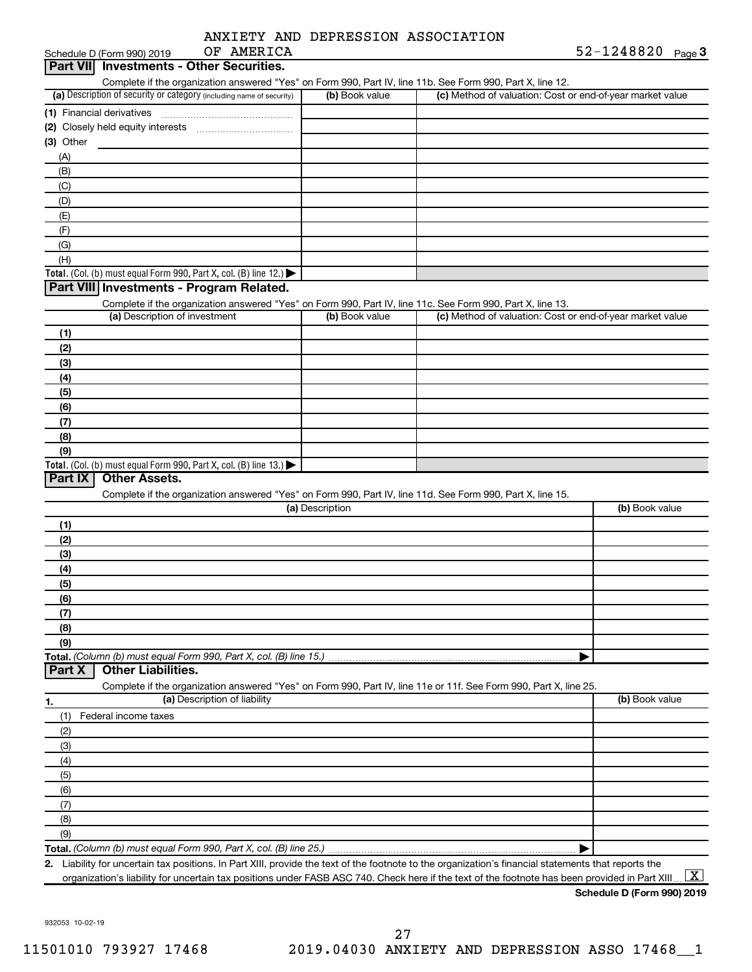|  | ANXIETY AND DEPRESSION ASSOCIATION |
|--|------------------------------------|
|  |                                    |

| OF AMERICA<br>Schedule D (Form 990) 2019                                                                                                             |                 |                                                           | 52-1248820 Page 3 |
|------------------------------------------------------------------------------------------------------------------------------------------------------|-----------------|-----------------------------------------------------------|-------------------|
| <b>Investments - Other Securities.</b><br>Part VIII                                                                                                  |                 |                                                           |                   |
| Complete if the organization answered "Yes" on Form 990, Part IV, line 11b. See Form 990, Part X, line 12.                                           |                 |                                                           |                   |
| (a) Description of security or category (including name of security)                                                                                 | (b) Book value  | (c) Method of valuation: Cost or end-of-year market value |                   |
| (1) Financial derivatives                                                                                                                            |                 |                                                           |                   |
|                                                                                                                                                      |                 |                                                           |                   |
| (3) Other                                                                                                                                            |                 |                                                           |                   |
| (A)                                                                                                                                                  |                 |                                                           |                   |
| (B)                                                                                                                                                  |                 |                                                           |                   |
| (C)                                                                                                                                                  |                 |                                                           |                   |
| (D)                                                                                                                                                  |                 |                                                           |                   |
| (E)                                                                                                                                                  |                 |                                                           |                   |
| (F)                                                                                                                                                  |                 |                                                           |                   |
| (G)                                                                                                                                                  |                 |                                                           |                   |
| (H)                                                                                                                                                  |                 |                                                           |                   |
| <b>Total.</b> (Col. (b) must equal Form 990, Part X, col. (B) line 12.)                                                                              |                 |                                                           |                   |
| Part VIII Investments - Program Related.                                                                                                             |                 |                                                           |                   |
| Complete if the organization answered "Yes" on Form 990, Part IV, line 11c. See Form 990, Part X, line 13.                                           |                 |                                                           |                   |
| (a) Description of investment                                                                                                                        | (b) Book value  | (c) Method of valuation: Cost or end-of-year market value |                   |
| (1)                                                                                                                                                  |                 |                                                           |                   |
| (2)                                                                                                                                                  |                 |                                                           |                   |
| (3)                                                                                                                                                  |                 |                                                           |                   |
| (4)                                                                                                                                                  |                 |                                                           |                   |
| (5)                                                                                                                                                  |                 |                                                           |                   |
| (6)                                                                                                                                                  |                 |                                                           |                   |
| (7)                                                                                                                                                  |                 |                                                           |                   |
| (8)                                                                                                                                                  |                 |                                                           |                   |
| (9)                                                                                                                                                  |                 |                                                           |                   |
| <b>Total.</b> (Col. (b) must equal Form 990, Part X, col. (B) line 13.)                                                                              |                 |                                                           |                   |
| <b>Other Assets.</b><br>Part IX                                                                                                                      |                 |                                                           |                   |
| Complete if the organization answered "Yes" on Form 990, Part IV, line 11d. See Form 990, Part X, line 15.                                           |                 |                                                           |                   |
|                                                                                                                                                      | (a) Description |                                                           | (b) Book value    |
| (1)                                                                                                                                                  |                 |                                                           |                   |
| (2)                                                                                                                                                  |                 |                                                           |                   |
| (3)                                                                                                                                                  |                 |                                                           |                   |
| (4)                                                                                                                                                  |                 |                                                           |                   |
| (5)                                                                                                                                                  |                 |                                                           |                   |
| (6)                                                                                                                                                  |                 |                                                           |                   |
| (7)                                                                                                                                                  |                 |                                                           |                   |
| (8)                                                                                                                                                  |                 |                                                           |                   |
| (9)                                                                                                                                                  |                 |                                                           |                   |
|                                                                                                                                                      |                 |                                                           |                   |
| <b>Other Liabilities.</b><br>Part X                                                                                                                  |                 |                                                           |                   |
| Complete if the organization answered "Yes" on Form 990, Part IV, line 11e or 11f. See Form 990, Part X, line 25.                                    |                 |                                                           |                   |
| (a) Description of liability<br>1.                                                                                                                   |                 |                                                           | (b) Book value    |
| Federal income taxes<br>(1)                                                                                                                          |                 |                                                           |                   |
| (2)                                                                                                                                                  |                 |                                                           |                   |
| (3)                                                                                                                                                  |                 |                                                           |                   |
| (4)                                                                                                                                                  |                 |                                                           |                   |
| (5)                                                                                                                                                  |                 |                                                           |                   |
| (6)                                                                                                                                                  |                 |                                                           |                   |
| (7)                                                                                                                                                  |                 |                                                           |                   |
| (8)                                                                                                                                                  |                 |                                                           |                   |
|                                                                                                                                                      |                 |                                                           |                   |
| (9)                                                                                                                                                  |                 |                                                           |                   |
| 2. Liability for uncertain tax positions. In Part XIII, provide the text of the footnote to the organization's financial statements that reports the |                 |                                                           |                   |
|                                                                                                                                                      |                 |                                                           |                   |

organization's liability for uncertain tax positions under FASB ASC 740. Check here if the text of the footnote has been provided in Part XIII ...  $\fbox{\bf X}$ 

**Schedule D (Form 990) 2019**

932053 10-02-19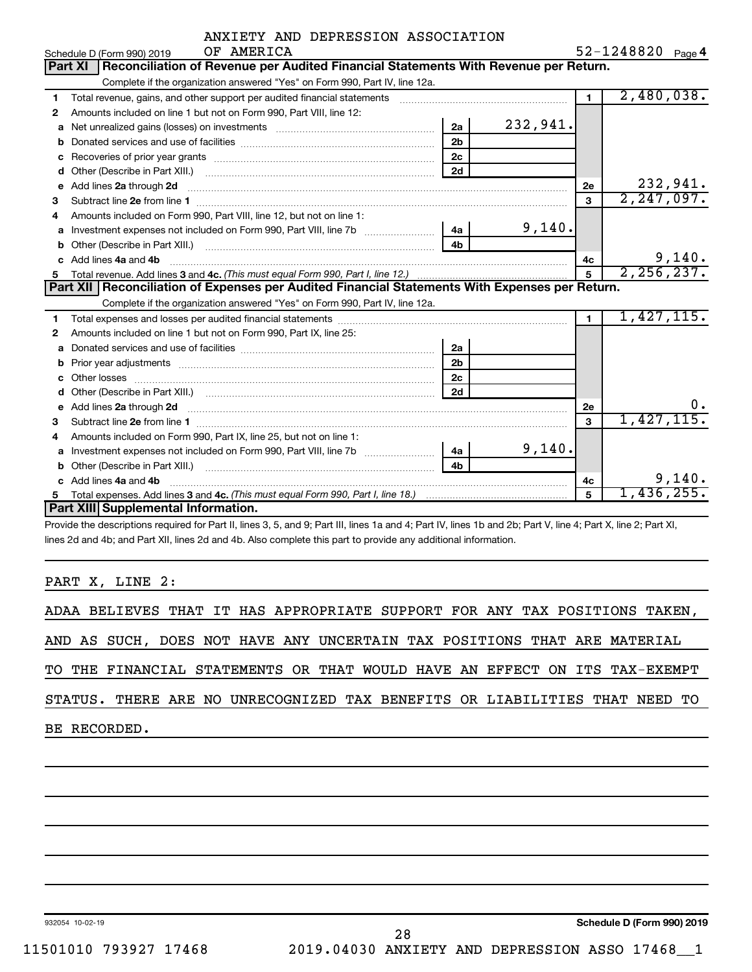|            |  | ANXIETY AND DEPRESSION ASSOCIATION |                  |  |
|------------|--|------------------------------------|------------------|--|
| OF AMERICA |  |                                    | $52 - 1248820$ p |  |

|              | Schedule D (Form 990) 2019<br>OF AMERICA                                                              |                |          |                | $52 - 1248820$ Page 4 |
|--------------|-------------------------------------------------------------------------------------------------------|----------------|----------|----------------|-----------------------|
|              | Reconciliation of Revenue per Audited Financial Statements With Revenue per Return.<br><b>Part XI</b> |                |          |                |                       |
|              | Complete if the organization answered "Yes" on Form 990, Part IV, line 12a.                           |                |          |                |                       |
| 1.           | Total revenue, gains, and other support per audited financial statements                              |                |          | $\blacksquare$ | 2,480,038.            |
| $\mathbf{2}$ | Amounts included on line 1 but not on Form 990, Part VIII, line 12:                                   |                |          |                |                       |
| a            |                                                                                                       | 2a             | 232,941. |                |                       |
| b            |                                                                                                       | 2 <sub>b</sub> |          |                |                       |
|              |                                                                                                       | 2 <sub>c</sub> |          |                |                       |
| d            |                                                                                                       | 2d             |          |                |                       |
| e            | Add lines 2a through 2d                                                                               |                |          | 2e             | 232,941.              |
| 3            |                                                                                                       |                |          | 3              | 2, 247, 097.          |
| 4            | Amounts included on Form 990, Part VIII, line 12, but not on line 1:                                  |                |          |                |                       |
| a            | Investment expenses not included on Form 990, Part VIII, line 7b [11, 111, 111, 111]                  | 4a             | 9,140.   |                |                       |
| b            |                                                                                                       | 4 <sub>h</sub> |          |                |                       |
| C.           | Add lines 4a and 4b                                                                                   |                |          | 4c             | 9,140.                |
| 5            |                                                                                                       |                |          | 2, 256, 237.   |                       |
|              |                                                                                                       |                |          |                |                       |
|              | Part XII   Reconciliation of Expenses per Audited Financial Statements With Expenses per Return.      |                |          |                |                       |
|              | Complete if the organization answered "Yes" on Form 990, Part IV, line 12a.                           |                |          |                |                       |
| 1            |                                                                                                       |                |          | $\blacksquare$ | 1,427,115.            |
| 2            | Amounts included on line 1 but not on Form 990, Part IX, line 25:                                     |                |          |                |                       |
| a            |                                                                                                       | 2a             |          |                |                       |
| b            |                                                                                                       | 2 <sub>b</sub> |          |                |                       |
| с            | Other losses                                                                                          | 2c             |          |                |                       |
| d            |                                                                                                       | 2d             |          |                |                       |
|              | Add lines 2a through 2d                                                                               |                |          | 2е             | 0.                    |
| 3            |                                                                                                       |                |          | 3              | 1,427,115.            |
| 4            | Amounts included on Form 990, Part IX, line 25, but not on line 1:                                    |                |          |                |                       |
| a            | Investment expenses not included on Form 990, Part VIII, line 7b [11, 111, 111, 111]                  | 4a l           | 9,140.   |                |                       |
| b            |                                                                                                       | 4b             |          |                |                       |
|              | Add lines 4a and 4b                                                                                   |                |          | 4с             | 9,140.                |
| 5.           | Part XIII Supplemental Information.                                                                   |                |          | 5              | 1,436,255.            |

Provide the descriptions required for Part II, lines 3, 5, and 9; Part III, lines 1a and 4; Part IV, lines 1b and 2b; Part V, line 4; Part X, line 2; Part XI, lines 2d and 4b; and Part XII, lines 2d and 4b. Also complete this part to provide any additional information.

PART X, LINE 2:

|  | ADAA BELIEVES THAT IT HAS APPROPRIATE SUPPORT FOR ANY TAX POSITIONS TAKEN, |  |  |  |  |  |  |  |  |
|--|----------------------------------------------------------------------------|--|--|--|--|--|--|--|--|
|  | AND AS SUCH, DOES NOT HAVE ANY UNCERTAIN TAX POSITIONS THAT ARE MATERIAL   |  |  |  |  |  |  |  |  |
|  | TO THE FINANCIAL STATEMENTS OR THAT WOULD HAVE AN EFFECT ON ITS TAX-EXEMPT |  |  |  |  |  |  |  |  |
|  | STATUS. THERE ARE NO UNRECOGNIZED TAX BENEFITS OR LIABILITIES THAT NEED TO |  |  |  |  |  |  |  |  |
|  | BE RECORDED.                                                               |  |  |  |  |  |  |  |  |
|  |                                                                            |  |  |  |  |  |  |  |  |

932054 10-02-19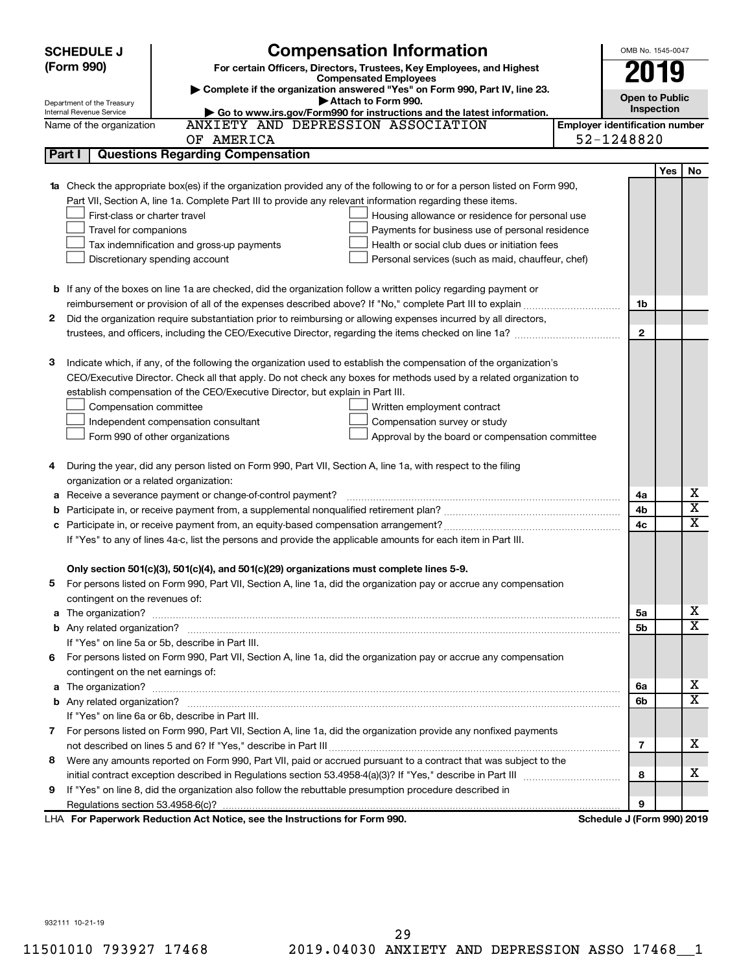|        | <b>SCHEDULE J</b>                  | <b>Compensation Information</b>                                                                                           |                                       | OMB No. 1545-0047          |            |                         |  |
|--------|------------------------------------|---------------------------------------------------------------------------------------------------------------------------|---------------------------------------|----------------------------|------------|-------------------------|--|
|        | (Form 990)                         | For certain Officers, Directors, Trustees, Key Employees, and Highest                                                     |                                       | 2019                       |            |                         |  |
|        |                                    | <b>Compensated Employees</b><br>Complete if the organization answered "Yes" on Form 990, Part IV, line 23.                |                                       |                            |            |                         |  |
|        | Department of the Treasury         | Attach to Form 990.                                                                                                       |                                       | <b>Open to Public</b>      |            |                         |  |
|        | Internal Revenue Service           | Go to www.irs.gov/Form990 for instructions and the latest information.                                                    |                                       | Inspection                 |            |                         |  |
|        | Name of the organization           | ANXIETY AND DEPRESSION ASSOCIATION                                                                                        | <b>Employer identification number</b> |                            |            |                         |  |
|        |                                    | OF AMERICA                                                                                                                |                                       | 52-1248820                 |            |                         |  |
| Part I |                                    | <b>Questions Regarding Compensation</b>                                                                                   |                                       |                            |            |                         |  |
|        |                                    |                                                                                                                           |                                       |                            | <b>Yes</b> | No                      |  |
|        |                                    | 1a Check the appropriate box(es) if the organization provided any of the following to or for a person listed on Form 990, |                                       |                            |            |                         |  |
|        |                                    | Part VII, Section A, line 1a. Complete Part III to provide any relevant information regarding these items.                |                                       |                            |            |                         |  |
|        | First-class or charter travel      | Housing allowance or residence for personal use                                                                           |                                       |                            |            |                         |  |
|        | Travel for companions              | Payments for business use of personal residence                                                                           |                                       |                            |            |                         |  |
|        |                                    | Health or social club dues or initiation fees<br>Tax indemnification and gross-up payments                                |                                       |                            |            |                         |  |
|        |                                    | Discretionary spending account<br>Personal services (such as maid, chauffeur, chef)                                       |                                       |                            |            |                         |  |
|        |                                    |                                                                                                                           |                                       |                            |            |                         |  |
|        |                                    | <b>b</b> If any of the boxes on line 1a are checked, did the organization follow a written policy regarding payment or    |                                       |                            |            |                         |  |
|        |                                    |                                                                                                                           |                                       | 1b                         |            |                         |  |
| 2      |                                    | Did the organization require substantiation prior to reimbursing or allowing expenses incurred by all directors,          |                                       |                            |            |                         |  |
|        |                                    |                                                                                                                           |                                       | $\mathbf{2}$               |            |                         |  |
|        |                                    |                                                                                                                           |                                       |                            |            |                         |  |
| з      |                                    | Indicate which, if any, of the following the organization used to establish the compensation of the organization's        |                                       |                            |            |                         |  |
|        |                                    | CEO/Executive Director. Check all that apply. Do not check any boxes for methods used by a related organization to        |                                       |                            |            |                         |  |
|        |                                    | establish compensation of the CEO/Executive Director, but explain in Part III.                                            |                                       |                            |            |                         |  |
|        | Compensation committee             | Written employment contract                                                                                               |                                       |                            |            |                         |  |
|        |                                    | Independent compensation consultant<br>Compensation survey or study                                                       |                                       |                            |            |                         |  |
|        |                                    | Form 990 of other organizations<br>Approval by the board or compensation committee                                        |                                       |                            |            |                         |  |
|        |                                    |                                                                                                                           |                                       |                            |            |                         |  |
| 4      |                                    | During the year, did any person listed on Form 990, Part VII, Section A, line 1a, with respect to the filing              |                                       |                            |            |                         |  |
|        |                                    | organization or a related organization:                                                                                   |                                       |                            |            |                         |  |
| а      |                                    | Receive a severance payment or change-of-control payment?                                                                 |                                       | 4a                         |            | х                       |  |
| b      |                                    |                                                                                                                           |                                       | 4b                         |            | $\overline{\textbf{x}}$ |  |
| c      |                                    |                                                                                                                           |                                       | 4c                         |            | X                       |  |
|        |                                    | If "Yes" to any of lines 4a-c, list the persons and provide the applicable amounts for each item in Part III.             |                                       |                            |            |                         |  |
|        |                                    |                                                                                                                           |                                       |                            |            |                         |  |
|        |                                    | Only section 501(c)(3), 501(c)(4), and 501(c)(29) organizations must complete lines 5-9.                                  |                                       |                            |            |                         |  |
|        |                                    | For persons listed on Form 990, Part VII, Section A, line 1a, did the organization pay or accrue any compensation         |                                       |                            |            |                         |  |
|        | contingent on the revenues of:     |                                                                                                                           |                                       |                            |            |                         |  |
|        |                                    |                                                                                                                           |                                       | 5a                         |            | х                       |  |
|        |                                    |                                                                                                                           |                                       | 5b                         |            | X                       |  |
|        |                                    | If "Yes" on line 5a or 5b, describe in Part III.                                                                          |                                       |                            |            |                         |  |
|        |                                    | 6 For persons listed on Form 990, Part VII, Section A, line 1a, did the organization pay or accrue any compensation       |                                       |                            |            |                         |  |
|        | contingent on the net earnings of: |                                                                                                                           |                                       |                            |            |                         |  |
|        |                                    |                                                                                                                           |                                       | 6a                         |            | х                       |  |
|        |                                    |                                                                                                                           |                                       | 6b                         |            | X                       |  |
|        |                                    | If "Yes" on line 6a or 6b, describe in Part III.                                                                          |                                       |                            |            |                         |  |
|        |                                    | 7 For persons listed on Form 990, Part VII, Section A, line 1a, did the organization provide any nonfixed payments        |                                       |                            |            |                         |  |
|        |                                    |                                                                                                                           |                                       | 7                          |            | x                       |  |
| 8      |                                    | Were any amounts reported on Form 990, Part VII, paid or accrued pursuant to a contract that was subject to the           |                                       |                            |            |                         |  |
|        |                                    |                                                                                                                           |                                       | 8                          |            | x                       |  |
| 9      |                                    | If "Yes" on line 8, did the organization also follow the rebuttable presumption procedure described in                    |                                       |                            |            |                         |  |
|        |                                    |                                                                                                                           |                                       | 9                          |            |                         |  |
|        |                                    | LHA For Paperwork Reduction Act Notice, see the Instructions for Form 990.                                                |                                       | Schedule J (Form 990) 2019 |            |                         |  |

932111 10-21-19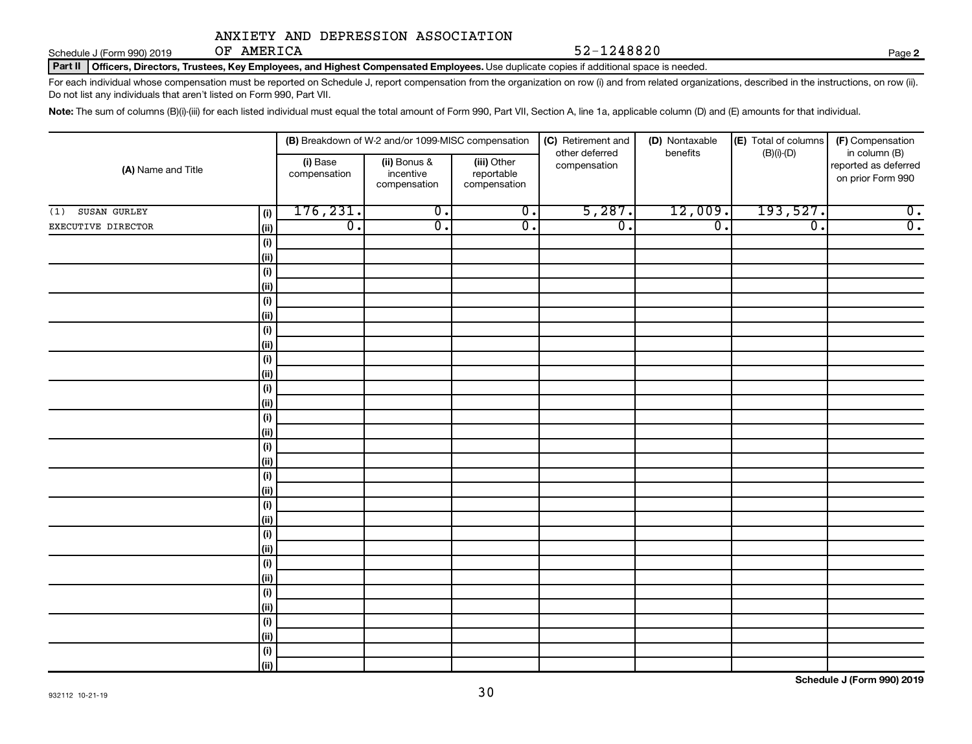Schedule J (Form 990) 2019 OF AMERICA

OF AMERICA 52-1248820

**2**

Part II | Officers, Directors, Trustees, Key Employees, and Highest Compensated Employees. Use duplicate copies if additional space is needed.

For each individual whose compensation must be reported on Schedule J, report compensation from the organization on row (i) and from related organizations, described in the instructions, on row (ii). Do not list any individuals that aren't listed on Form 990, Part VII.

Note: The sum of columns (B)(i)-(iii) for each listed individual must equal the total amount of Form 990, Part VII, Section A, line 1a, applicable column (D) and (E) amounts for that individual.

|                     |                      |                          | (B) Breakdown of W-2 and/or 1099-MISC compensation |                                           | (C) Retirement and             | (D) Nontaxable              | (E) Total of columns        | (F) Compensation                                           |
|---------------------|----------------------|--------------------------|----------------------------------------------------|-------------------------------------------|--------------------------------|-----------------------------|-----------------------------|------------------------------------------------------------|
| (A) Name and Title  |                      | (i) Base<br>compensation | (ii) Bonus &<br>incentive<br>compensation          | (iii) Other<br>reportable<br>compensation | other deferred<br>compensation | benefits                    | $(B)(i)-(D)$                | in column (B)<br>reported as deferred<br>on prior Form 990 |
| SUSAN GURLEY<br>(1) | (i)                  | 176, 231.                | $\overline{0}$ .                                   | $\overline{\mathbf{0}}$ .                 | 5,287.                         | 12,009.                     | 193,527.                    | $\overline{0}$ .                                           |
| EXECUTIVE DIRECTOR  | (ii)                 | $\overline{0}$ .         | $\overline{\mathfrak{o}}$ .                        | $\overline{0}$ .                          | $\overline{0}$ .               | $\overline{\mathfrak{o}}$ . | $\overline{\mathfrak{o}}$ . | $\overline{0}$ .                                           |
|                     | $(\sf{i})$           |                          |                                                    |                                           |                                |                             |                             |                                                            |
|                     | (ii)                 |                          |                                                    |                                           |                                |                             |                             |                                                            |
|                     | $(\sf{i})$           |                          |                                                    |                                           |                                |                             |                             |                                                            |
|                     | (ii)                 |                          |                                                    |                                           |                                |                             |                             |                                                            |
|                     | $(\sf{i})$           |                          |                                                    |                                           |                                |                             |                             |                                                            |
|                     | (ii)                 |                          |                                                    |                                           |                                |                             |                             |                                                            |
|                     | $(\sf{i})$           |                          |                                                    |                                           |                                |                             |                             |                                                            |
|                     | (ii)                 |                          |                                                    |                                           |                                |                             |                             |                                                            |
|                     | $(\sf{i})$           |                          |                                                    |                                           |                                |                             |                             |                                                            |
|                     | (ii)                 |                          |                                                    |                                           |                                |                             |                             |                                                            |
|                     | $(\sf{i})$<br>  (ii) |                          |                                                    |                                           |                                |                             |                             |                                                            |
|                     | (i)                  |                          |                                                    |                                           |                                |                             |                             |                                                            |
|                     | (ii)                 |                          |                                                    |                                           |                                |                             |                             |                                                            |
|                     | (i)                  |                          |                                                    |                                           |                                |                             |                             |                                                            |
|                     | (ii)                 |                          |                                                    |                                           |                                |                             |                             |                                                            |
|                     | (i)                  |                          |                                                    |                                           |                                |                             |                             |                                                            |
|                     | (ii)                 |                          |                                                    |                                           |                                |                             |                             |                                                            |
|                     | $(\sf{i})$           |                          |                                                    |                                           |                                |                             |                             |                                                            |
|                     | (ii)                 |                          |                                                    |                                           |                                |                             |                             |                                                            |
|                     | $(\sf{i})$           |                          |                                                    |                                           |                                |                             |                             |                                                            |
|                     | (ii)                 |                          |                                                    |                                           |                                |                             |                             |                                                            |
|                     | $(\sf{i})$           |                          |                                                    |                                           |                                |                             |                             |                                                            |
|                     | (ii)                 |                          |                                                    |                                           |                                |                             |                             |                                                            |
|                     | $(\sf{i})$           |                          |                                                    |                                           |                                |                             |                             |                                                            |
|                     | (ii)                 |                          |                                                    |                                           |                                |                             |                             |                                                            |
|                     | (i)                  |                          |                                                    |                                           |                                |                             |                             |                                                            |
|                     | (ii)                 |                          |                                                    |                                           |                                |                             |                             |                                                            |
|                     | (i)                  |                          |                                                    |                                           |                                |                             |                             |                                                            |
|                     | (ii)                 |                          |                                                    |                                           |                                |                             |                             |                                                            |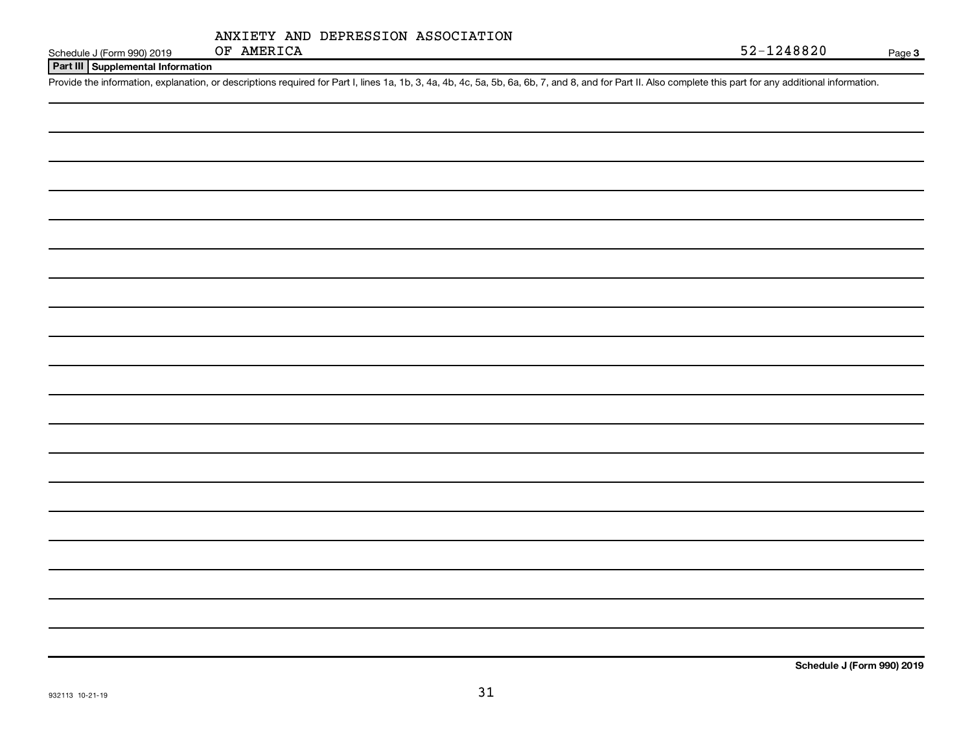|            |  | ANXIETY AND DEPRESSION ASSOCIATION |
|------------|--|------------------------------------|
| OF AMERICA |  |                                    |

Schedule J (Form 990) 2019 **OF AMERICA** 52-1248820

**Part III Supplemental Information**

Provide the information, explanation, or descriptions required for Part I, lines 1a, 1b, 3, 4a, 4b, 4c, 5a, 5b, 6a, 6b, 7, and 8, and for Part II. Also complete this part for any additional information.

**Schedule J (Form 990) 2019**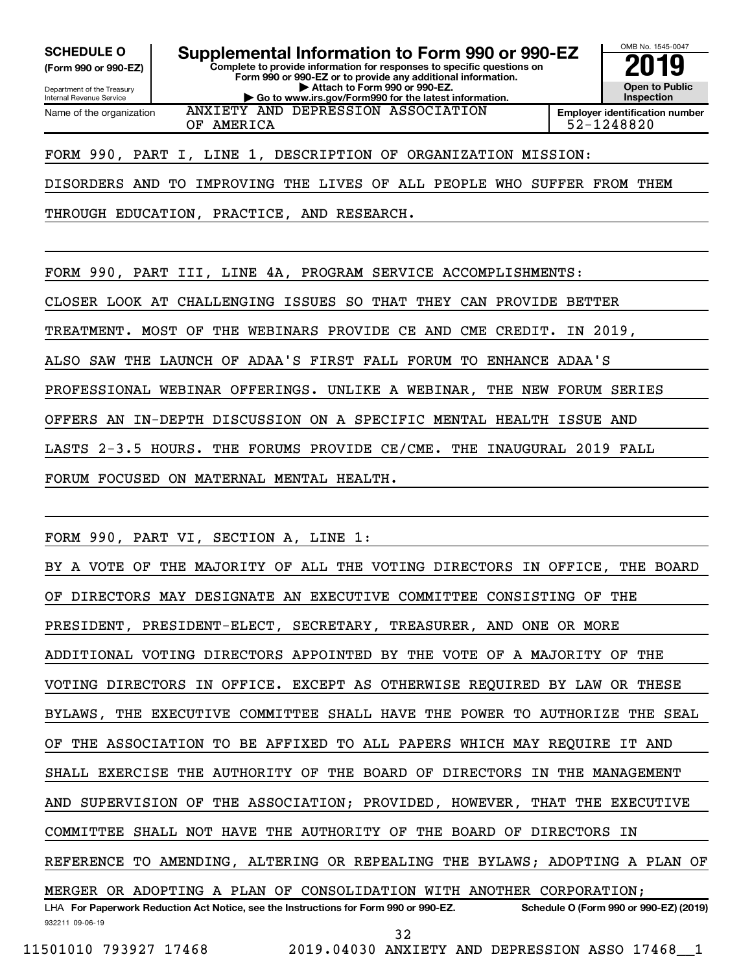**(Form 990 or 990-EZ)**

Department of the Treasury Internal Revenue Service Name of the organization

**Complete to provide information for responses to specific questions on Form 990 or 990-EZ or to provide any additional information. | Attach to Form 990 or 990-EZ. | Go to www.irs.gov/Form990 for the latest information. SCHEDULE O Supplemental Information to Form 990 or 990-EZ 2019** 

OMB No. 1545-0047 **Open to Public Inspection Employer identification number**

OF AMERICA 52-1248820

FORM 990, PART I, LINE 1, DESCRIPTION OF ORGANIZATION MISSION:

ANXIETY AND DEPRESSION ASSOCIATION

DISORDERS AND TO IMPROVING THE LIVES OF ALL PEOPLE WHO SUFFER FROM THEM

THROUGH EDUCATION, PRACTICE, AND RESEARCH.

FORM 990, PART III, LINE 4A, PROGRAM SERVICE ACCOMPLISHMENTS:

CLOSER LOOK AT CHALLENGING ISSUES SO THAT THEY CAN PROVIDE BETTER

TREATMENT. MOST OF THE WEBINARS PROVIDE CE AND CME CREDIT. IN 2019,

ALSO SAW THE LAUNCH OF ADAA'S FIRST FALL FORUM TO ENHANCE ADAA'S

PROFESSIONAL WEBINAR OFFERINGS. UNLIKE A WEBINAR, THE NEW FORUM SERIES

OFFERS AN IN-DEPTH DISCUSSION ON A SPECIFIC MENTAL HEALTH ISSUE AND

LASTS 2-3.5 HOURS. THE FORUMS PROVIDE CE/CME. THE INAUGURAL 2019 FALL

FORUM FOCUSED ON MATERNAL MENTAL HEALTH.

FORM 990, PART VI, SECTION A, LINE 1:

932211 09-06-19 LHA For Paperwork Reduction Act Notice, see the Instructions for Form 990 or 990-EZ. Schedule O (Form 990 or 990-EZ) (2019) BY A VOTE OF THE MAJORITY OF ALL THE VOTING DIRECTORS IN OFFICE, THE BOARD OF DIRECTORS MAY DESIGNATE AN EXECUTIVE COMMITTEE CONSISTING OF THE PRESIDENT, PRESIDENT-ELECT, SECRETARY, TREASURER, AND ONE OR MORE ADDITIONAL VOTING DIRECTORS APPOINTED BY THE VOTE OF A MAJORITY OF THE VOTING DIRECTORS IN OFFICE. EXCEPT AS OTHERWISE REQUIRED BY LAW OR THESE BYLAWS, THE EXECUTIVE COMMITTEE SHALL HAVE THE POWER TO AUTHORIZE THE SEAL OF THE ASSOCIATION TO BE AFFIXED TO ALL PAPERS WHICH MAY REQUIRE IT AND SHALL EXERCISE THE AUTHORITY OF THE BOARD OF DIRECTORS IN THE MANAGEMENT AND SUPERVISION OF THE ASSOCIATION; PROVIDED, HOWEVER, THAT THE EXECUTIVE COMMITTEE SHALL NOT HAVE THE AUTHORITY OF THE BOARD OF DIRECTORS IN REFERENCE TO AMENDING, ALTERING OR REPEALING THE BYLAWS; ADOPTING A PLAN OF MERGER OR ADOPTING A PLAN OF CONSOLIDATION WITH ANOTHER CORPORATION;

32

11501010 793927 17468 2019.04030 ANXIETY AND DEPRESSION ASSO 17468\_\_1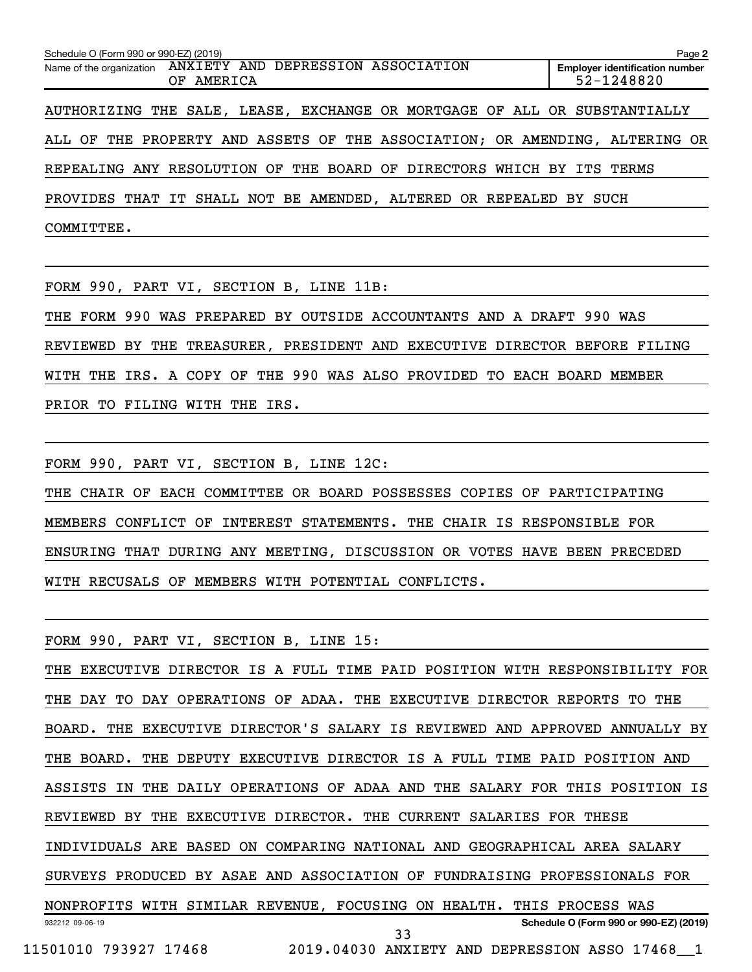| Schedule O (Form 990 or 990-EZ) (2019)<br>Page 2                            |                                                     |  |  |  |  |  |  |  |  |  |
|-----------------------------------------------------------------------------|-----------------------------------------------------|--|--|--|--|--|--|--|--|--|
| Name of the organization ANXIETY AND DEPRESSION ASSOCIATION<br>OF AMERICA   | <b>Employer identification number</b><br>52-1248820 |  |  |  |  |  |  |  |  |  |
| AUTHORIZING THE SALE, LEASE, EXCHANGE OR MORTGAGE OF ALL OR SUBSTANTIALLY   |                                                     |  |  |  |  |  |  |  |  |  |
| ALL OF THE PROPERTY AND ASSETS OF THE ASSOCIATION; OR AMENDING, ALTERING OR |                                                     |  |  |  |  |  |  |  |  |  |
| REPEALING ANY RESOLUTION OF THE BOARD OF DIRECTORS WHICH BY ITS TERMS       |                                                     |  |  |  |  |  |  |  |  |  |
| PROVIDES THAT IT SHALL NOT BE AMENDED, ALTERED OR REPEALED BY SUCH          |                                                     |  |  |  |  |  |  |  |  |  |
| COMMITTEE.                                                                  |                                                     |  |  |  |  |  |  |  |  |  |

FORM 990, PART VI, SECTION B, LINE 11B:

THE FORM 990 WAS PREPARED BY OUTSIDE ACCOUNTANTS AND A DRAFT 990 WAS REVIEWED BY THE TREASURER, PRESIDENT AND EXECUTIVE DIRECTOR BEFORE FILING WITH THE IRS. A COPY OF THE 990 WAS ALSO PROVIDED TO EACH BOARD MEMBER PRIOR TO FILING WITH THE IRS.

FORM 990, PART VI, SECTION B, LINE 12C:

THE CHAIR OF EACH COMMITTEE OR BOARD POSSESSES COPIES OF PARTICIPATING MEMBERS CONFLICT OF INTEREST STATEMENTS. THE CHAIR IS RESPONSIBLE FOR ENSURING THAT DURING ANY MEETING, DISCUSSION OR VOTES HAVE BEEN PRECEDED WITH RECUSALS OF MEMBERS WITH POTENTIAL CONFLICTS.

FORM 990, PART VI, SECTION B, LINE 15:

932212 09-06-19 **Schedule O (Form 990 or 990-EZ) (2019)** THE EXECUTIVE DIRECTOR IS A FULL TIME PAID POSITION WITH RESPONSIBILITY FOR THE DAY TO DAY OPERATIONS OF ADAA. THE EXECUTIVE DIRECTOR REPORTS TO THE BOARD. THE EXECUTIVE DIRECTOR'S SALARY IS REVIEWED AND APPROVED ANNUALLY BY THE BOARD. THE DEPUTY EXECUTIVE DIRECTOR IS A FULL TIME PAID POSITION AND ASSISTS IN THE DAILY OPERATIONS OF ADAA AND THE SALARY FOR THIS POSITION IS REVIEWED BY THE EXECUTIVE DIRECTOR. THE CURRENT SALARIES FOR THESE INDIVIDUALS ARE BASED ON COMPARING NATIONAL AND GEOGRAPHICAL AREA SALARY SURVEYS PRODUCED BY ASAE AND ASSOCIATION OF FUNDRAISING PROFESSIONALS FOR NONPROFITS WITH SIMILAR REVENUE, FOCUSING ON HEALTH. THIS PROCESS WAS 33

11501010 793927 17468 2019.04030 ANXIETY AND DEPRESSION ASSO 17468\_\_1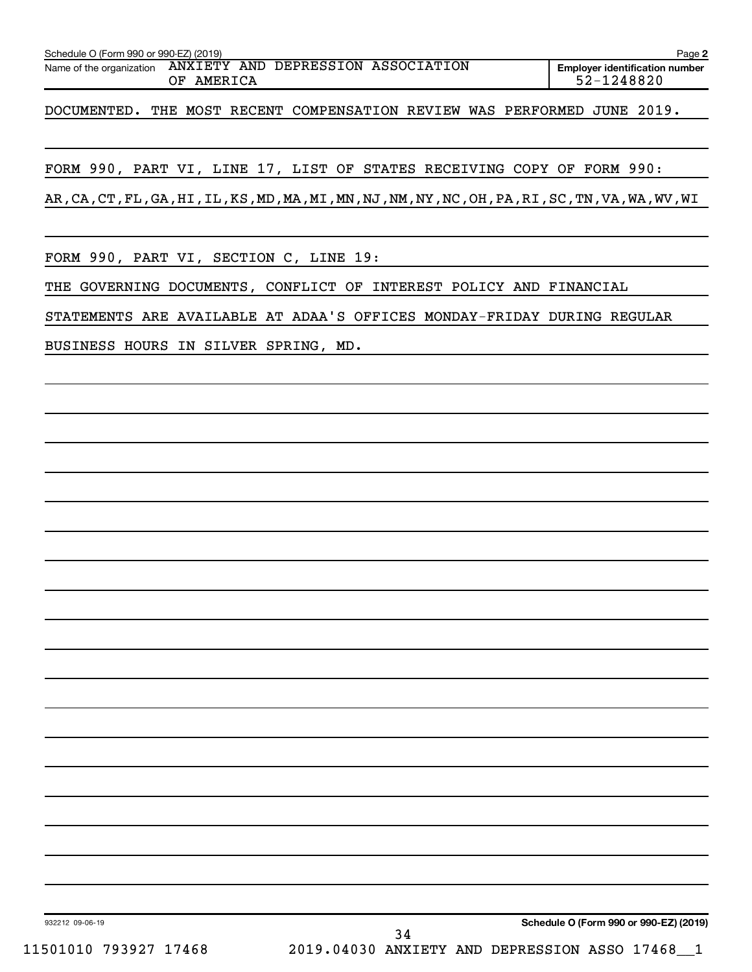| Page 2                                |
|---------------------------------------|
| <b>Employer identification number</b> |
| 52-1248820                            |

DOCUMENTED. THE MOST RECENT COMPENSATION REVIEW WAS PERFORMED JUNE 2019.

FORM 990, PART VI, LINE 17, LIST OF STATES RECEIVING COPY OF FORM 990:

AR,CA,CT,FL,GA,HI,IL,KS,MD,MA,MI,MN,NJ,NM,NY,NC,OH,PA,RI,SC,TN,VA,WA,WV,WI

FORM 990, PART VI, SECTION C, LINE 19:

THE GOVERNING DOCUMENTS, CONFLICT OF INTEREST POLICY AND FINANCIAL

STATEMENTS ARE AVAILABLE AT ADAA'S OFFICES MONDAY-FRIDAY DURING REGULAR

BUSINESS HOURS IN SILVER SPRING, MD.

**Schedule O (Form 990 or 990-EZ) (2019)**

932212 09-06-19

11501010 793927 17468 2019.04030 ANXIETY AND DEPRESSION ASSO 17468\_\_1 34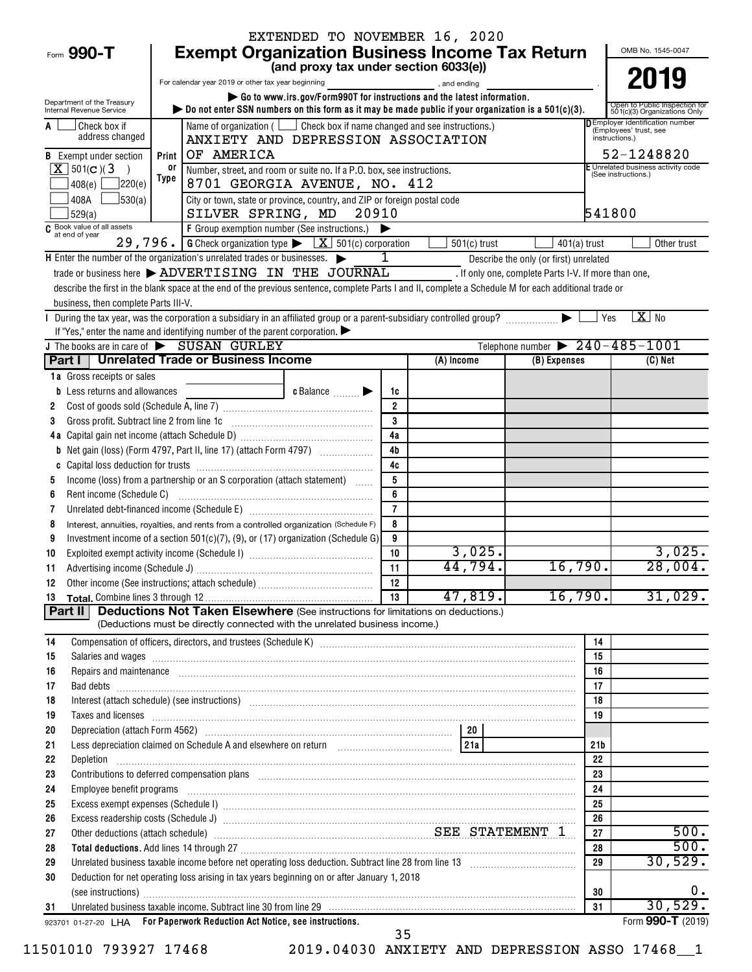|                                                        |                                                                                                                                                                                                                                | EXTENDED TO NOVEMBER 16, 2020                                           |                     |                |                                                      |                     |                                                                   |  |  |  |  |
|--------------------------------------------------------|--------------------------------------------------------------------------------------------------------------------------------------------------------------------------------------------------------------------------------|-------------------------------------------------------------------------|---------------------|----------------|------------------------------------------------------|---------------------|-------------------------------------------------------------------|--|--|--|--|
| Form 990-T                                             | <b>Exempt Organization Business Income Tax Return</b>                                                                                                                                                                          |                                                                         |                     |                |                                                      |                     | OMB No. 1545-0047                                                 |  |  |  |  |
|                                                        |                                                                                                                                                                                                                                | (and proxy tax under section 6033(e))                                   |                     |                |                                                      |                     | 2019                                                              |  |  |  |  |
|                                                        | For calendar year 2019 or other tax year beginning                                                                                                                                                                             |                                                                         |                     | and ending     |                                                      |                     |                                                                   |  |  |  |  |
| Department of the Treasury<br>Internal Revenue Service | bo not enter SSN numbers on this form as it may be made public if your organization is a $501(c)(3)$ .                                                                                                                         | Go to www.irs.gov/Form990T for instructions and the latest information. |                     |                |                                                      |                     | Open to Public Inspection for<br>501(c)(3) Organizations Only     |  |  |  |  |
| Check box if                                           | Name of organization ( Coneck box if name changed and see instructions.)                                                                                                                                                       |                                                                         |                     |                |                                                      |                     | <b>D</b> Employer identification number<br>(Employees' trust, see |  |  |  |  |
| address changed                                        |                                                                                                                                                                                                                                | ANXIETY AND DEPRESSION ASSOCIATION<br>instructions.)                    |                     |                |                                                      |                     |                                                                   |  |  |  |  |
| <b>B</b> Exempt under section                          | OF AMERICA<br>Print                                                                                                                                                                                                            |                                                                         |                     |                |                                                      |                     |                                                                   |  |  |  |  |
| $X$ 501(c)(3)                                          | or<br>Number, street, and room or suite no. If a P.O. box, see instructions.                                                                                                                                                   |                                                                         |                     |                |                                                      | (See instructions.) | E Unrelated business activity code                                |  |  |  |  |
| 220(e) <br>408(e)                                      | Type                                                                                                                                                                                                                           | 8701 GEORGIA AVENUE, NO. 412                                            |                     |                |                                                      |                     |                                                                   |  |  |  |  |
| 408A<br>J530(a)<br>529(a)                              | City or town, state or province, country, and ZIP or foreign postal code<br>SILVER SPRING, MD                                                                                                                                  | 20910                                                                   |                     |                |                                                      | 541800              |                                                                   |  |  |  |  |
| $\overline{C}$ Book value of all assets                | F Group exemption number (See instructions.)                                                                                                                                                                                   |                                                                         |                     |                |                                                      |                     |                                                                   |  |  |  |  |
|                                                        | 29, 796. G Check organization type $\triangleright$ $\boxed{X}$ 501(c) corporation                                                                                                                                             |                                                                         |                     | $501(c)$ trust | $401(a)$ trust                                       |                     | Other trust                                                       |  |  |  |  |
|                                                        | H Enter the number of the organization's unrelated trades or businesses.                                                                                                                                                       |                                                                         |                     |                | Describe the only (or first) unrelated               |                     |                                                                   |  |  |  |  |
|                                                        | trade or business here > ADVERTISING IN THE JOURNAL                                                                                                                                                                            |                                                                         |                     |                | . If only one, complete Parts I-V. If more than one, |                     |                                                                   |  |  |  |  |
| business, then complete Parts III-V.                   | describe the first in the blank space at the end of the previous sentence, complete Parts I and II, complete a Schedule M for each additional trade or                                                                         |                                                                         |                     |                |                                                      |                     |                                                                   |  |  |  |  |
|                                                        |                                                                                                                                                                                                                                |                                                                         |                     |                |                                                      | Yes                 | $X$ No                                                            |  |  |  |  |
|                                                        | If "Yes," enter the name and identifying number of the parent corporation. $\blacktriangleright$                                                                                                                               |                                                                         |                     |                |                                                      |                     |                                                                   |  |  |  |  |
|                                                        | J The books are in care of SUSAN GURLEY                                                                                                                                                                                        |                                                                         |                     |                | Telephone number $\triangleright$ 240 - 485 - 1001   |                     |                                                                   |  |  |  |  |
|                                                        | Part I   Unrelated Trade or Business Income                                                                                                                                                                                    |                                                                         |                     | (A) Income     | (B) Expenses                                         |                     | (C) Net                                                           |  |  |  |  |
| 1a Gross receipts or sales                             |                                                                                                                                                                                                                                |                                                                         |                     |                |                                                      |                     |                                                                   |  |  |  |  |
| <b>b</b> Less returns and allowances                   |                                                                                                                                                                                                                                | c Balance <b>Division</b>                                               | 1c                  |                |                                                      |                     |                                                                   |  |  |  |  |
| 2                                                      |                                                                                                                                                                                                                                |                                                                         | $\overline{2}$      |                |                                                      |                     |                                                                   |  |  |  |  |
| 3                                                      | Gross profit. Subtract line 2 from line 1c [11] [11] [12] [12] [13] [14] [15] [15] [15] [15] [15] [15] [15] [1                                                                                                                 |                                                                         | 3                   |                |                                                      |                     |                                                                   |  |  |  |  |
|                                                        |                                                                                                                                                                                                                                |                                                                         | 4a                  |                |                                                      |                     |                                                                   |  |  |  |  |
|                                                        | <b>b</b> Net gain (loss) (Form 4797, Part II, line 17) (attach Form 4797)                                                                                                                                                      |                                                                         | 4 <sub>b</sub>      |                |                                                      |                     |                                                                   |  |  |  |  |
| C                                                      |                                                                                                                                                                                                                                |                                                                         | 4c                  |                |                                                      |                     |                                                                   |  |  |  |  |
| 5                                                      | Income (loss) from a partnership or an S corporation (attach statement)                                                                                                                                                        |                                                                         | 5                   |                |                                                      |                     |                                                                   |  |  |  |  |
| Rent income (Schedule C)<br>6                          |                                                                                                                                                                                                                                |                                                                         | 6<br>$\overline{7}$ |                |                                                      |                     |                                                                   |  |  |  |  |
| 7                                                      |                                                                                                                                                                                                                                |                                                                         | 8                   |                |                                                      |                     |                                                                   |  |  |  |  |
| 8<br>9                                                 | Interest, annuities, royalties, and rents from a controlled organization (Schedule F)<br>Investment income of a section $501(c)(7)$ , (9), or (17) organization (Schedule G)                                                   |                                                                         | 9                   |                |                                                      |                     |                                                                   |  |  |  |  |
| 10                                                     |                                                                                                                                                                                                                                |                                                                         | 10                  | 3,025.         |                                                      |                     | 3,025.                                                            |  |  |  |  |
| 11                                                     |                                                                                                                                                                                                                                |                                                                         | 11                  | 44,794.        | 16,790.                                              |                     | 28,004.                                                           |  |  |  |  |
| 12                                                     |                                                                                                                                                                                                                                |                                                                         | 12                  |                |                                                      |                     |                                                                   |  |  |  |  |
| 13                                                     |                                                                                                                                                                                                                                |                                                                         | 13                  | 47,819.        | 16, 790.                                             |                     | 31,029.                                                           |  |  |  |  |
| Part II                                                | <b>Deductions Not Taken Elsewhere</b> (See instructions for limitations on deductions.)                                                                                                                                        |                                                                         |                     |                |                                                      |                     |                                                                   |  |  |  |  |
|                                                        | (Deductions must be directly connected with the unrelated business income.)                                                                                                                                                    |                                                                         |                     |                |                                                      |                     |                                                                   |  |  |  |  |
| 14                                                     |                                                                                                                                                                                                                                |                                                                         |                     |                |                                                      | 14                  |                                                                   |  |  |  |  |
| 15                                                     | Salaries and wages information continuous contracts and wages in the salaries and wages incommutation of the salarities and wages in the salarities of the salarities and wages in the salarities of the salarities of the sal |                                                                         |                     |                |                                                      | 15                  |                                                                   |  |  |  |  |
| 16                                                     | Repairs and maintenance recommendial contracts and maintenance resonance and maintenance recommendial contracts                                                                                                                |                                                                         |                     |                |                                                      | 16                  |                                                                   |  |  |  |  |
| 17                                                     |                                                                                                                                                                                                                                |                                                                         |                     |                |                                                      | 17                  |                                                                   |  |  |  |  |
| 18<br>19                                               | Interest (attach schedule) (see instructions) www.communications.communications are interest (attach schedule)                                                                                                                 |                                                                         |                     |                |                                                      | 18<br>19            |                                                                   |  |  |  |  |
| 20                                                     | Taxes and licenses <b>construction and construction of the construction</b> and construction of the construction of the                                                                                                        |                                                                         |                     |                |                                                      |                     |                                                                   |  |  |  |  |
| 21                                                     | Less depreciation claimed on Schedule A and elsewhere on return [1] [214]                                                                                                                                                      |                                                                         |                     |                |                                                      | 21 <sub>b</sub>     |                                                                   |  |  |  |  |
| 22                                                     |                                                                                                                                                                                                                                |                                                                         |                     |                |                                                      | 22                  |                                                                   |  |  |  |  |
| 23                                                     |                                                                                                                                                                                                                                |                                                                         |                     |                |                                                      | 23                  |                                                                   |  |  |  |  |
| 24                                                     | Employee benefit programs in the committee of the contract of the contract of the contract of the contract of the contract of the contract of the contract of the contract of the contract of the contract of the contract of  |                                                                         |                     |                |                                                      | 24                  |                                                                   |  |  |  |  |
| 25                                                     | Excess exempt expenses (Schedule I) www.array.com/www.array.com/www.array.com/www.array.com/www.array.com/www.                                                                                                                 |                                                                         |                     |                |                                                      | 25                  |                                                                   |  |  |  |  |
| 26                                                     |                                                                                                                                                                                                                                |                                                                         |                     |                |                                                      | 26                  |                                                                   |  |  |  |  |
| 27                                                     | 27                                                                                                                                                                                                                             | 500.<br>500.                                                            |                     |                |                                                      |                     |                                                                   |  |  |  |  |
| 28                                                     | Other deductions (attach schedule) Material Material Material Material SEE STATEMENT 1                                                                                                                                         |                                                                         |                     |                |                                                      |                     |                                                                   |  |  |  |  |
| 29                                                     |                                                                                                                                                                                                                                |                                                                         |                     |                |                                                      | 29                  | 30,529.                                                           |  |  |  |  |
| 30                                                     | Deduction for net operating loss arising in tax years beginning on or after January 1, 2018                                                                                                                                    |                                                                         |                     |                |                                                      |                     |                                                                   |  |  |  |  |
|                                                        | (see instructions) www.communications.com/instants/instants/instants/instants/instants/instants/instants/instants/instants/instants/instants/instants/instants/instants/instants/instants/instants/instants/instants/instants/ |                                                                         |                     |                |                                                      | 30                  | 0.                                                                |  |  |  |  |
| 31                                                     |                                                                                                                                                                                                                                |                                                                         |                     |                |                                                      | 31                  | 30,529.                                                           |  |  |  |  |
|                                                        | 923701 01-27-20 LHA For Paperwork Reduction Act Notice, see instructions.                                                                                                                                                      |                                                                         | 35                  |                |                                                      |                     | Form 990-T (2019)                                                 |  |  |  |  |

11501010 793927 17468 2019.04030 ANXIETY AND DEPRESSION ASSO 17468\_\_1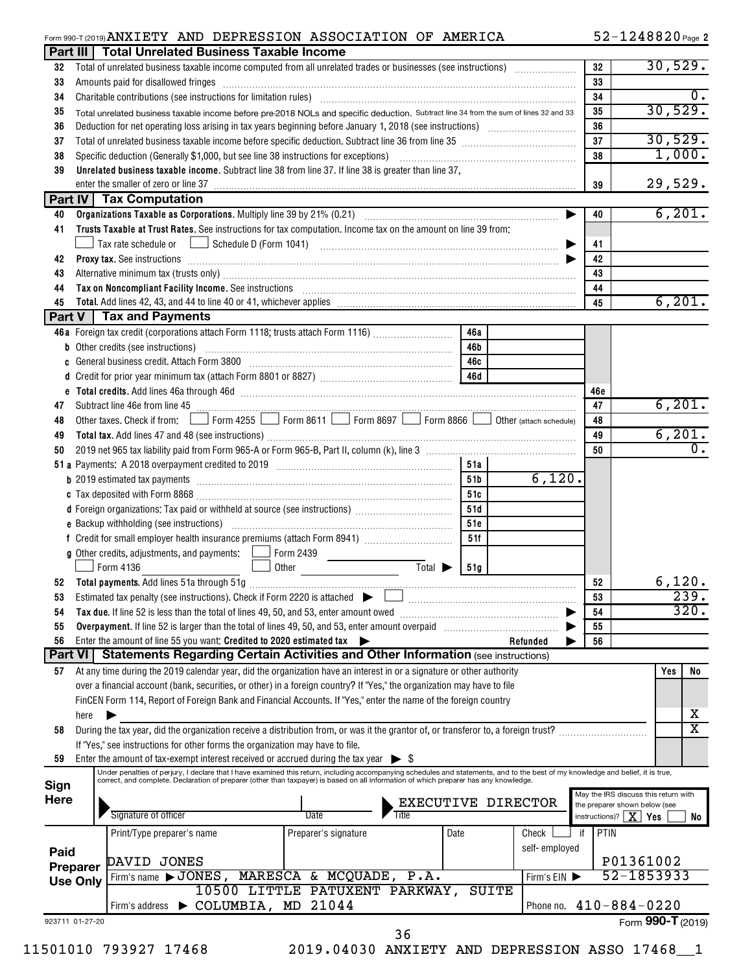#### Form 990-T (2019) Page ANXIETY AND DEPRESSION ASSOCIATION OF AMERICA 52-1248820

52-1248820 Page 2

| 32<br>33                    | Part III   Total Unrelated Business Taxable Income                                                                                                                                                                             |                                                                   |         |            |                            |            |                                                                       |
|-----------------------------|--------------------------------------------------------------------------------------------------------------------------------------------------------------------------------------------------------------------------------|-------------------------------------------------------------------|---------|------------|----------------------------|------------|-----------------------------------------------------------------------|
|                             |                                                                                                                                                                                                                                |                                                                   |         |            |                            | 32         | 30,529.                                                               |
|                             | Amounts paid for disallowed fringes [11] Amount of the contract of the state of the state of the state of the state of the state of the state of the state of the state of the state of the state of the state of the state of |                                                                   |         |            |                            | 33         |                                                                       |
| 34                          |                                                                                                                                                                                                                                |                                                                   |         |            |                            | 34         | $\overline{\mathbf{0}}$ .                                             |
| 35                          | Total unrelated business taxable income before pre-2018 NOLs and specific deduction. Subtract line 34 from the sum of lines 32 and 33                                                                                          |                                                                   |         |            |                            | 35         | 30,529.                                                               |
| 36                          |                                                                                                                                                                                                                                |                                                                   |         |            |                            | 36         |                                                                       |
| 37                          |                                                                                                                                                                                                                                |                                                                   |         |            |                            | 37         | 30,529.                                                               |
| 38                          |                                                                                                                                                                                                                                |                                                                   |         |            |                            | 38         | 1,000.                                                                |
| 39                          | Unrelated business taxable income. Subtract line 38 from line 37. If line 38 is greater than line 37,                                                                                                                          |                                                                   |         |            |                            |            |                                                                       |
|                             |                                                                                                                                                                                                                                |                                                                   |         |            |                            | 39         | 29,529.                                                               |
|                             | Part IV   Tax Computation                                                                                                                                                                                                      |                                                                   |         |            |                            |            |                                                                       |
| 40                          |                                                                                                                                                                                                                                |                                                                   |         |            | ▶                          | 40         | 6,201.                                                                |
| 41                          | Trusts Taxable at Trust Rates. See instructions for tax computation. Income tax on the amount on line 39 from:                                                                                                                 |                                                                   |         |            |                            |            |                                                                       |
|                             |                                                                                                                                                                                                                                |                                                                   |         |            |                            | 41         |                                                                       |
| 42                          | Proxy tax. See instructions information and contact the contract of the contract of the contract of the contract of the contract of the contract of the contract of the contract of the contract of the contract of the contra |                                                                   |         |            |                            | 42         |                                                                       |
| 43                          |                                                                                                                                                                                                                                |                                                                   |         |            |                            | 43         |                                                                       |
| 44                          | Tax on Noncompliant Facility Income. See instructions [11] The manufacture in the contract on Noncompliant Facility Income. See instructions [11] The manufacture income of the set of the set of the set of the set of the se |                                                                   |         |            |                            | 44         |                                                                       |
| 45                          |                                                                                                                                                                                                                                |                                                                   |         |            |                            | 45         | 6, 201.                                                               |
|                             | Part V   Tax and Payments                                                                                                                                                                                                      |                                                                   |         |            |                            |            |                                                                       |
|                             | 46a Foreign tax credit (corporations attach Form 1118; trusts attach Form 1116)                                                                                                                                                |                                                                   |         | 46a        |                            |            |                                                                       |
|                             | b Other credits (see instructions) manufactured contains and all other credits (see instructions)                                                                                                                              |                                                                   |         | 46b        |                            |            |                                                                       |
|                             | c General business credit. Attach Form 3800 [11] [11] Contract Contract Contract Contract Contract Contract Co                                                                                                                 |                                                                   |         | 46с        |                            |            |                                                                       |
|                             |                                                                                                                                                                                                                                |                                                                   |         |            |                            |            |                                                                       |
|                             | e Total credits. Add lines 46a through 46d [111] [12] The Total Manuscript Contract Total credits. Add lines 46a through 46d                                                                                                   |                                                                   |         |            |                            | 46c        |                                                                       |
| 47                          | Other taxes. Check if from: Form 4255 Form 8611 Form 8697 Form 8866 Other (attach schedule)                                                                                                                                    |                                                                   |         |            |                            | 47         | 6,201.                                                                |
| 48                          |                                                                                                                                                                                                                                |                                                                   |         |            |                            | 48         | 6, 201.                                                               |
| 49                          |                                                                                                                                                                                                                                |                                                                   |         |            |                            | 49         |                                                                       |
| 50                          |                                                                                                                                                                                                                                |                                                                   |         |            |                            | 50         |                                                                       |
|                             |                                                                                                                                                                                                                                |                                                                   |         | 51a        | 6,120.                     |            |                                                                       |
|                             | b 2019 estimated tax payments [111] [12] contract the contract of the contract of the contract of the contract of the contract of the contract of the contract of the contract of the contract of the contract of the contract |                                                                   |         | 51b        |                            |            |                                                                       |
|                             |                                                                                                                                                                                                                                |                                                                   |         | 51c        |                            |            |                                                                       |
|                             | d Foreign organizations: Tax paid or withheld at source (see instructions) [                                                                                                                                                   |                                                                   |         | 51d        |                            |            |                                                                       |
|                             |                                                                                                                                                                                                                                |                                                                   |         | 51e<br>51f |                            |            |                                                                       |
|                             |                                                                                                                                                                                                                                |                                                                   |         |            |                            |            |                                                                       |
|                             | <b>g</b> Other credits, adjustments, and payments: $\Box$ Form 2439<br>Form 4136                                                                                                                                               | Other                                                             | Total > | 51g        |                            |            |                                                                       |
| 52                          |                                                                                                                                                                                                                                | <u> 1999 - Andrea State Barnett, amerikansk politik (d. 1989)</u> |         |            |                            | 52         | 6,120.                                                                |
|                             |                                                                                                                                                                                                                                |                                                                   |         |            |                            | 53         | 239.                                                                  |
| 54                          |                                                                                                                                                                                                                                |                                                                   |         |            |                            | 54         | 320.                                                                  |
| 55                          |                                                                                                                                                                                                                                |                                                                   |         |            |                            | 55         |                                                                       |
| 56                          | Enter the amount of line 55 you want: Credited to 2020 estimated tax                                                                                                                                                           |                                                                   |         |            | Refunded                   | 56         |                                                                       |
|                             | Part VI   Statements Regarding Certain Activities and Other Information (see instructions)                                                                                                                                     |                                                                   |         |            |                            |            |                                                                       |
| 57                          | At any time during the 2019 calendar year, did the organization have an interest in or a signature or other authority                                                                                                          |                                                                   |         |            |                            |            | Yes                                                                   |
|                             | over a financial account (bank, securities, or other) in a foreign country? If "Yes," the organization may have to file                                                                                                        |                                                                   |         |            |                            |            |                                                                       |
|                             | FinCEN Form 114, Report of Foreign Bank and Financial Accounts. If "Yes," enter the name of the foreign country                                                                                                                |                                                                   |         |            |                            |            |                                                                       |
| here                        |                                                                                                                                                                                                                                |                                                                   |         |            |                            |            |                                                                       |
| 58                          | During the tax year, did the organization receive a distribution from, or was it the grantor of, or transferor to, a foreign trust?                                                                                            |                                                                   |         |            |                            |            | х                                                                     |
|                             | If "Yes," see instructions for other forms the organization may have to file.                                                                                                                                                  |                                                                   |         |            |                            |            |                                                                       |
| 59                          | Enter the amount of tax-exempt interest received or accrued during the tax year $\triangleright$ \$                                                                                                                            |                                                                   |         |            |                            |            |                                                                       |
|                             | Under penalties of perjury, I declare that I have examined this return, including accompanying schedules and statements, and to the best of my knowledge and belief, it is true,                                               |                                                                   |         |            |                            |            |                                                                       |
| Sign                        | correct, and complete. Declaration of preparer (other than taxpayer) is based on all information of which preparer has any knowledge.                                                                                          |                                                                   |         |            |                            |            |                                                                       |
|                             |                                                                                                                                                                                                                                |                                                                   |         |            | EXECUTIVE DIRECTOR         |            | May the IRS discuss this return with<br>the preparer shown below (see |
|                             | Signature of officer                                                                                                                                                                                                           | Date                                                              | Title   |            |                            |            | instructions)? $\boxed{\mathbf{X}}$ Yes                               |
|                             | Print/Type preparer's name                                                                                                                                                                                                     | Preparer's signature                                              | Date    |            | Check                      | PTIN<br>if |                                                                       |
|                             |                                                                                                                                                                                                                                |                                                                   |         |            | self-employed              |            |                                                                       |
|                             |                                                                                                                                                                                                                                |                                                                   |         |            |                            |            | P01361002                                                             |
| Here<br>Paid                | DAVID JONES                                                                                                                                                                                                                    |                                                                   |         |            |                            |            |                                                                       |
|                             |                                                                                                                                                                                                                                |                                                                   |         |            |                            |            |                                                                       |
|                             | Firm's name > JONES, MARESCA & MCQUADE, P.A.                                                                                                                                                                                   | 10500 LITTLE PATUXENT PARKWAY,                                    |         |            | Firm's EIN<br><b>SUITE</b> |            |                                                                       |
| Preparer<br><b>Use Only</b> | Firm's address > COLUMBIA, MD 21044                                                                                                                                                                                            |                                                                   |         |            |                            |            | 52-1853933<br>Phone no. $410 - 884 - 0220$                            |
| 923711 01-27-20             |                                                                                                                                                                                                                                |                                                                   |         |            |                            |            | Form 990-T (2019)                                                     |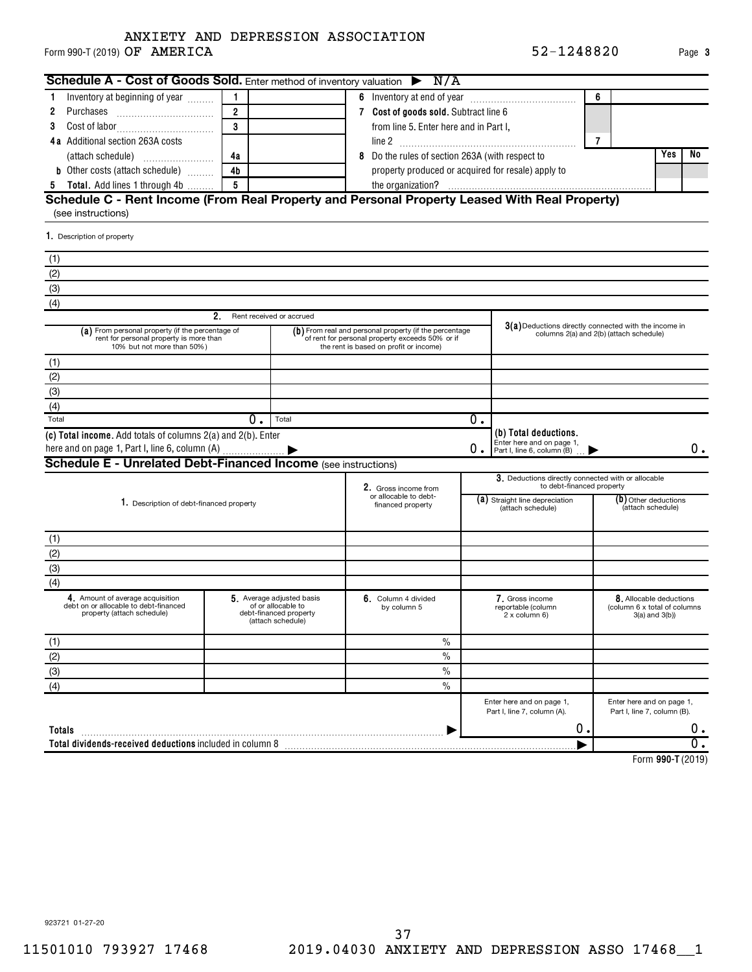### Form 990-T (2019)  $\mathsf{OF}$   $\mathsf{AMERICA}$   $\mathsf{52-1248820}$   $\mathsf{Page}$ ANXIETY AND DEPRESSION ASSOCIATION

| Schedule A - Cost of Goods Sold. Enter method of inventory valuation $\triangleright$ N/A                                 |                         |                                                                                               |                                                                                                                                                     |    |                                                                                  |                                                    |                                                                                |       |
|---------------------------------------------------------------------------------------------------------------------------|-------------------------|-----------------------------------------------------------------------------------------------|-----------------------------------------------------------------------------------------------------------------------------------------------------|----|----------------------------------------------------------------------------------|----------------------------------------------------|--------------------------------------------------------------------------------|-------|
| Inventory at beginning of year<br>1                                                                                       | $\mathbf{1}$            |                                                                                               |                                                                                                                                                     |    |                                                                                  | 6                                                  |                                                                                |       |
| Purchases<br>2                                                                                                            | $\overline{2}$          |                                                                                               | 7 Cost of goods sold. Subtract line 6                                                                                                               |    |                                                                                  |                                                    |                                                                                |       |
| 3                                                                                                                         | $\overline{\mathbf{3}}$ |                                                                                               | from line 5. Enter here and in Part I,                                                                                                              |    |                                                                                  |                                                    |                                                                                |       |
| 4a Additional section 263A costs                                                                                          |                         |                                                                                               |                                                                                                                                                     |    |                                                                                  | 7                                                  |                                                                                |       |
|                                                                                                                           | 4a                      |                                                                                               | 8 Do the rules of section 263A (with respect to                                                                                                     |    |                                                                                  |                                                    | Yes                                                                            | No    |
| <b>b</b> Other costs (attach schedule)                                                                                    | 4 <sub>b</sub>          |                                                                                               | property produced or acquired for resale) apply to                                                                                                  |    |                                                                                  |                                                    |                                                                                |       |
| 5 Total. Add lines 1 through 4b                                                                                           | 5                       |                                                                                               |                                                                                                                                                     |    |                                                                                  |                                                    |                                                                                |       |
| Schedule C - Rent Income (From Real Property and Personal Property Leased With Real Property)<br>(see instructions)       |                         |                                                                                               |                                                                                                                                                     |    |                                                                                  |                                                    |                                                                                |       |
| 1. Description of property                                                                                                |                         |                                                                                               |                                                                                                                                                     |    |                                                                                  |                                                    |                                                                                |       |
| (1)                                                                                                                       |                         |                                                                                               |                                                                                                                                                     |    |                                                                                  |                                                    |                                                                                |       |
| (2)                                                                                                                       |                         |                                                                                               |                                                                                                                                                     |    |                                                                                  |                                                    |                                                                                |       |
| (3)                                                                                                                       |                         |                                                                                               |                                                                                                                                                     |    |                                                                                  |                                                    |                                                                                |       |
| (4)                                                                                                                       |                         |                                                                                               |                                                                                                                                                     |    |                                                                                  |                                                    |                                                                                |       |
|                                                                                                                           | 2.                      | Rent received or accrued                                                                      |                                                                                                                                                     |    |                                                                                  |                                                    |                                                                                |       |
| (a) From personal property (if the percentage of<br>rent for personal property is more than<br>10% but not more than 50%) |                         |                                                                                               | (b) From real and personal property (if the percentage<br>of rent for personal property exceeds 50% or if<br>the rent is based on profit or income) |    | 3(a) Deductions directly connected with the income in                            |                                                    | columns 2(a) and 2(b) (attach schedule)                                        |       |
| (1)                                                                                                                       |                         |                                                                                               |                                                                                                                                                     |    |                                                                                  |                                                    |                                                                                |       |
| (2)                                                                                                                       |                         |                                                                                               |                                                                                                                                                     |    |                                                                                  |                                                    |                                                                                |       |
| (3)                                                                                                                       |                         |                                                                                               |                                                                                                                                                     |    |                                                                                  |                                                    |                                                                                |       |
| (4)                                                                                                                       |                         |                                                                                               |                                                                                                                                                     |    |                                                                                  |                                                    |                                                                                |       |
| Total                                                                                                                     | 0.                      | Total                                                                                         |                                                                                                                                                     | 0. |                                                                                  |                                                    |                                                                                |       |
| (c) Total income. Add totals of columns 2(a) and 2(b). Enter                                                              |                         |                                                                                               |                                                                                                                                                     | 0. | (b) Total deductions.<br>Enter here and on page 1,<br>Part I, line 6, column (B) |                                                    |                                                                                | 0.    |
| <b>Schedule E - Unrelated Debt-Financed Income (see instructions)</b>                                                     |                         |                                                                                               |                                                                                                                                                     |    |                                                                                  |                                                    |                                                                                |       |
|                                                                                                                           |                         |                                                                                               | 2. Gross income from                                                                                                                                |    | 3. Deductions directly connected with or allocable<br>to debt-financed property  |                                                    |                                                                                |       |
| 1. Description of debt-financed property                                                                                  |                         |                                                                                               | or allocable to debt-<br>financed property                                                                                                          |    | (a) Straight line depreciation<br>(attach schedule)                              | ( <b>b</b> ) Other deductions<br>(attach schedule) |                                                                                |       |
| (1)                                                                                                                       |                         |                                                                                               |                                                                                                                                                     |    |                                                                                  |                                                    |                                                                                |       |
| (2)                                                                                                                       |                         |                                                                                               |                                                                                                                                                     |    |                                                                                  |                                                    |                                                                                |       |
| (3)                                                                                                                       |                         |                                                                                               |                                                                                                                                                     |    |                                                                                  |                                                    |                                                                                |       |
| (4)                                                                                                                       |                         |                                                                                               |                                                                                                                                                     |    |                                                                                  |                                                    |                                                                                |       |
| 4. Amount of average acquisition<br>debt on or allocable to debt-financed<br>property (attach schedule)                   |                         | 5 Average adjusted basis<br>of or allocable to<br>debt-financed property<br>(attach schedule) | 6. Column 4 divided<br>by column 5                                                                                                                  |    | 7. Gross income<br>reportable (column<br>2 x column 6)                           |                                                    | 8. Allocable deductions<br>(column 6 x total of columns<br>$3(a)$ and $3(b)$ ) |       |
| (1)                                                                                                                       |                         |                                                                                               | $\%$                                                                                                                                                |    |                                                                                  |                                                    |                                                                                |       |
| (2)                                                                                                                       |                         |                                                                                               | $\frac{0}{0}$                                                                                                                                       |    |                                                                                  |                                                    |                                                                                |       |
| (3)                                                                                                                       |                         |                                                                                               | $\frac{0}{0}$                                                                                                                                       |    |                                                                                  |                                                    |                                                                                |       |
| (4)                                                                                                                       |                         |                                                                                               | $\frac{0}{0}$                                                                                                                                       |    |                                                                                  |                                                    |                                                                                |       |
|                                                                                                                           |                         |                                                                                               |                                                                                                                                                     |    | Enter here and on page 1,<br>Part I, line 7, column (A).                         |                                                    | Enter here and on page 1,<br>Part I, line 7, column (B).                       |       |
| Totals                                                                                                                    |                         |                                                                                               |                                                                                                                                                     |    | 0.                                                                               |                                                    |                                                                                | $0$ . |
| Total dividends-received deductions included in column 8                                                                  |                         |                                                                                               |                                                                                                                                                     |    |                                                                                  |                                                    |                                                                                | σ.    |

**990-T**  Form (2019)

**3**

923721 01-27-20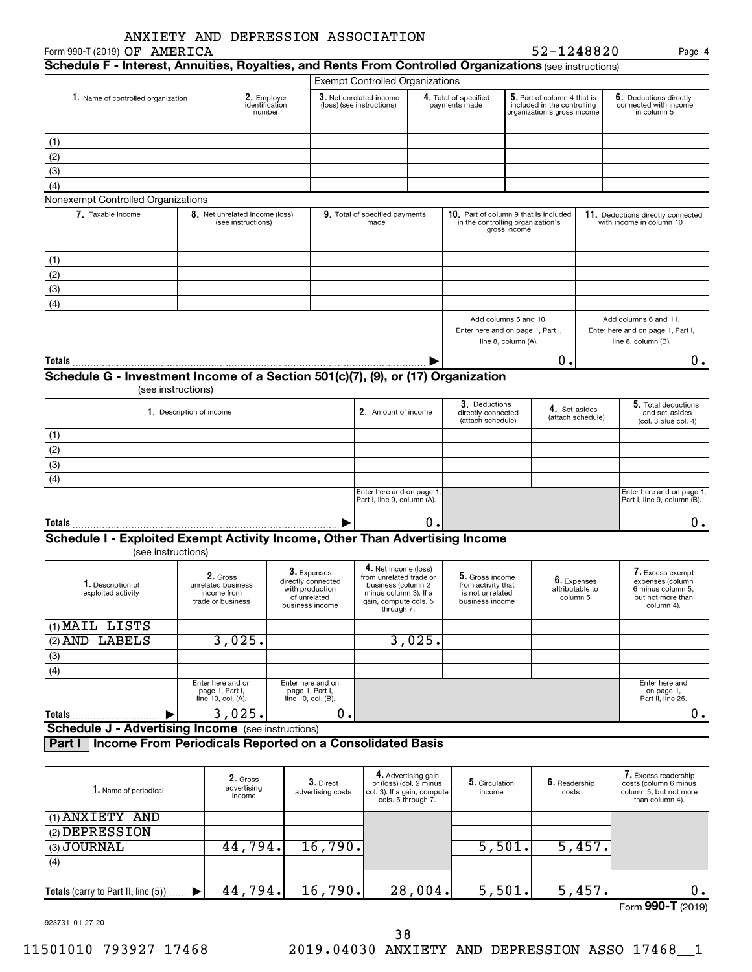| ANXIETY AND DEPRESSION ASSOCIATION                                                                                                      |                          |                                                      |                                                            |                                                                      |                                                      |                                                                                                                                       |                                                                              |                     |                                                                                                   |                   |                                                                                              |
|-----------------------------------------------------------------------------------------------------------------------------------------|--------------------------|------------------------------------------------------|------------------------------------------------------------|----------------------------------------------------------------------|------------------------------------------------------|---------------------------------------------------------------------------------------------------------------------------------------|------------------------------------------------------------------------------|---------------------|---------------------------------------------------------------------------------------------------|-------------------|----------------------------------------------------------------------------------------------|
| Form 990-T (2019) OF AMERICA<br>Schedule F - Interest, Annuities, Royalties, and Rents From Controlled Organizations (see instructions) |                          |                                                      |                                                            |                                                                      |                                                      |                                                                                                                                       |                                                                              |                     | 52-1248820                                                                                        |                   | Page 4                                                                                       |
|                                                                                                                                         |                          |                                                      |                                                            |                                                                      |                                                      | <b>Exempt Controlled Organizations</b>                                                                                                |                                                                              |                     |                                                                                                   |                   |                                                                                              |
|                                                                                                                                         |                          |                                                      |                                                            |                                                                      |                                                      |                                                                                                                                       |                                                                              |                     |                                                                                                   |                   |                                                                                              |
| 1. Name of controlled organization                                                                                                      |                          | 2. Employer<br>identification<br>number              |                                                            |                                                                      | 3. Net unrelated income<br>(loss) (see instructions) |                                                                                                                                       | 4. Total of specified<br>payments made                                       |                     | ${\bf 5}.$ Part of column 4 that is<br>included in the controlling<br>organization's gross income |                   | 6. Deductions directly<br>connected with income<br>in column 5                               |
| (1)                                                                                                                                     |                          |                                                      |                                                            |                                                                      |                                                      |                                                                                                                                       |                                                                              |                     |                                                                                                   |                   |                                                                                              |
| (2)                                                                                                                                     |                          |                                                      |                                                            |                                                                      |                                                      |                                                                                                                                       |                                                                              |                     |                                                                                                   |                   |                                                                                              |
| (3)                                                                                                                                     |                          |                                                      |                                                            |                                                                      |                                                      |                                                                                                                                       |                                                                              |                     |                                                                                                   |                   |                                                                                              |
| (4)                                                                                                                                     |                          |                                                      |                                                            |                                                                      |                                                      |                                                                                                                                       |                                                                              |                     |                                                                                                   |                   |                                                                                              |
| Nonexempt Controlled Organizations                                                                                                      |                          |                                                      |                                                            |                                                                      |                                                      |                                                                                                                                       |                                                                              |                     |                                                                                                   |                   |                                                                                              |
| 7. Taxable Income                                                                                                                       |                          | 8. Net unrelated income (loss)<br>(see instructions) |                                                            |                                                                      | 9. Total of specified payments<br>made               |                                                                                                                                       | 10. Part of column 9 that is included<br>in the controlling organization's   | gross income        |                                                                                                   |                   | 11. Deductions directly connected<br>with income in column 10                                |
| (1)                                                                                                                                     |                          |                                                      |                                                            |                                                                      |                                                      |                                                                                                                                       |                                                                              |                     |                                                                                                   |                   |                                                                                              |
| (2)                                                                                                                                     |                          |                                                      |                                                            |                                                                      |                                                      |                                                                                                                                       |                                                                              |                     |                                                                                                   |                   |                                                                                              |
| (3)                                                                                                                                     |                          |                                                      |                                                            |                                                                      |                                                      |                                                                                                                                       |                                                                              |                     |                                                                                                   |                   |                                                                                              |
| (4)                                                                                                                                     |                          |                                                      |                                                            |                                                                      |                                                      |                                                                                                                                       |                                                                              |                     |                                                                                                   |                   |                                                                                              |
|                                                                                                                                         |                          |                                                      |                                                            |                                                                      |                                                      |                                                                                                                                       | Add columns 5 and 10.<br>Enter here and on page 1, Part I,                   | line 8, column (A). |                                                                                                   |                   | Add columns 6 and 11.<br>Enter here and on page 1, Part I,<br>line 8, column (B).            |
| Totals                                                                                                                                  |                          |                                                      |                                                            |                                                                      |                                                      |                                                                                                                                       |                                                                              |                     | 0                                                                                                 |                   | 0.                                                                                           |
| Schedule G - Investment Income of a Section 501(c)(7), (9), or (17) Organization                                                        |                          |                                                      |                                                            |                                                                      |                                                      |                                                                                                                                       |                                                                              |                     |                                                                                                   |                   |                                                                                              |
| (see instructions)                                                                                                                      |                          |                                                      |                                                            |                                                                      |                                                      |                                                                                                                                       |                                                                              |                     |                                                                                                   |                   |                                                                                              |
|                                                                                                                                         | 1. Description of income |                                                      |                                                            |                                                                      | 2. Amount of income                                  |                                                                                                                                       | 3. Deductions<br>directly connected<br>(attach schedule)                     |                     | 4. Set-asides                                                                                     | (attach schedule) | 5. Total deductions<br>and set-asides<br>(col. 3 plus col. 4)                                |
| (1)                                                                                                                                     |                          |                                                      |                                                            |                                                                      |                                                      |                                                                                                                                       |                                                                              |                     |                                                                                                   |                   |                                                                                              |
| (2)                                                                                                                                     |                          |                                                      |                                                            |                                                                      |                                                      |                                                                                                                                       |                                                                              |                     |                                                                                                   |                   |                                                                                              |
| $\overline{3}$                                                                                                                          |                          |                                                      |                                                            |                                                                      |                                                      |                                                                                                                                       |                                                                              |                     |                                                                                                   |                   |                                                                                              |
| (4)                                                                                                                                     |                          |                                                      |                                                            |                                                                      |                                                      |                                                                                                                                       |                                                                              |                     |                                                                                                   |                   |                                                                                              |
|                                                                                                                                         |                          |                                                      |                                                            |                                                                      |                                                      | Enter here and on page 1<br>Part I, line 9, column (A).                                                                               |                                                                              |                     |                                                                                                   |                   | Enter here and on page 1,<br>Part I, line 9, column (B).                                     |
| Totals                                                                                                                                  |                          |                                                      |                                                            |                                                                      |                                                      | Ο.                                                                                                                                    |                                                                              |                     |                                                                                                   |                   | Ο.                                                                                           |
| Schedule I - Exploited Exempt Activity Income, Other Than Advertising Income                                                            |                          |                                                      |                                                            |                                                                      |                                                      |                                                                                                                                       |                                                                              |                     |                                                                                                   |                   |                                                                                              |
| (see instructions)                                                                                                                      |                          |                                                      |                                                            |                                                                      |                                                      |                                                                                                                                       |                                                                              |                     |                                                                                                   |                   |                                                                                              |
| 1. Description of<br>exploited activity                                                                                                 | trade or business        | 2. Gross<br>unrelated business<br>income from        | with production                                            | 3. Expenses<br>directly connected<br>of unrelated<br>business income |                                                      | 4. Net income (loss)<br>from unrelated trade or<br>business (column 2<br>minus column 3). If a<br>gain, compute cols. 5<br>through 7. | 5. Gross income<br>from activity that<br>is not unrelated<br>business income |                     | 6. Expenses<br>attributable to<br>column 5                                                        |                   | 7. Excess exempt<br>expenses (column<br>6 minus column 5,<br>but not more than<br>column 4). |
| (1) MAIL LISTS                                                                                                                          |                          |                                                      |                                                            |                                                                      |                                                      |                                                                                                                                       |                                                                              |                     |                                                                                                   |                   |                                                                                              |
| (2) AND LABELS                                                                                                                          |                          | 3,025.                                               |                                                            |                                                                      |                                                      | 3,025.                                                                                                                                |                                                                              |                     |                                                                                                   |                   |                                                                                              |
| (3)                                                                                                                                     |                          |                                                      |                                                            |                                                                      |                                                      |                                                                                                                                       |                                                                              |                     |                                                                                                   |                   |                                                                                              |
| (4)                                                                                                                                     |                          |                                                      |                                                            |                                                                      |                                                      |                                                                                                                                       |                                                                              |                     |                                                                                                   |                   |                                                                                              |
|                                                                                                                                         | line 10, col. (A).       | Enter here and on<br>page 1, Part I,                 | Enter here and on<br>page 1, Part I,<br>line 10, col. (B). |                                                                      |                                                      |                                                                                                                                       |                                                                              |                     |                                                                                                   |                   | Enter here and<br>on page 1,<br>Part II, line 25.                                            |
| Totals                                                                                                                                  |                          | 3,025.                                               |                                                            | 0.                                                                   |                                                      |                                                                                                                                       |                                                                              |                     |                                                                                                   |                   | $0$ .                                                                                        |
| <b>Schedule J - Advertising Income</b> (see instructions)                                                                               |                          |                                                      |                                                            |                                                                      |                                                      |                                                                                                                                       |                                                                              |                     |                                                                                                   |                   |                                                                                              |
| Part I   Income From Periodicals Reported on a Consolidated Basis                                                                       |                          |                                                      |                                                            |                                                                      |                                                      |                                                                                                                                       |                                                                              |                     |                                                                                                   |                   |                                                                                              |
| 1. Name of periodical                                                                                                                   |                          | 2. Gross<br>advertising<br>income                    |                                                            | 3. Direct<br>advertising costs                                       |                                                      | 4. Advertising gain<br>or (loss) (col. 2 minus<br>col. 3). If a gain, compute<br>cols. 5 through 7.                                   | 5. Circulation<br>income                                                     |                     | 6. Readership<br>costs                                                                            |                   | 7. Excess readership<br>costs (column 6 minus<br>column 5, but not more<br>than column 4).   |
| (1) ANXIETY AND                                                                                                                         |                          |                                                      |                                                            |                                                                      |                                                      |                                                                                                                                       |                                                                              |                     |                                                                                                   |                   |                                                                                              |
| (2) DEPRESSION                                                                                                                          |                          |                                                      |                                                            |                                                                      |                                                      |                                                                                                                                       |                                                                              |                     |                                                                                                   |                   |                                                                                              |
| (3) JOURNAL                                                                                                                             |                          | 44,794.                                              |                                                            | 16,790.                                                              |                                                      |                                                                                                                                       |                                                                              | 5,501.              |                                                                                                   | 5,457.            |                                                                                              |
| (4)                                                                                                                                     |                          |                                                      |                                                            |                                                                      |                                                      |                                                                                                                                       |                                                                              |                     |                                                                                                   |                   |                                                                                              |

| <b>Totals</b> (carry to Part II, line $(5)$ ) | 44<br>у4. | 790.<br>6 | 004.<br>28 | , u l . | ≖J |                                             |
|-----------------------------------------------|-----------|-----------|------------|---------|----|---------------------------------------------|
|                                               |           |           |            |         |    | <sub>Form</sub> 990- <sup>▼</sup><br>(2019) |

923731 01-27-20

(3) (4)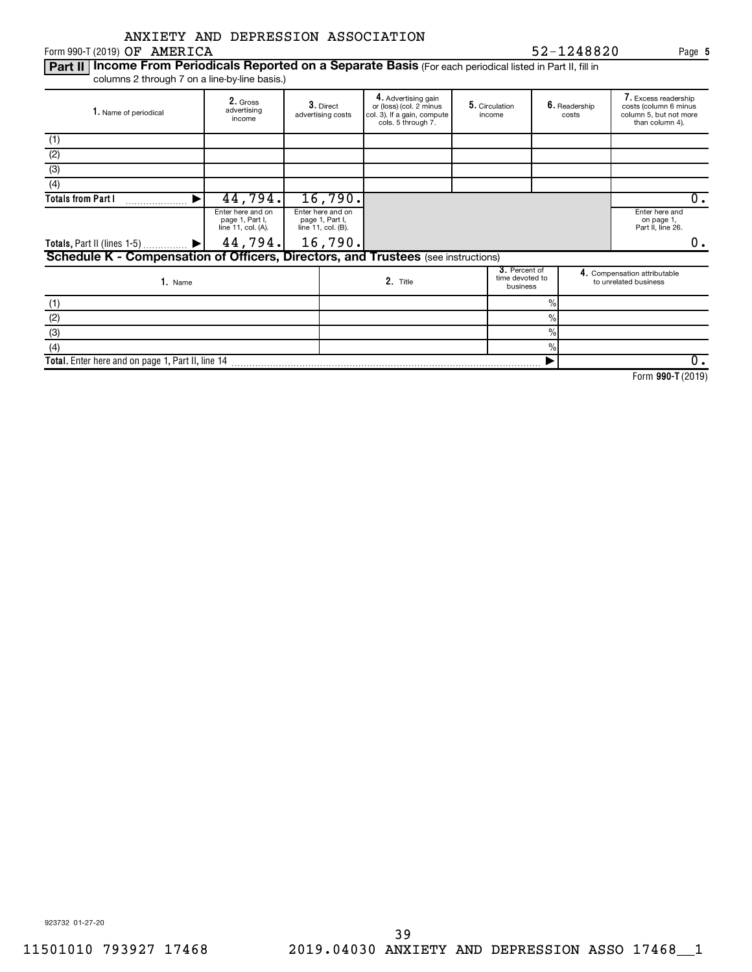|  | ANXIETY AND DEPRESSION ASSOCIATION |
|--|------------------------------------|
|  |                                    |

 $Form 990-T (2019)$  OF AMERICA

### Part II | Income From Periodicals Reported on a Separate Basis (For each periodical listed in Part II, fill in columns 2 through 7 on a line-by-line basis.)

| 1. Name of periodical                                                             | 2. Gross<br>advertising<br>income                          | 3. Direct<br>advertising costs                             | 4. Advertising gain<br>or (loss) (col. 2 minus<br>col. 3). If a gain, compute<br>cols. 5 through 7. | 5. Circulation<br>income                     |               | 6. Readership<br>costs | 7. Excess readership<br>costs (column 6 minus<br>column 5, but not more<br>than column 4). |    |
|-----------------------------------------------------------------------------------|------------------------------------------------------------|------------------------------------------------------------|-----------------------------------------------------------------------------------------------------|----------------------------------------------|---------------|------------------------|--------------------------------------------------------------------------------------------|----|
| (1)                                                                               |                                                            |                                                            |                                                                                                     |                                              |               |                        |                                                                                            |    |
| (2)                                                                               |                                                            |                                                            |                                                                                                     |                                              |               |                        |                                                                                            |    |
| (3)                                                                               |                                                            |                                                            |                                                                                                     |                                              |               |                        |                                                                                            |    |
| (4)                                                                               |                                                            |                                                            |                                                                                                     |                                              |               |                        |                                                                                            |    |
| <b>Totals from Part I</b>                                                         | 44,794.                                                    | 16,790.                                                    |                                                                                                     |                                              |               |                        |                                                                                            | 0. |
|                                                                                   | Enter here and on<br>page 1, Part I,<br>line 11, col. (A). | Enter here and on<br>page 1, Part I,<br>line 11, col. (B). |                                                                                                     |                                              |               |                        | Enter here and<br>on page 1,<br>Part II, line 26.                                          |    |
| Totals, Part II (lines $1-5$ )                                                    | $44,794.$ 16,790.                                          |                                                            |                                                                                                     |                                              |               |                        |                                                                                            | ο. |
| Schedule K - Compensation of Officers, Directors, and Trustees (see instructions) |                                                            |                                                            |                                                                                                     |                                              |               |                        |                                                                                            |    |
| 1. Name                                                                           |                                                            |                                                            | 2. Title                                                                                            | 3. Percent of<br>time devoted to<br>business |               |                        | 4. Compensation attributable<br>to unrelated business                                      |    |
| (1)                                                                               |                                                            |                                                            |                                                                                                     |                                              | $\frac{0}{0}$ |                        |                                                                                            |    |
| (2)                                                                               |                                                            |                                                            |                                                                                                     |                                              | $\frac{0}{0}$ |                        |                                                                                            |    |
| (3)                                                                               |                                                            |                                                            |                                                                                                     |                                              | $\frac{0}{0}$ |                        |                                                                                            |    |
| (4)                                                                               |                                                            |                                                            |                                                                                                     |                                              | $\frac{0}{0}$ |                        |                                                                                            |    |
| Total. Enter here and on page 1, Part II, line 14                                 |                                                            |                                                            |                                                                                                     |                                              | ▶             |                        |                                                                                            | 0. |

**990-T**  Form (2019)

**5**

OF AMERICA 52-1248820

923732 01-27-20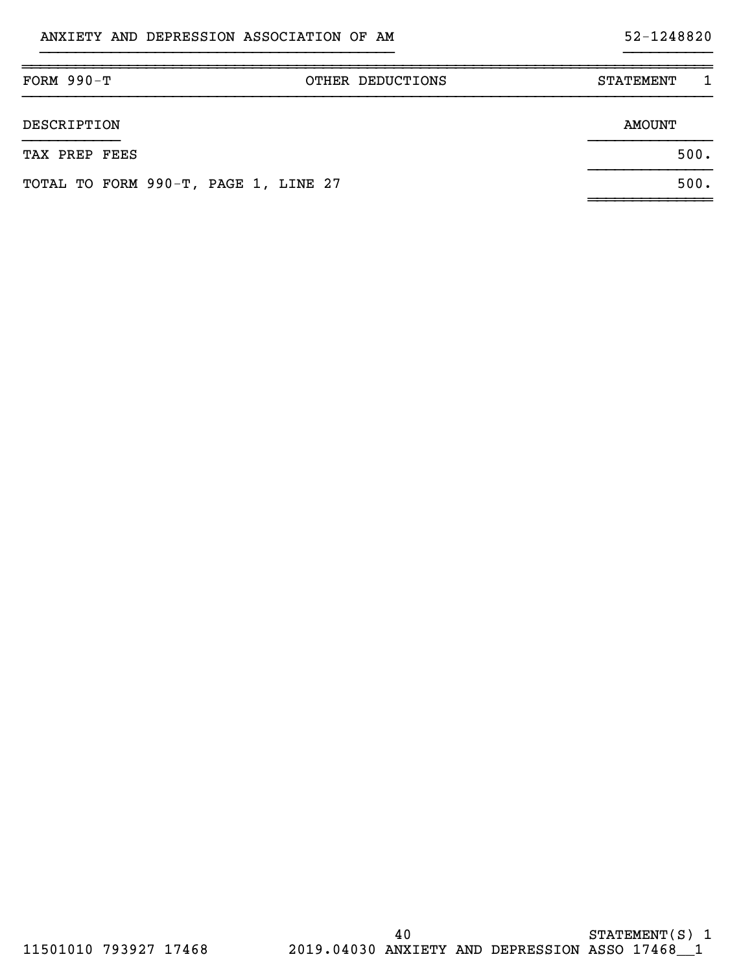# }}}}}}}}}}}}}}}}}}}}}}}}}}}}}}}}}}}}}}}} }}}}}}}}}}

| $FORM 990-T$                         | OTHER DEDUCTIONS | <b>STATEMENT</b> |  |
|--------------------------------------|------------------|------------------|--|
| DESCRIPTION                          |                  | <b>AMOUNT</b>    |  |
| TAX PREP FEES                        |                  | 500.             |  |
| TOTAL TO FORM 990-T, PAGE 1, LINE 27 |                  | 500.             |  |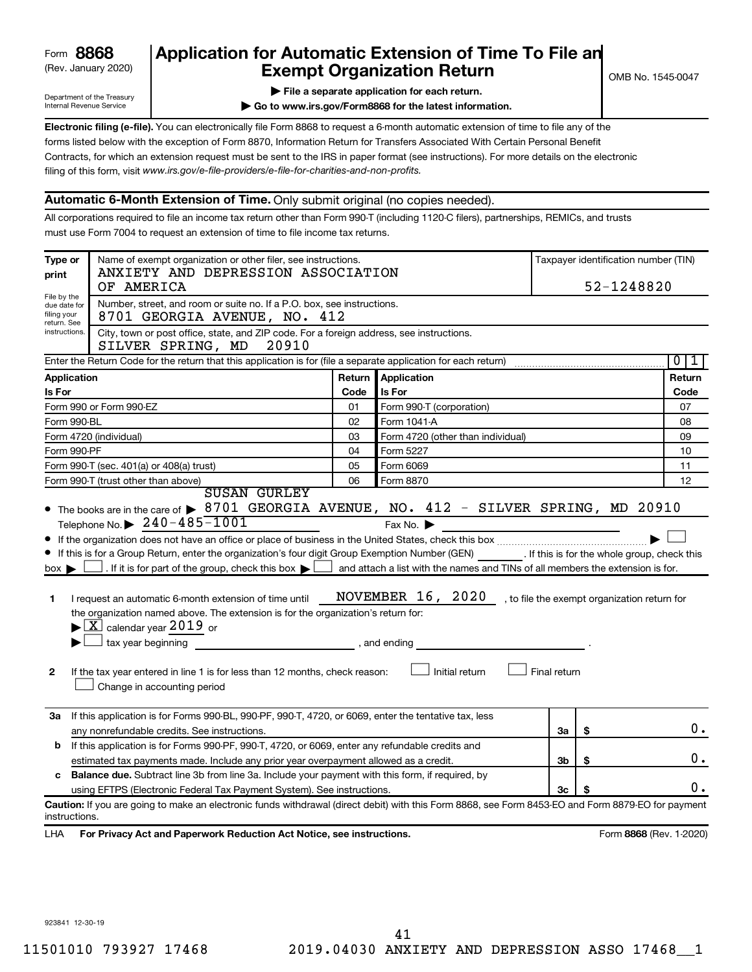# (Rev. January 2020) **Cxempt Organization Return** Manuary 2020) and the settern **Canadian Exempt Organization Return Form 8868 Application for Automatic Extension of Time To File an**<br>**Exempt Organization Return**

Department of the Treasury Internal Revenue Service

|  | $\blacktriangleright$ File a separate application for each return. |  |  |
|--|--------------------------------------------------------------------|--|--|

**| Go to www.irs.gov/Form8868 for the latest information.**

**Electronic filing (e-file).** You can electronically file Form 8868 to request a 6-month automatic extension of time to file any of the filing of this form, visit www.irs.gov/e-file-providers/e-file-for-charities-and-non-profits. forms listed below with the exception of Form 8870, Information Return for Transfers Associated With Certain Personal Benefit Contracts, for which an extension request must be sent to the IRS in paper format (see instructions). For more details on the electronic

# **Automatic 6-Month Extension of Time.** Only submit original (no copies needed).

All corporations required to file an income tax return other than Form 990-T (including 1120-C filers), partnerships, REMICs, and trusts must use Form 7004 to request an extension of time to file income tax returns.

| Type or                                                   | Name of exempt organization or other filer, see instructions.<br>ANXIETY AND DEPRESSION ASSOCIATION                                                                                                                                                                                                                                                                                                                                                                                                                                                                                                                                                          | Taxpayer identification number (TIN) |                                                                                                                                                        |              |                                              |                     |  |  |
|-----------------------------------------------------------|--------------------------------------------------------------------------------------------------------------------------------------------------------------------------------------------------------------------------------------------------------------------------------------------------------------------------------------------------------------------------------------------------------------------------------------------------------------------------------------------------------------------------------------------------------------------------------------------------------------------------------------------------------------|--------------------------------------|--------------------------------------------------------------------------------------------------------------------------------------------------------|--------------|----------------------------------------------|---------------------|--|--|
| print                                                     | OF AMERICA                                                                                                                                                                                                                                                                                                                                                                                                                                                                                                                                                                                                                                                   |                                      |                                                                                                                                                        | 52-1248820   |                                              |                     |  |  |
| File by the<br>due date for<br>filing your<br>return. See | Number, street, and room or suite no. If a P.O. box, see instructions.<br>8701 GEORGIA AVENUE, NO. 412                                                                                                                                                                                                                                                                                                                                                                                                                                                                                                                                                       |                                      |                                                                                                                                                        |              |                                              |                     |  |  |
|                                                           | instructions.<br>City, town or post office, state, and ZIP code. For a foreign address, see instructions.<br>SILVER SPRING, MD<br>20910                                                                                                                                                                                                                                                                                                                                                                                                                                                                                                                      |                                      |                                                                                                                                                        |              |                                              |                     |  |  |
|                                                           | Enter the Return Code for the return that this application is for (file a separate application for each return)                                                                                                                                                                                                                                                                                                                                                                                                                                                                                                                                              |                                      |                                                                                                                                                        |              |                                              | $\overline{0}$<br>1 |  |  |
| Application                                               |                                                                                                                                                                                                                                                                                                                                                                                                                                                                                                                                                                                                                                                              | Return                               | <b>Application</b>                                                                                                                                     |              |                                              | Return              |  |  |
| Is For                                                    |                                                                                                                                                                                                                                                                                                                                                                                                                                                                                                                                                                                                                                                              | Code                                 | Is For                                                                                                                                                 |              |                                              | Code                |  |  |
|                                                           | Form 990 or Form 990-EZ                                                                                                                                                                                                                                                                                                                                                                                                                                                                                                                                                                                                                                      | 01                                   | Form 990-T (corporation)                                                                                                                               |              |                                              | 07                  |  |  |
| Form 990-BL                                               |                                                                                                                                                                                                                                                                                                                                                                                                                                                                                                                                                                                                                                                              | 02                                   | Form 1041-A                                                                                                                                            |              |                                              | 08                  |  |  |
|                                                           | Form 4720 (individual)                                                                                                                                                                                                                                                                                                                                                                                                                                                                                                                                                                                                                                       | 03                                   | Form 4720 (other than individual)                                                                                                                      |              |                                              | 09                  |  |  |
| Form 990-PF                                               |                                                                                                                                                                                                                                                                                                                                                                                                                                                                                                                                                                                                                                                              | 04                                   | Form 5227                                                                                                                                              |              |                                              | 10                  |  |  |
|                                                           | Form 990-T (sec. 401(a) or 408(a) trust)                                                                                                                                                                                                                                                                                                                                                                                                                                                                                                                                                                                                                     | 05                                   | Form 6069                                                                                                                                              |              |                                              | 11                  |  |  |
|                                                           | Form 990-T (trust other than above)<br><b>SUSAN GURLEY</b>                                                                                                                                                                                                                                                                                                                                                                                                                                                                                                                                                                                                   | 06                                   | Form 8870                                                                                                                                              |              |                                              | 12                  |  |  |
| $box \blacktriangleright$<br>1<br>2                       | Telephone No. $\triangleright$ 240-485-1001<br>If this is for a Group Return, enter the organization's four digit Group Exemption Number (GEN) [If this is for the whole group, check this<br>$\Box$ . If it is for part of the group, check this box $\blacktriangleright$ !<br>I request an automatic 6-month extension of time until<br>the organization named above. The extension is for the organization's return for:<br>$\blacktriangleright$ $\boxed{\text{X}}$ calendar year 2019 or<br>tax year beginning<br>and ending, and ending<br>If the tax year entered in line 1 is for less than 12 months, check reason:<br>Change in accounting period |                                      | Fax No. $\blacktriangleright$<br>and attach a list with the names and TINs of all members the extension is for.<br>NOVEMBER 16, 2020<br>Initial return | Final return | , to file the exempt organization return for |                     |  |  |
| За                                                        | If this application is for Forms 990-BL, 990-PF, 990-T, 4720, or 6069, enter the tentative tax, less                                                                                                                                                                                                                                                                                                                                                                                                                                                                                                                                                         |                                      |                                                                                                                                                        |              |                                              | 0.                  |  |  |
|                                                           | any nonrefundable credits. See instructions.                                                                                                                                                                                                                                                                                                                                                                                                                                                                                                                                                                                                                 |                                      |                                                                                                                                                        | За           | \$                                           |                     |  |  |
| b                                                         | If this application is for Forms 990-PF, 990-T, 4720, or 6069, enter any refundable credits and<br>estimated tax payments made. Include any prior year overpayment allowed as a credit.                                                                                                                                                                                                                                                                                                                                                                                                                                                                      |                                      |                                                                                                                                                        | 3b           | \$                                           | 0.                  |  |  |
| c                                                         | <b>Balance due.</b> Subtract line 3b from line 3a. Include your payment with this form, if required, by                                                                                                                                                                                                                                                                                                                                                                                                                                                                                                                                                      |                                      |                                                                                                                                                        |              |                                              |                     |  |  |
|                                                           | using EFTPS (Electronic Federal Tax Payment System). See instructions.                                                                                                                                                                                                                                                                                                                                                                                                                                                                                                                                                                                       |                                      |                                                                                                                                                        | 3c           |                                              | 0.                  |  |  |
| instructions.<br>LHA                                      | Caution: If you are going to make an electronic funds withdrawal (direct debit) with this Form 8868, see Form 8453-EO and Form 8879-EO for payment<br>For Privacy Act and Paperwork Reduction Act Notice, see instructions.                                                                                                                                                                                                                                                                                                                                                                                                                                  |                                      |                                                                                                                                                        |              | Form 8868 (Rev. 1-2020)                      |                     |  |  |